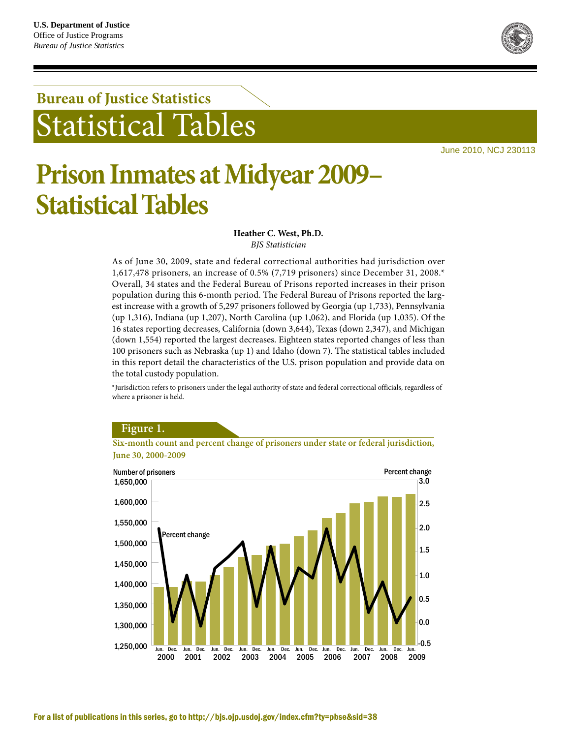## **Bureau of Justice Statistics** tatistical Tables

June 2010, NCJ 230113

# **Prison Inmates at Midyear 2009– Statistical Tables**

**Heather C. West, Ph.D.** *BJS Statistician*

As of June 30, 2009, state and federal correctional authorities had jurisdiction over 1,617,478 prisoners, an increase of 0.5% (7,719 prisoners) since December 31, 2008.\* Overall, 34 states and the Federal Bureau of Prisons reported increases in their prison population during this 6-month period. The Federal Bureau of Prisons reported the largest increase with a growth of 5,297 prisoners followed by Georgia (up 1,733), Pennsylvania (up 1,316), Indiana (up 1,207), North Carolina (up 1,062), and Florida (up 1,035). Of the 16 states reporting decreases, California (down 3,644), Texas (down 2,347), and Michigan (down 1,554) reported the largest decreases. Eighteen states reported changes of less than 100 prisoners such as Nebraska (up 1) and Idaho (down 7). The statistical tables included in this report detail the characteristics of the U.S. prison population and provide data on the total custody population.

\*Jurisdiction refers to prisoners under the legal authority of state and federal correctional officials, regardless of where a prisoner is held.

#### 1,250,000 1,300,000 1,350,000 1,400,000 1,450,000 1,500,000 1,550,000 1,600,000 1,650,000 Number of prisoners -0.5 0.0 0.5 1.0 1.5 2.5 3.0 2.0 Percent change Percent change Jun. Dec. Jun. Dec. Jun. Dec. Jun. Dec. Jun. Dec. Jun. Dec. Jun. Dec. Jun. Dec. Jun. Dec. Jun. 2000 2001 2002 2003 2004 2006 2005 2007 2008 2009



**Six-month count and percent change of prisoners under state or federal jurisdiction, June 30, 2000-2009**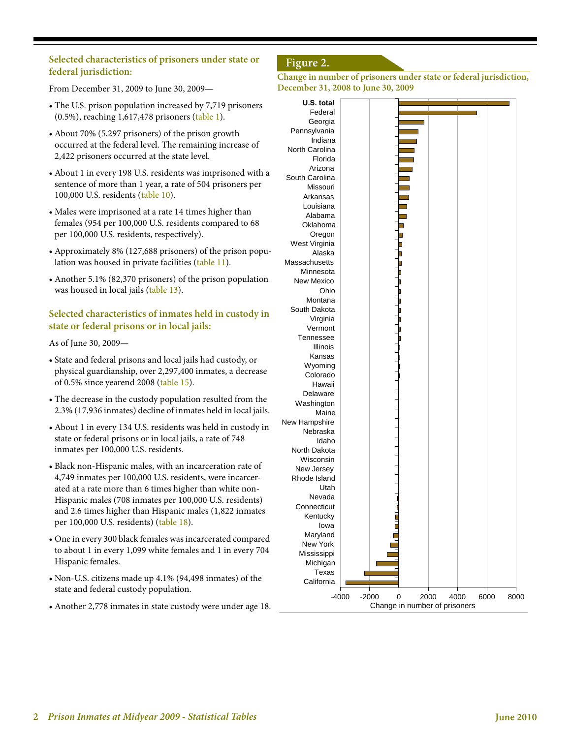#### **Selected characteristics of prisoners under state or federal jurisdiction:**

From December 31, 2009 to June 30, 2009—

- The U.S. prison population increased by 7,719 prisoners (0.5%), reaching 1,617,478 prisoners (table 1).
- About 70% (5,297 prisoners) of the prison growth occurred at the federal level. The remaining increase of 2,422 prisoners occurred at the state level.
- About 1 in every 198 U.S. residents was imprisoned with a sentence of more than 1 year, a rate of 504 prisoners per 100,000 U.S. residents (table 10).
- Males were imprisoned at a rate 14 times higher than females (954 per 100,000 U.S. residents compared to 68 per 100,000 U.S. residents, respectively).
- Approximately 8% (127,688 prisoners) of the prison population was housed in private facilities (table 11).
- Another 5.1% (82,370 prisoners) of the prison population was housed in local jails (table 13).

#### **Selected characteristics of inmates held in custody in state or federal prisons or in local jails:**

#### As of June 30, 2009—

- State and federal prisons and local jails had custody, or physical guardianship, over 2,297,400 inmates, a decrease of 0.5% since yearend 2008 (table 15).
- The decrease in the custody population resulted from the 2.3% (17,936 inmates) decline of inmates held in local jails.
- About 1 in every 134 U.S. residents was held in custody in state or federal prisons or in local jails, a rate of 748 inmates per 100,000 U.S. residents.
- Black non-Hispanic males, with an incarceration rate of 4,749 inmates per 100,000 U.S. residents, were incarcerated at a rate more than 6 times higher than white non-Hispanic males (708 inmates per 100,000 U.S. residents) and 2.6 times higher than Hispanic males (1,822 inmates per 100,000 U.S. residents) (table 18).
- One in every 300 black females was incarcerated compared to about 1 in every 1,099 white females and 1 in every 704 Hispanic females.
- Non-U.S. citizens made up 4.1% (94,498 inmates) of the state and federal custody population.
- Another 2,778 inmates in state custody were under age 18.

## **Figure 2.**



| U.S. total            |         |         |                               |      |      |      |      |
|-----------------------|---------|---------|-------------------------------|------|------|------|------|
| Federal               |         |         |                               |      |      |      |      |
| Georgia               |         |         |                               |      |      |      |      |
| Pennsylvania          |         |         |                               |      |      |      |      |
| Indiana               |         |         |                               |      |      |      |      |
| North Carolina        |         |         |                               |      |      |      |      |
| Florida               |         |         |                               |      |      |      |      |
| Arizona               |         |         |                               |      |      |      |      |
| South Carolina        |         |         |                               |      |      |      |      |
| Missouri              |         |         |                               |      |      |      |      |
|                       |         |         |                               |      |      |      |      |
| Arkansas<br>Louisiana |         |         |                               |      |      |      |      |
|                       |         |         |                               |      |      |      |      |
| Alabama               |         |         |                               |      |      |      |      |
| Oklahoma              |         |         |                               |      |      |      |      |
| Oregon                |         |         |                               |      |      |      |      |
| West Virginia         |         |         |                               |      |      |      |      |
| Alaska                |         |         |                               |      |      |      |      |
| Massachusetts         |         |         |                               |      |      |      |      |
| Minnesota             |         |         |                               |      |      |      |      |
| <b>New Mexico</b>     |         |         |                               |      |      |      |      |
| Ohio                  |         |         |                               |      |      |      |      |
| Montana               |         |         |                               |      |      |      |      |
| South Dakota          |         |         |                               |      |      |      |      |
| Virginia              |         |         |                               |      |      |      |      |
| Vermont               |         |         |                               |      |      |      |      |
| Tennessee             |         |         |                               |      |      |      |      |
| Illinois              |         |         |                               |      |      |      |      |
| Kansas                |         |         |                               |      |      |      |      |
| Wyoming               |         |         |                               |      |      |      |      |
| Colorado              |         |         |                               |      |      |      |      |
| Hawaii                |         |         |                               |      |      |      |      |
| Delaware              |         |         |                               |      |      |      |      |
| Washington            |         |         |                               |      |      |      |      |
| Maine                 |         |         |                               |      |      |      |      |
| New Hampshire         |         |         |                               |      |      |      |      |
| Nebraska              |         |         |                               |      |      |      |      |
| Idaho                 |         |         |                               |      |      |      |      |
| North Dakota          |         |         |                               |      |      |      |      |
| Wisconsin             |         |         |                               |      |      |      |      |
|                       |         |         |                               |      |      |      |      |
| New Jersey            |         |         |                               |      |      |      |      |
| Rhode Island          |         |         |                               |      |      |      |      |
| Utah                  |         |         |                               |      |      |      |      |
| Nevada                |         |         |                               |      |      |      |      |
| Connecticut           |         |         |                               |      |      |      |      |
| Kentucky              |         |         |                               |      |      |      |      |
| lowa                  |         |         |                               |      |      |      |      |
| Maryland              |         |         |                               |      |      |      |      |
| New York              |         |         |                               |      |      |      |      |
| Mississippi           |         |         |                               |      |      |      |      |
| Michigan              |         |         |                               |      |      |      |      |
| Texas                 |         |         |                               |      |      |      |      |
| California            |         |         |                               |      |      |      |      |
|                       | $-4000$ | $-2000$ |                               | 2000 | 4000 | 6000 |      |
|                       |         |         | 0                             |      |      |      | 8000 |
|                       |         |         | Change in number of prisoners |      |      |      |      |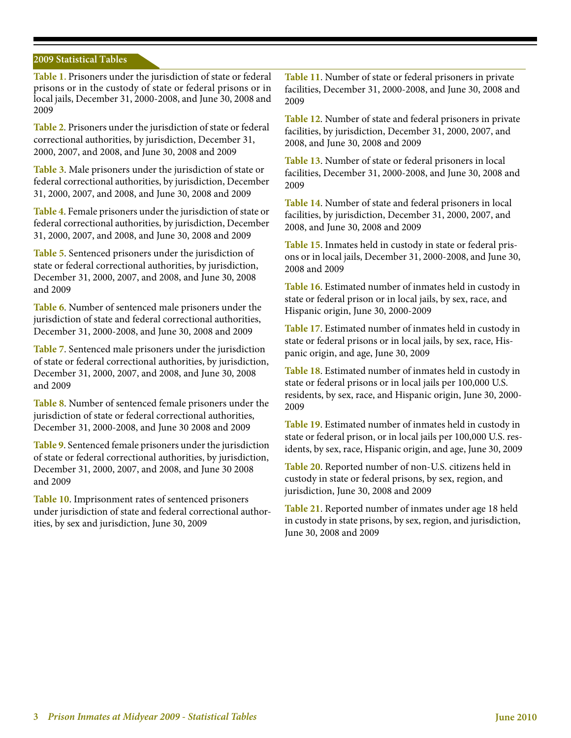#### **2009 Statistical Tables**

**Table 1.** Prisoners under the jurisdiction of state or federal prisons or in the custody of state or federal prisons or in local jails, December 31, 2000-2008, and June 30, 2008 and 2009

**Table 2**. Prisoners under the jurisdiction of state or federal correctional authorities, by jurisdiction, December 31, 2000, 2007, and 2008, and June 30, 2008 and 2009

**Table 3**. Male prisoners under the jurisdiction of state or federal correctional authorities, by jurisdiction, December 31, 2000, 2007, and 2008, and June 30, 2008 and 2009

**Table 4**. Female prisoners under the jurisdiction of state or federal correctional authorities, by jurisdiction, December 31, 2000, 2007, and 2008, and June 30, 2008 and 2009

**Table 5**. Sentenced prisoners under the jurisdiction of state or federal correctional authorities, by jurisdiction, December 31, 2000, 2007, and 2008, and June 30, 2008 and 2009

**Table 6**. Number of sentenced male prisoners under the jurisdiction of state and federal correctional authorities, December 31, 2000-2008, and June 30, 2008 and 2009

**Table 7**. Sentenced male prisoners under the jurisdiction of state or federal correctional authorities, by jurisdiction, December 31, 2000, 2007, and 2008, and June 30, 2008 and 2009

**Table 8**. Number of sentenced female prisoners under the jurisdiction of state or federal correctional authorities, December 31, 2000-2008, and June 30 2008 and 2009

**Table 9**. Sentenced female prisoners under the jurisdiction of state or federal correctional authorities, by jurisdiction, December 31, 2000, 2007, and 2008, and June 30 2008 and 2009

**Table 10**. Imprisonment rates of sentenced prisoners under jurisdiction of state and federal correctional authorities, by sex and jurisdiction, June 30, 2009

**Table 11**. Number of state or federal prisoners in private facilities, December 31, 2000-2008, and June 30, 2008 and 2009

**Table 12**. Number of state and federal prisoners in private facilities, by jurisdiction, December 31, 2000, 2007, and 2008, and June 30, 2008 and 2009

**Table 13**. Number of state or federal prisoners in local facilities, December 31, 2000-2008, and June 30, 2008 and 2009

**Table 14**. Number of state and federal prisoners in local facilities, by jurisdiction, December 31, 2000, 2007, and 2008, and June 30, 2008 and 2009

**Table 15**. Inmates held in custody in state or federal prisons or in local jails, December 31, 2000-2008, and June 30, 2008 and 2009

**Table 16**. Estimated number of inmates held in custody in state or federal prison or in local jails, by sex, race, and Hispanic origin, June 30, 2000-2009

**Table 17**. Estimated number of inmates held in custody in state or federal prisons or in local jails, by sex, race, Hispanic origin, and age, June 30, 2009

**Table 18**. Estimated number of inmates held in custody in state or federal prisons or in local jails per 100,000 U.S. residents, by sex, race, and Hispanic origin, June 30, 2000- 2009

**Table 19**. Estimated number of inmates held in custody in state or federal prison, or in local jails per 100,000 U.S. residents, by sex, race, Hispanic origin, and age, June 30, 2009

**Table 20**. Reported number of non-U.S. citizens held in custody in state or federal prisons, by sex, region, and jurisdiction, June 30, 2008 and 2009

**Table 21**. Reported number of inmates under age 18 held in custody in state prisons, by sex, region, and jurisdiction, June 30, 2008 and 2009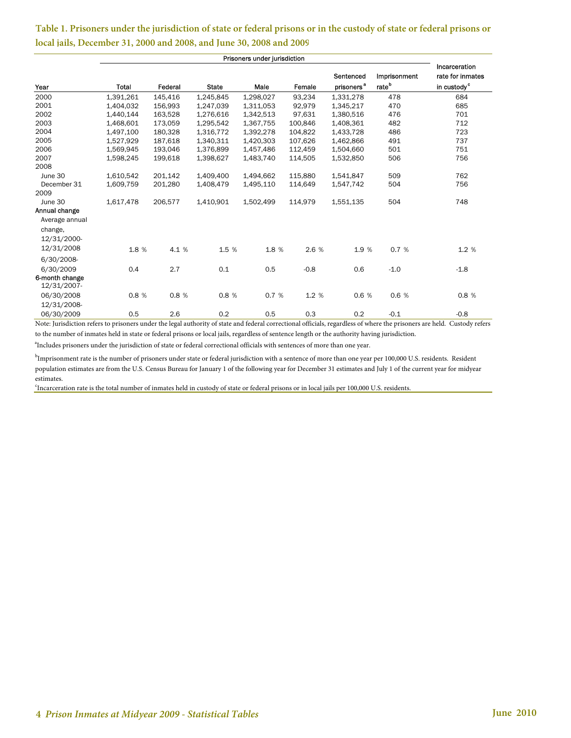#### **Table 1. Prisoners under the jurisdiction of state or federal prisons or in the custody of state or federal prisons or local jails, December 31, 2000 and 2008, and June 30, 2008 and 2009**

| Year                          | Total     | Federal | <b>State</b> | Male      | Female  | Sentenced<br>prisoners <sup>a</sup> | Imprisonment<br>rate <sup>b</sup> | Incarceration<br>rate for inmates<br>in custody <sup>c</sup> |
|-------------------------------|-----------|---------|--------------|-----------|---------|-------------------------------------|-----------------------------------|--------------------------------------------------------------|
| 2000                          | 1,391,261 | 145,416 | 1,245,845    | 1,298,027 | 93,234  | 1,331,278                           | 478                               | 684                                                          |
| 2001                          | 1,404,032 | 156,993 | 1,247,039    | 1,311,053 | 92,979  | 1,345,217                           | 470                               | 685                                                          |
| 2002                          | 1,440,144 | 163,528 | 1,276,616    | 1,342,513 | 97,631  | 1,380,516                           | 476                               | 701                                                          |
| 2003                          | 1,468,601 | 173,059 | 1,295,542    | 1,367,755 | 100,846 | 1,408,361                           | 482                               | 712                                                          |
| 2004                          | 1,497,100 | 180,328 | 1,316,772    | 1,392,278 | 104,822 | 1,433,728                           | 486                               | 723                                                          |
| 2005                          | 1,527,929 | 187,618 | 1,340,311    | 1.420.303 | 107.626 | 1,462,866                           | 491                               | 737                                                          |
| 2006                          | 1,569,945 | 193,046 | 1,376,899    | 1,457,486 | 112,459 | 1,504,660                           | 501                               | 751                                                          |
| 2007                          | 1,598,245 | 199,618 | 1,398,627    | 1,483,740 | 114,505 | 1,532,850                           | 506                               | 756                                                          |
| 2008                          |           |         |              |           |         |                                     |                                   |                                                              |
| June 30                       | 1,610,542 | 201.142 | 1,409,400    | 1,494,662 | 115,880 | 1,541,847                           | 509                               | 762                                                          |
| December 31                   | 1,609,759 | 201,280 | 1,408,479    | 1,495,110 | 114,649 | 1,547,742                           | 504                               | 756                                                          |
| 2009                          |           |         |              |           |         |                                     |                                   |                                                              |
| June 30                       | 1,617,478 | 206,577 | 1,410,901    | 1,502,499 | 114,979 | 1,551,135                           | 504                               | 748                                                          |
| Annual change                 |           |         |              |           |         |                                     |                                   |                                                              |
| Average annual                |           |         |              |           |         |                                     |                                   |                                                              |
| change,                       |           |         |              |           |         |                                     |                                   |                                                              |
| 12/31/2000-                   |           |         |              |           |         |                                     |                                   |                                                              |
| 12/31/2008                    | 1.8 %     | 4.1 %   | 1.5 %        | 1.8 %     | 2.6 %   | 1.9 %                               | 0.7%                              | 1.2 %                                                        |
| 6/30/2008-                    |           |         |              |           |         |                                     |                                   |                                                              |
| 6/30/2009                     | 0.4       | 2.7     | 0.1          | 0.5       | $-0.8$  | 0.6                                 | $-1.0$                            | $-1.8$                                                       |
| 6-month change<br>12/31/2007- |           |         |              |           |         |                                     |                                   |                                                              |
| 06/30/2008                    | 0.8%      | 0.8 %   | 0.8 %        | 0.7 %     | 1.2 %   | 0.6 %                               | 0.6 %                             | 0.8 %                                                        |
| 12/31/2008-                   |           |         |              |           |         |                                     |                                   |                                                              |
| 06/30/2009                    | 0.5       | 2.6     | 0.2          | 0.5       | 0.3     | 0.2                                 | $-0.1$                            | $-0.8$                                                       |

Note: Jurisdiction refers to prisoners under the legal authority of state and federal correctional officials, regardless of where the prisoners are held. Custody refers to the number of inmates held in state or federal prisons or local jails, regardless of sentence length or the authority having jurisdiction.

<sup>a</sup>Includes prisoners under the jurisdiction of state or federal correctional officials with sentences of more than one year.

 $^{\rm b}$ Imprisonment rate is the number of prisoners under state or federal jurisdiction with a sentence of more than one year per 100,000 U.S. residents. Resident population estimates are from the U.S. Census Bureau for January 1 of the following year for December 31 estimates and July 1 of the current year for midyear estimates.

c Incarceration rate is the total number of inmates held in custody of state or federal prisons or in local jails per 100,000 U.S. residents.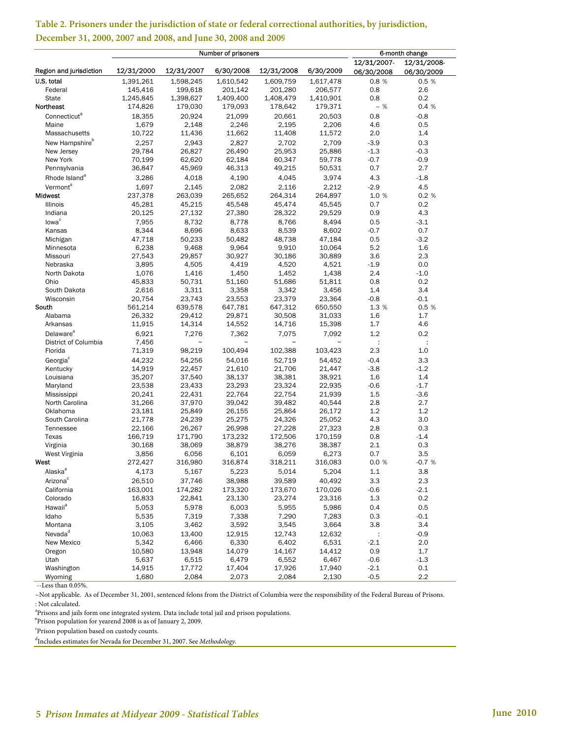|                            |            | Number of prisoners |            | 6-month change |             |             |                      |
|----------------------------|------------|---------------------|------------|----------------|-------------|-------------|----------------------|
|                            |            |                     |            |                |             | 12/31/2007- | 12/31/2008-          |
| Region and jurisdiction    | 12/31/2000 | 12/31/2007          | 6/30/2008  | 12/31/2008     | 6/30/2009   | 06/30/2008  | 06/30/2009           |
| U.S. total                 | 1,391,261  | 1,598,245           | 1,610,542  | 1,609,759      | 1,617,478   | 0.8%        | 0.5 %                |
| Federal                    | 145,416    | 199,618             | 201,142    | 201,280        | 206,577     | 0.8         | 2.6                  |
| <b>State</b>               | 1,245,845  | 1,398,627           | 1,409,400  | 1,408,479      | 1,410,901   | 0.8         | 0.2                  |
| Northeast                  | 174,826    | 179,030             | 179,093    | 178,642        | 179,371     | $-$ %       | 0.4 %                |
|                            |            | 20.924              |            |                |             |             |                      |
| Connecticut <sup>a</sup>   | 18,355     |                     | 21,099     | 20,661         | 20,503      | 0.8         | $-0.8$               |
| Maine                      | 1,679      | 2,148               | 2,246      | 2,195          | 2,206       | 4.6         | 0.5                  |
| Massachusetts              | 10,722     | 11,436              | 11,662     | 11,408         | 11,572      | 2.0         | 1.4                  |
| New Hampshire <sup>b</sup> | 2,257      | 2,943               | 2,827      | 2,702          | 2,709       | $-3.9$      | 0.3                  |
| New Jersey                 | 29,784     | 26,827              | 26,490     | 25,953         | 25,886      | $-1.3$      | $-0.3$               |
| New York                   | 70,199     | 62,620              | 62,184     | 60,347         | 59,778      | $-0.7$      | $-0.9$               |
| Pennsylvania               | 36,847     | 45,969              | 46,313     | 49,215         | 50,531      | 0.7         | 2.7                  |
| Rhode Island <sup>a</sup>  | 3,286      | 4,018               | 4,190      | 4,045          | 3,974       | 4.3         | $-1.8$               |
| Vermont <sup>a</sup>       | 1,697      | 2,145               | 2,082      | 2,116          | 2,212       | $-2.9$      | 4.5                  |
| Midwest                    | 237,378    | 263,039             | 265,652    | 264,314        | 264,897     | 1.0 %       | 0.2%                 |
| Illinois                   | 45,281     | 45,215              | 45,548     | 45,474         | 45,545      | 0.7         | 0.2                  |
| Indiana                    | 20,125     | 27,132              | 27,380     | 28,322         | 29,529      | 0.9         | 4.3                  |
| lowa <sup>c</sup>          | 7,955      | 8,732               | 8,778      |                | 8,494       |             |                      |
|                            |            |                     |            | 8,766          |             | 0.5         | $-3.1$               |
| Kansas                     | 8,344      | 8,696               | 8,633      | 8,539          | 8,602       | $-0.7$      | 0.7                  |
| Michigan                   | 47,718     | 50,233              | 50,482     | 48,738         | 47,184      | 0.5         | $-3.2$               |
| Minnesota                  | 6,238      | 9,468               | 9,964      | 9,910          | 10,064      | 5.2         | 1.6                  |
| Missouri                   | 27,543     | 29,857              | 30,927     | 30,186         | 30,889      | 3.6         | 2.3                  |
| Nebraska                   | 3,895      | 4,505               | 4,419      | 4,520          | 4,521       | $-1.9$      | 0.0                  |
| North Dakota               | 1,076      | 1,416               | 1,450      | 1,452          | 1,438       | 2.4         | $-1.0$               |
| Ohio                       | 45,833     | 50,731              | 51,160     | 51,686         | 51,811      | 0.8         | 0.2                  |
| South Dakota               | 2,616      | 3,311               | 3,358      | 3,342          | 3,456       | 1.4         | 3.4                  |
| Wisconsin                  | 20,754     | 23,743              | 23,553     | 23,379         | 23,364      | $-0.8$      | $-0.1$               |
| South                      | 561,214    | 639,578             | 647,781    | 647,312        | 650,550     | 1.3 %       | 0.5 %                |
| Alabama                    | 26,332     | 29,412              | 29,871     | 30,508         | 31,033      | 1.6         | 1.7                  |
| Arkansas                   | 11,915     | 14,314              | 14,552     | 14,716         | 15,398      | 1.7         | 4.6                  |
| Delaware <sup>a</sup>      | 6,921      | 7,276               | 7,362      | 7,075          | 7,092       | 1.2         | 0.2                  |
| District of Columbia       | 7,456      | $\tilde{}$          | $\tilde{}$ | $\tilde{}$     | $\tilde{ }$ | ÷           | $\ddot{\phantom{a}}$ |
| Florida                    | 71,319     | 98,219              | 100,494    | 102,388        | 103,423     | 2.3         | 1.0                  |
| Georgia <sup>c</sup>       | 44,232     | 54,256              | 54,016     | 52,719         | 54,452      | $-0.4$      | 3.3                  |
| Kentucky                   | 14,919     | 22,457              | 21,610     | 21,706         | 21,447      | $-3.8$      | $-1.2$               |
| Louisiana                  | 35,207     | 37,540              | 38,137     | 38,381         | 38,921      | 1.6         | 1.4                  |
|                            | 23,538     | 23,433              | 23,293     | 23,324         | 22,935      | $-0.6$      | $-1.7$               |
| Maryland                   | 20,241     | 22,431              | 22,764     | 22,754         | 21,939      | 1.5         | $-3.6$               |
| Mississippi                |            |                     |            |                |             |             |                      |
| North Carolina             | 31,266     | 37,970              | 39,042     | 39,482         | 40,544      | 2.8         | 2.7                  |
| Oklahoma                   | 23,181     | 25,849              | 26,155     | 25,864         | 26,172      | 1.2         | 1.2                  |
| South Carolina             | 21,778     | 24,239              | 25,275     | 24,326         | 25,052      | 4.3         | 3.0                  |
| Tennessee                  | 22,166     | 26,267              | 26,998     | 27,228         | 27,323      | 2.8         | 0.3                  |
| Texas                      | 166,719    | 171,790             | 173,232    | 172,506        | 170,159     | 0.8         | $-1.4$               |
| Virginia                   | 30,168     | 38,069              | 38,879     | 38,276         | 38,387      | 2.1         | 0.3                  |
| West Virginia              | 3,856      | 6,056               | 6,101      | 6,059          | 6,273       | 0.7         | 3.5                  |
| West                       | 272,427    | 316,980             | 316,874    | 318,211        | 316,083     | 0.0 %       | $-0.7%$              |
| Alaska <sup>a</sup>        | 4,173      | 5,167               | 5,223      | 5,014          | 5,204       | $1.1\,$     | 3.8                  |
| Arizona <sup>c</sup>       | 26,510     | 37,746              | 38,988     | 39,589         | 40,492      | 3.3         | 2.3                  |
| California                 | 163,001    | 174,282             | 173,320    | 173,670        | 170,026     | $-0.6$      | $-2.1$               |
| Colorado                   | 16,833     | 22,841              | 23,130     | 23,274         | 23,316      | 1.3         | 0.2                  |
| Hawaii <sup>a</sup>        | 5,053      | 5,978               | 6,003      | 5,955          | 5,986       | 0.4         | 0.5                  |
| Idaho                      | 5,535      | 7,319               | 7,338      | 7,290          | 7,283       | 0.3         | $-0.1$               |
| Montana                    | 3,105      | 3,462               | 3,592      | 3,545          | 3,664       | 3.8         | 3.4                  |
| Nevada <sup>d</sup>        |            |                     |            |                |             |             | $-0.9$               |
|                            | 10,063     | 13,400              | 12,915     | 12,743         | 12,632      | ÷<br>$-2.1$ |                      |
| New Mexico                 | 5,342      | 6,466               | 6,330      | 6,402          | 6,531       |             | 2.0                  |
| Oregon                     | 10,580     | 13,948              | 14,079     | 14,167         | 14,412      | 0.9         | 1.7                  |
| Utah                       | 5,637      | 6,515               | 6,479      | 6,552          | 6,467       | $-0.6$      | -1.3                 |
| Washington                 | 14,915     | 17,772              | 17,404     | 17,926         | 17,940      | $-2.1$      | 0.1                  |
| Wyoming                    | 1,680      | 2,084               | 2,073      | 2,084          | 2,130       | $-0.5$      | $2.2\,$              |

#### **Table 2. Prisoners under the jurisdiction of state or federal correctional authorities, by jurisdiction, December 31, 2000, 2007 and 2008, and June 30, 2008 and 2009**

--Less than 0.05%.

~Not applicable. As of December 31, 2001, sentenced felons from the District of Columbia were the responsibility of the Federal Bureau of Prisons. : Not calculated.

<sup>a</sup>Prisons and jails form one integrated system. Data include total jail and prison populations.

<sup>b</sup>Prison population for yearend 2008 is as of January 2, 2009.

c Prison population based on custody counts.

d Includes estimates for Nevada for December 31, 2007. See *Methodology.*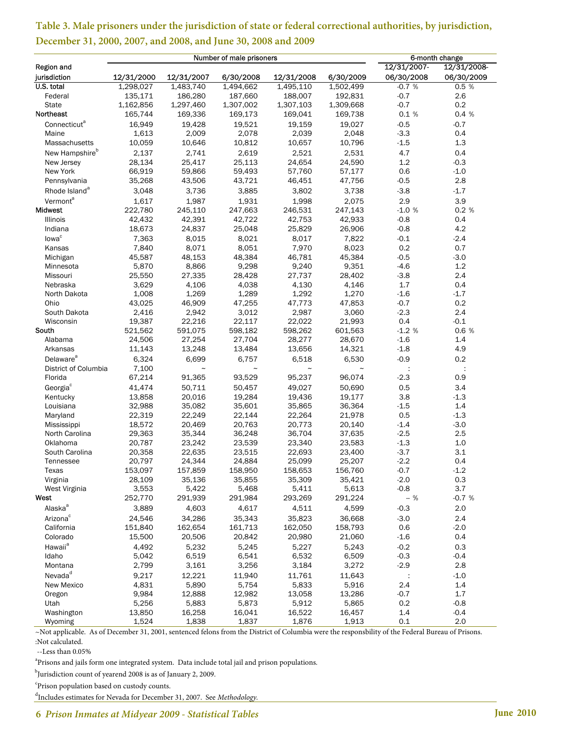|                             | Number of male prisoners |                  |                  |                  |                   | 6-month change   |               |  |
|-----------------------------|--------------------------|------------------|------------------|------------------|-------------------|------------------|---------------|--|
| Region and                  |                          |                  |                  |                  |                   | 12/31/2007-      | 12/31/2008-   |  |
| jurisdiction                | 12/31/2000               | 12/31/2007       | 6/30/2008        | 12/31/2008       | 6/30/2009         | 06/30/2008       | 06/30/2009    |  |
| U.S. total                  | 1,298,027                | 1,483,740        | 1,494,662        | 1,495,110        | 1,502,499         | $-0.7%$          | 0.5%          |  |
| Federal                     | 135,171                  | 186,280          | 187,660          | 188,007          | 192,831           | $-0.7$           | 2.6           |  |
| <b>State</b>                | 1,162,856                | 1,297,460        | 1,307,002        | 1,307,103        | 1,309,668         | $-0.7$           | 0.2           |  |
| Northeast                   | 165,744                  | 169,336          | 169,173          | 169,041          | 169,738           | 0.1%             | 0.4 %         |  |
| Connecticut <sup>a</sup>    | 16,949                   | 19,428           | 19,521           | 19,159           | 19,027            | $-0.5$           | $-0.7$        |  |
| Maine                       | 1,613                    | 2,009            | 2,078            | 2,039            | 2,048             | $-3.3$           | 0.4           |  |
| Massachusetts               | 10,059                   | 10,646           | 10,812           | 10,657           | 10,796            | $-1.5$           | 1.3           |  |
| New Hampshire <sup>b</sup>  | 2,137                    | 2,741            | 2,619            | 2,521            | 2,531             | 4.7              | 0.4           |  |
| New Jersey                  | 28,134                   | 25,417           | 25,113           | 24,654           | 24,590            | 1.2              | $-0.3$        |  |
| New York                    | 66,919                   | 59,866           | 59,493           | 57,760           | 57,177            | 0.6              | $-1.0$        |  |
| Pennsylvania                | 35,268                   | 43,506           | 43,721           | 46,451           | 47,756            | $-0.5$           | 2.8           |  |
| Rhode Island <sup>a</sup>   | 3.048                    | 3,736            | 3.885            | 3,802            | 3,738             | $-3.8$           | $-1.7$        |  |
| Vermont <sup>a</sup>        | 1,617                    | 1,987            | 1,931            | 1,998            | 2,075             | 2.9              | 3.9           |  |
| <b>Midwest</b>              | 222,780                  | 245,110          | 247,663          | 246,531          | 247,143           | $-1.0%$          | 0.2 %         |  |
| Illinois                    | 42,432                   | 42,391           | 42,722           | 42,753           | 42,933            | $-0.8$           | 0.4           |  |
| Indiana                     | 18,673                   | 24,837           | 25,048           | 25,829           | 26,906            | $-0.8$           | 4.2           |  |
|                             |                          |                  |                  |                  |                   |                  |               |  |
| lowa <sup>c</sup>           | 7.363                    | 8,015            | 8,021            | 8,017            | 7,822             | $-0.1$           | $-2.4$        |  |
| Kansas                      | 7,840                    | 8,071            | 8,051            | 7,970            | 8,023             | 0.2              | 0.7           |  |
| Michigan                    | 45,587                   | 48,153           | 48,384           | 46,781           | 45,384            | $-0.5$           | $-3.0$        |  |
| Minnesota                   | 5,870                    | 8,866            | 9,298            | 9,240            | 9,351             | $-4.6$           | 1.2           |  |
| Missouri                    | 25,550                   | 27,335           | 28,428           | 27,737           | 28,402            | $-3.8$           | 2.4           |  |
| Nebraska                    | 3,629                    | 4,106            | 4,038            | 4,130            | 4,146             | 1.7              | 0.4           |  |
| North Dakota                | 1,008                    | 1,269            | 1,289            | 1,292            | 1,270             | $-1.6$           | $-1.7$        |  |
| Ohio                        | 43,025                   | 46,909           | 47,255           | 47,773           | 47,853            | $-0.7$           | 0.2           |  |
| South Dakota                | 2,416                    | 2,942            | 3,012            | 2,987            | 3,060             | $-2.3$<br>0.4    | 2.4<br>$-0.1$ |  |
| Wisconsin<br>South          | 19,387                   | 22,216           | 22,117           | 22,022           | 21,993            |                  |               |  |
|                             | 521,562                  | 591,075          | 598,182          | 598,262          | 601,563           | $-1.2%$          | 0.6 %         |  |
| Alabama                     | 24,506<br>11,143         | 27,254           | 27,704<br>13,484 | 28,277           | 28,670            | $-1.6$<br>$-1.8$ | 1.4<br>4.9    |  |
| Arkansas                    |                          | 13,248           |                  | 13,656           | 14,321            |                  |               |  |
| Delaware <sup>a</sup>       | 6,324                    | 6,699            | 6,757            | 6,518            | 6,530             | $-0.9$           | 0.2           |  |
| District of Columbia        | 7,100                    | $\tilde{}$       | $\tilde{}$       | $\thicksim$      | $\tilde{}$        |                  | ÷             |  |
| Florida                     | 67,214                   | 91,365           | 93,529           | 95,237           | 96,074            | $-2.3$           | 0.9           |  |
| Georgia <sup>c</sup>        | 41,474                   | 50,711           | 50,457           | 49,027           | 50,690            | 0.5              | 3.4           |  |
| Kentucky                    | 13,858                   | 20,016           | 19,284           | 19,436           | 19,177            | 3.8              | $-1.3$        |  |
| Louisiana                   | 32,988                   | 35,082           | 35,601           | 35,865           | 36,364            | $-1.5$           | 1.4           |  |
| Maryland                    | 22,319                   | 22,249           | 22,144           | 22,264           | 21,978            | 0.5              | $-1.3$        |  |
| Mississippi                 | 18,572                   | 20,469           | 20,763           | 20,773           | 20,140            | $-1.4$           | $-3.0$        |  |
| North Carolina              | 29,363<br>20,787         | 35,344           | 36,248           | 36,704           | 37,635            | $-2.5$           | 2.5           |  |
| Oklahoma                    |                          | 23,242<br>22,635 | 23,539<br>23,515 | 23,340<br>22,693 | 23,583            | $-1.3$<br>$-3.7$ | 1.0<br>3.1    |  |
| South Carolina<br>Tennessee | 20,358<br>20,797         | 24,344           | 24,884           | 25,099           | 23,400<br>25,207  | $-2.2$           | 0.4           |  |
| Texas                       | 153,097                  | 157,859          | 158,950          | 158,653          | 156,760           | $-0.7$           | $-1.2$        |  |
| Virginia                    | 28,109                   | 35,136           | 35,855           | 35,309           | 35,421            | $-2.0$           | 0.3           |  |
| West Virginia               | 3,553                    | 5,422            | 5,468            | 5,411            | 5,613             | $-0.8$           | 3.7           |  |
| West                        | 252,770                  | 291,939          | 291,984          | 293,269          | 291,224           | $-$ %            | $-0.7%$       |  |
| Alaska <sup>a</sup>         | 3.889                    | 4,603            | 4,617            | 4,511            | 4,599             | $-0.3$           | 2.0           |  |
|                             |                          |                  |                  |                  |                   |                  |               |  |
| Arizona <sup>c</sup>        | 24,546<br>151,840        | 34,286           | 35,343           | 35,823           | 36,668<br>158,793 | $-3.0$           | 2.4           |  |
| California                  |                          | 162,654          | 161,713          | 162,050          |                   | 0.6              | $-2.0$        |  |
| Colorado                    | 15,500                   | 20,506           | 20,842           | 20,980           | 21,060            | $-1.6$           | 0.4           |  |
| Hawaii <sup>a</sup>         | 4,492                    | 5,232            | 5,245            | 5,227            | 5,243             | $-0.2$           | 0.3           |  |
| Idaho                       | 5,042                    | 6,519            | 6,541            | 6,532            | 6,509             | $-0.3$           | $-0.4$        |  |
| Montana                     | 2,799                    | 3,161            | 3,256            | 3,184            | 3,272             | $-2.9$           | 2.8           |  |
| Nevada <sup>d</sup>         | 9,217                    | 12,221           | 11,940           | 11,761           | 11,643            | $\sim$           | $-1.0$        |  |
| New Mexico                  | 4,831                    | 5,890            | 5,754            | 5,833            | 5,916             | 2.4              | 1.4           |  |
| Oregon                      | 9,984                    | 12,888           | 12,982           | 13,058           | 13,286            | $-0.7$           | 1.7           |  |
| Utah                        | 5,256                    | 5,883            | 5,873            | 5,912            | 5,865             | 0.2              | $-0.8$        |  |
| Washington                  | 13,850                   | 16,258           | 16,041           | 16,522           | 16,457            | 1.4              | $-0.4$        |  |
| Wyoming                     | 1,524                    | 1,838            | 1,837            | 1,876            | 1,913             | 0.1              | 2.0           |  |

## **Table 3. Male prisoners under the jurisdiction of state or federal correctional authorities, by jurisdiction, December 31, 2000, 2007, and 2008, and June 30, 2008 and 2009**

~Not applicable. As of December 31, 2001, sentenced felons from the District of Columbia were the responsbility of the Federal Bureau of Prisons. :Not calculated.

--Less than 0.05%

<sup>a</sup>Prisons and jails form one integrated system. Data include total jail and prison populations.

b Jurisdiction count of yearend 2008 is as of January 2, 2009.

c Prison population based on custody counts.

d Includes estimates for Nevada for December 31, 2007. See *Methodology.*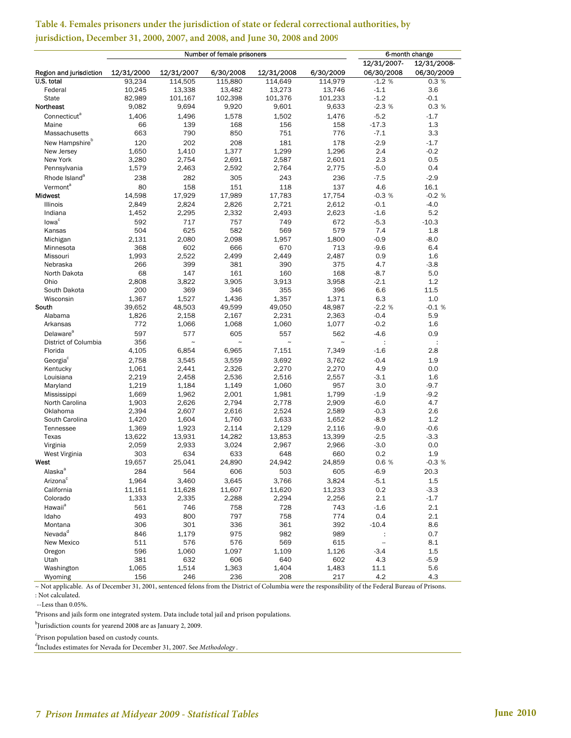|                              | Number of female prisoners |              |              |               |              | 6-month change           |               |  |
|------------------------------|----------------------------|--------------|--------------|---------------|--------------|--------------------------|---------------|--|
|                              |                            |              |              |               |              | 12/31/2007-              | 12/31/2008-   |  |
| Region and jurisdiction      | 12/31/2000                 | 12/31/2007   | 6/30/2008    | 12/31/2008    | 6/30/2009    | 06/30/2008               | 06/30/2009    |  |
| U.S. total                   | 93,234                     | 114,505      | 115,880      | 114,649       | 114,979      | $-1.2%$                  | 0.3%          |  |
| Federal                      | 10,245                     | 13,338       | 13,482       | 13,273        | 13,746       | $-1.1$                   | 3.6           |  |
| <b>State</b>                 | 82,989                     | 101,167      | 102,398      | 101,376       | 101,233      | $-1.2$                   | $-0.1$        |  |
| Northeast                    | 9,082                      | 9,694        | 9,920        | 9,601         | 9,633        | $-2.3%$                  | 0.3 %         |  |
| Connecticut <sup>a</sup>     | 1,406                      | 1,496        | 1,578        | 1,502         | 1,476        | $-5.2$                   | $-1.7$        |  |
| Maine                        | 66                         | 139          | 168          | 156           | 158          | $-17.3$                  | 1.3           |  |
| Massachusetts                | 663                        | 790          | 850          | 751           | 776          | $-7.1$                   | 3.3           |  |
| New Hampshire <sup>b</sup>   | 120                        | 202          | 208          | 181           | 178          | $-2.9$                   | $-1.7$        |  |
| New Jersey                   | 1,650                      | 1.410        | 1.377        | 1,299         | 1,296        | 2.4                      | $-0.2$        |  |
| New York                     | 3,280                      | 2,754        | 2,691        | 2,587         | 2,601        | 2.3                      | 0.5           |  |
| Pennsylvania                 | 1,579                      | 2,463        | 2,592        | 2,764         | 2,775        | $-5.0$                   | 0.4           |  |
| Rhode Island <sup>a</sup>    | 238                        | 282          | 305          | 243           | 236          | $-7.5$                   | $-2.9$        |  |
| Vermont <sup>a</sup>         | 80                         | 158          | 151          | 118           | 137          | 4.6                      | 16.1          |  |
| Midwest                      | 14,598                     | 17,929       | 17,989       | 17,783        | 17,754       | $-0.3%$                  | $-0.2%$       |  |
| Illinois                     | 2,849                      | 2,824        | 2,826        | 2,721         | 2,612        | $-0.1$                   | $-4.0$        |  |
| Indiana                      | 1,452                      | 2,295        | 2,332        | 2,493         | 2,623        | $-1.6$                   | 5.2           |  |
| lowa <sup>c</sup>            | 592                        | 717          | 757          | 749           | 672          | $-5.3$                   | $-10.3$       |  |
| Kansas                       | 504                        | 625          | 582<br>2,098 | 569           | 579          | 7.4                      | 1.8           |  |
| Michigan<br>Minnesota        | 2,131<br>368               | 2,080<br>602 | 666          | 1,957<br>670  | 1,800<br>713 | $-0.9$<br>$-9.6$         | $-8.0$<br>6.4 |  |
| Missouri                     | 1,993                      | 2,522        | 2,499        | 2,449         | 2,487        | 0.9                      | 1.6           |  |
| Nebraska                     | 266                        | 399          | 381          | 390           | 375          | 4.7                      | $-3.8$        |  |
| North Dakota                 | 68                         | 147          | 161          | 160           | 168          | $-8.7$                   | 5.0           |  |
| Ohio                         | 2,808                      | 3,822        | 3,905        | 3,913         | 3,958        | $-2.1$                   | 1.2           |  |
| South Dakota                 | 200                        | 369          | 346          | 355           | 396          | 6.6                      | 11.5          |  |
| Wisconsin                    | 1,367                      | 1,527        | 1,436        | 1,357         | 1,371        | 6.3                      | 1.0           |  |
| South                        | 39,652                     | 48,503       | 49,599       | 49,050        | 48,987       | $-2.2%$                  | $-0.1%$       |  |
| Alabama                      | 1,826                      | 2,158        | 2,167        | 2,231         | 2,363        | $-0.4$                   | 5.9           |  |
| Arkansas                     | 772                        | 1,066        | 1,068        | 1,060         | 1,077        | $-0.2$                   | 1.6           |  |
| <b>Delaware</b> <sup>a</sup> | 597                        | 577          | 605          | 557           | 562          | $-4.6$                   | 0.9           |  |
| District of Columbia         | 356                        | $\tilde{ }$  | $\tilde{}$   | $\tilde{}$    | $\tilde{}$   |                          | ÷             |  |
| Florida                      | 4,105                      | 6,854        | 6,965        | 7,151         | 7,349        | $-1.6$                   | 2.8           |  |
| Georgia <sup>c</sup>         | 2,758                      | 3,545        | 3,559        | 3,692         | 3,762        | $-0.4$                   | 1.9           |  |
| Kentucky                     | 1,061                      | 2,441        | 2,326        | 2,270         | 2,270        | 4.9                      | 0.0           |  |
| Louisiana                    | 2,219                      | 2,458        | 2,536        | 2,516         | 2,557        | $-3.1$                   | 1.6           |  |
| Maryland                     | 1,219                      | 1,184        | 1,149        | 1,060         | 957          | 3.0                      | $-9.7$        |  |
| Mississippi                  | 1,669                      | 1,962        | 2,001        | 1,981         | 1,799        | $-1.9$                   | $-9.2$        |  |
| North Carolina               | 1,903                      | 2,626        | 2,794        | 2,778         | 2,909        | $-6.0$                   | 4.7           |  |
| Oklahoma                     | 2,394                      | 2.607        | 2,616        | 2,524         | 2,589        | $-0.3$                   | 2.6           |  |
| South Carolina               | 1,420                      | 1,604        | 1,760        | 1,633         | 1,652        | $-8.9$                   | 1.2           |  |
| Tennessee                    | 1,369                      | 1,923        | 2,114        | 2,129         | 2,116        | $-9.0$                   | $-0.6$        |  |
| Texas                        | 13,622                     | 13,931       | 14,282       | 13,853        | 13,399       | $-2.5$                   | $-3.3$        |  |
| Virginia                     | 2,059                      | 2,933        | 3,024        | 2,967         | 2,966        | $-3.0$                   | 0.0<br>1.9    |  |
| West Virginia<br>West        | 303                        | 634          | 633          | 648<br>24.942 | 660          | 0.2<br>0.6%              |               |  |
|                              | 19,657                     | 25,041       | 24,890       |               | 24,859       |                          | $-0.3%$       |  |
| Alaska <sup>a</sup>          | 284                        | 564          | 606          | 503           | 605          | $-6.9$                   | 20.3          |  |
| Arizona <sup>c</sup>         | 1,964                      | 3,460        | 3,645        | 3,766         | 3,824        | $-5.1$                   | 1.5           |  |
| California                   | 11,161                     | 11,628       | 11,607       | 11,620        | 11,233       | 0.2                      | $-3.3$        |  |
| Colorado                     | 1,333                      | 2,335        | 2,288        | 2,294         | 2,256        | 2.1                      | $-1.7$        |  |
| Hawaii <sup>a</sup>          | 561                        | 746          | 758          | 728           | 743          | $-1.6$                   | 2.1           |  |
| Idaho                        | 493                        | 800          | 797          | 758           | 774          | 0.4                      | 2.1           |  |
| Montana                      | 306                        | 301          | 336          | 361           | 392          | $-10.4$                  | 8.6           |  |
| Nevada <sup>d</sup>          | 846                        | 1,179        | 975          | 982           | 989          | ÷                        | 0.7           |  |
| New Mexico                   | 511                        | 576          | 576          | 569           | 615          | $\overline{\phantom{a}}$ | 8.1           |  |
| Oregon                       | 596                        | 1,060        | 1,097        | 1,109         | 1,126        | $-3.4$                   | 1.5           |  |
| Utah                         | 381                        | 632          | 606          | 640           | 602          | 4.3                      | $-5.9$        |  |
| Washington                   | 1,065<br>156               | 1,514<br>246 | 1,363<br>236 | 1,404<br>208  | 1,483<br>217 | 11.1<br>4.2              | 5.6<br>4.3    |  |
| Wyoming                      |                            |              |              |               |              |                          |               |  |

#### **Table 4. Females prisoners under the jurisdiction of state or federal correctional authorities, by jurisdiction, December 31, 2000, 2007, and 2008, and June 30, 2008 and 2009**

: Not calculated. ~ Not applicable. As of December 31, 2001, sentenced felons from the District of Columbia were the responsibility of the Federal Bureau of Prisons.

--Less than 0.05%.

<sup>a</sup>Prisons and jails form one integrated system. Data include total jail and prison populations.

b Jurisdiction counts for yearend 2008 are as January 2, 2009.

c Prison population based on custody counts.

d Includes estimates for Nevada for December 31, 2007. See *Methodology* .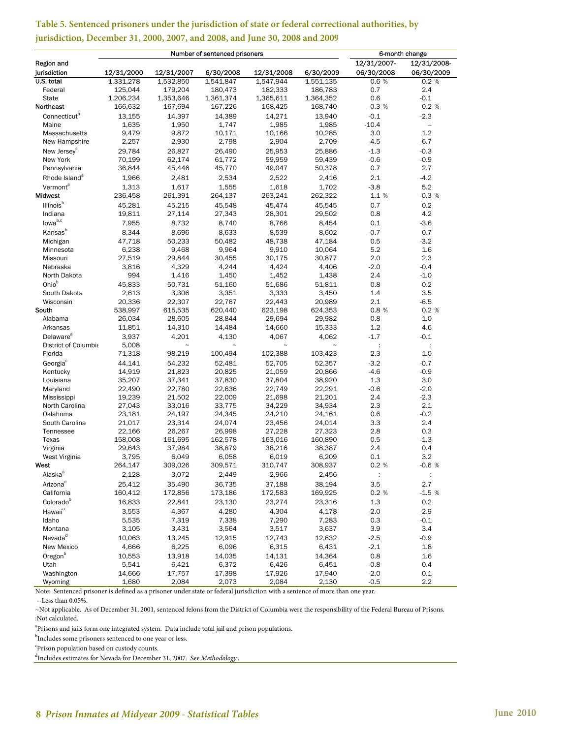|                           |                  |                  | Number of sentenced prisoners |                  |                  | 6-month change       |                          |
|---------------------------|------------------|------------------|-------------------------------|------------------|------------------|----------------------|--------------------------|
| Region and                |                  |                  |                               |                  |                  | 12/31/2007-          | 12/31/2008-              |
| jurisdiction              | 12/31/2000       | 12/31/2007       | 6/30/2008                     | 12/31/2008       | 6/30/2009        | 06/30/2008           | 06/30/2009               |
| U.S. total                | 1,331,278        | 1,532,850        | 1,541,847                     | 1,547,944        | 1,551,135        | 0.6 %                | 0.2%                     |
| Federal                   | 125,044          | 179,204          | 180,473                       | 182,333          | 186,783          | 0.7                  | 2.4                      |
| <b>State</b>              | 1,206,234        | 1,353,646        | 1,361,374                     | 1,365,611        | 1,364,352        | 0.6                  | $-0.1$                   |
| Northeast                 | 166,632          | 167,694          | 167,226                       | 168,425          | 168,740          | $-0.3%$              | 0.2%                     |
| Connecticut <sup>a</sup>  | 13,155           | 14,397           | 14,389                        | 14,271           | 13,940           | $-0.1$               | $-2.3$                   |
| Maine                     | 1,635            | 1,950            | 1,747                         | 1,985            | 1,985            | $-10.4$              | $\overline{\phantom{a}}$ |
| Massachusetts             | 9,479            | 9,872            | 10,171                        | 10,166           | 10,285           | 3.0                  | 1.2                      |
| New Hampshire             | 2,257            | 2,930            | 2,798                         | 2,904            | 2,709            | $-4.5$               | $-6.7$                   |
| New Jersey <sup>c</sup>   | 29,784           | 26,827           | 26,490                        | 25,953           | 25,886           | $-1.3$               | $-0.3$                   |
| New York                  | 70,199           | 62,174           | 61,772                        | 59,959           | 59,439           | $-0.6$               | $-0.9$                   |
| Pennsylvania              | 36,844           | 45,446           | 45,770                        | 49,047           | 50,378           | 0.7                  | 2.7                      |
| Rhode Island <sup>a</sup> | 1,966            | 2,481            | 2,534                         | 2,522            | 2,416            | 2.1                  | $-4.2$                   |
| Vermont <sup>a</sup>      | 1.313            | 1,617            | 1,555                         | 1,618            | 1,702            | $-3.8$               | 5.2                      |
| Midwest                   | 236,458          | 261,391          | 264,137                       | 263,241          | 262,322          | 1.1 %                | $-0.3%$                  |
| Illinois <sup>b</sup>     | 45,281           | 45,215           | 45,548                        | 45,474           | 45,545           | 0.7                  | 0.2                      |
| Indiana                   | 19,811           | 27,114           | 27,343                        | 28,301           | 29,502           | 0.8                  | 4.2                      |
| lowa <sup>b,c</sup>       |                  |                  |                               |                  |                  |                      |                          |
|                           | 7,955            | 8,732            | 8,740                         | 8,766            | 8,454            | 0.1                  | $-3.6$                   |
| Kansas <sup>b</sup>       | 8,344            | 8,696            | 8,633                         | 8,539            | 8,602            | $-0.7$               | 0.7                      |
| Michigan                  | 47,718           | 50,233           | 50,482                        | 48,738           | 47,184           | 0.5                  | $-3.2$                   |
| Minnesota                 | 6,238            | 9,468            | 9,964                         | 9,910            | 10,064           | 5.2                  | 1.6                      |
| Missouri                  | 27,519           | 29,844           | 30,455                        | 30,175           | 30,877           | 2.0                  | 2.3                      |
| Nebraska                  | 3,816            | 4,329            | 4,244                         | 4,424            | 4,406            | $-2.0$               | $-0.4$                   |
| North Dakota              | 994              | 1,416            | 1,450                         | 1,452            | 1,438            | 2.4                  | $-1.0$                   |
| Ohiob                     | 45,833           | 50,731           | 51,160                        | 51,686           | 51,811           | 0.8                  | 0.2                      |
| South Dakota              | 2,613            | 3,306            | 3,351                         | 3,333            | 3,450            | 1.4                  | 3.5                      |
| Wisconsin                 | 20,336           | 22,307           | 22,767                        | 22,443           | 20,989           | 2.1                  | $-6.5$                   |
| South                     | 538,997          | 615,535          | 620,440                       | 623,198          | 624,353          | 0.8%                 | 0.2 %                    |
| Alabama                   | 26,034           | 28,605           | 28,844                        | 29,694           | 29,982           | 0.8<br>1.2           | 1.0                      |
| Arkansas                  | 11,851           | 14,310           | 14,484                        | 14,660           | 15,333           |                      | 4.6                      |
| Delaware <sup>a</sup>     | 3,937            | 4,201            | 4,130                         | 4,067            | 4,062            | $-1.7$               | $-0.1$                   |
| District of Columbia      | 5,008            | $\tilde{}$       | $\tilde{}$                    | $\tilde{}$       | $\tilde{}$       | ÷                    | $\ddot{\phantom{a}}$     |
| Florida                   | 71,318           | 98,219           | 100,494                       | 102,388          | 103,423          | 2.3                  | 1.0                      |
| Georgia <sup>c</sup>      | 44,141           | 54,232           | 52,481                        | 52,705           | 52,357           | $-3.2$               | $-0.7$                   |
| Kentucky                  | 14,919           | 21,823           | 20,825                        | 21,059           | 20,866           | $-4.6$               | $-0.9$                   |
| Louisiana                 | 35,207<br>22,490 | 37,341<br>22,780 | 37,830<br>22,636              | 37,804<br>22,749 | 38,920<br>22,291 | 1.3<br>$-0.6$        | 3.0<br>$-2.0$            |
| Maryland<br>Mississippi   | 19,239           | 21,502           | 22,009                        | 21,698           | 21,201           | 2.4                  | $-2.3$                   |
| North Carolina            | 27,043           | 33,016           | 33,775                        | 34,229           | 34,934           | 2.3                  | 2.1                      |
| Oklahoma                  | 23,181           | 24,197           | 24,345                        | 24,210           | 24,161           | 0.6                  | $-0.2$                   |
| South Carolina            | 21,017           | 23,314           | 24,074                        | 23,456           | 24,014           | 3.3                  | 2.4                      |
| Tennessee                 | 22,166           | 26,267           | 26,998                        | 27,228           | 27,323           | 2.8                  | 0.3                      |
| Texas                     | 158,008          | 161,695          | 162,578                       | 163,016          | 160,890          | 0.5                  | $-1.3$                   |
| Virginia                  | 29,643           | 37,984           | 38,879                        | 38,216           | 38,387           | 2.4                  | 0.4                      |
| West Virginia             | 3,795            | 6,049            | 6,058                         | 6,019            | 6,209            | 0.1                  | 3.2                      |
| West                      | 264,147          | 309,026          | 309,571                       | 310,747          | 308,937          | 0.2%                 | $-0.6%$                  |
| Alaska <sup>a</sup>       | 2,128            | 3,072            | 2,449                         | 2,966            | 2,456            | $\ddot{\phantom{a}}$ | $\ddot{\cdot}$           |
| Arizona <sup>c</sup>      | 25,412           | 35,490           | 36,735                        | 37,188           | 38,194           | 3.5                  | 2.7                      |
| California                | 160,412          | 172,856          | 173,186                       | 172,583          | 169,925          | 0.2 %                | $-1.5%$                  |
| Colorado <sup>b</sup>     | 16,833           | 22,841           | 23,130                        | 23,274           | 23,316           | 1.3                  | 0.2                      |
| Hawaii <sup>a</sup>       |                  |                  |                               |                  |                  |                      | $-2.9$                   |
|                           | 3,553            | 4,367            | 4,280                         | 4,304            | 4,178            | $-2.0$               |                          |
| Idaho<br>Montana          | 5,535            | 7,319            | 7,338                         | 7,290            | 7,283<br>3,637   | 0.3<br>3.9           | $-0.1$<br>3.4            |
|                           | 3,105            | 3,431            | 3,564                         | 3,517            |                  |                      |                          |
| Nevada <sup>d</sup>       | 10,063           | 13,245           | 12,915                        | 12,743           | 12,632           | $-2.5$               | $-0.9$                   |
| New Mexico                | 4,666            | 6,225            | 6,096                         | 6,315            | 6,431            | $-2.1$               | $1.8\,$                  |
| Oregon <sup>b</sup>       | 10,553           | 13,918           | 14,035                        | 14,131           | 14,364           | 0.8                  | 1.6                      |
| Utah                      | 5,541            | 6,421            | 6,372                         | 6,426            | 6,451            | $-0.8$               | 0.4                      |
| Washington                | 14,666           | 17,757           | 17,398                        | 17,926           | 17,940           | $-2.0$               | 0.1                      |
| Wyoming                   | 1,680            | 2,084            | 2,073                         | 2,084            | 2,130            | $-0.5$               | 2.2                      |

#### **Table 5. Sentenced prisoners under the jurisdiction of state or federal correctional authorities, by jurisdiction, December 31, 2000, 2007, and 2008, and June 30, 2008 and 2009**

Note: Sentenced prisoner is defined as a prisoner under state or federal jurisdiction with a sentence of more than one year. --Less than 0.05%.

~Not applicable. As of December 31, 2001, sentenced felons from the District of Columbia were the responsibility of the Federal Bureau of Prisons. :Not calculated.

<sup>a</sup>Prisons and jails form one integrated system. Data include total jail and prison populations.

b<br>Includes some prisoners sentenced to one year or less.<br>Christop population based on quatedy sounts

 $\,^{\mathrm{c}}$  Prison population based on custody counts.

Includes estimates for Nevada for December 31, 2007. See *Methodology* .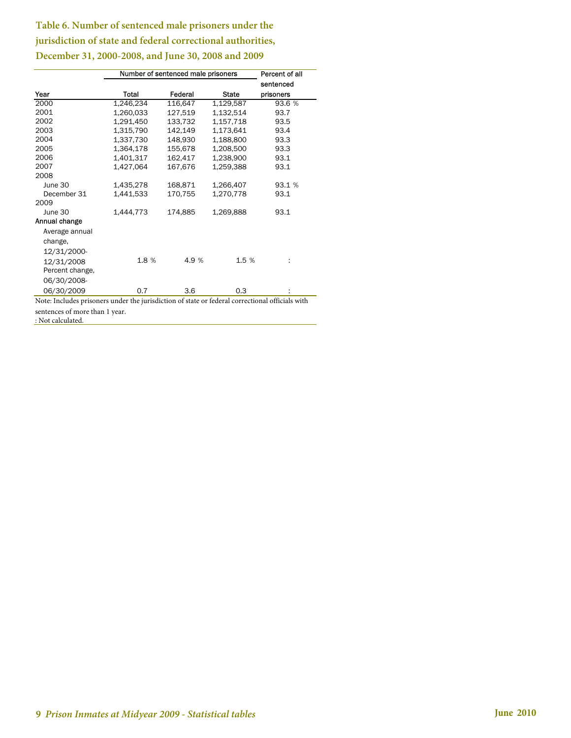## **Table 6. Number of sentenced male prisoners under the jurisdiction of state and federal correctional authorities, December 31, 2000-2008, and June 30, 2008 and 2009**

|                 |           | Number of sentenced male prisoners |              | Percent of all |  |
|-----------------|-----------|------------------------------------|--------------|----------------|--|
|                 |           |                                    |              | sentenced      |  |
| Year            | Total     | Federal                            | <b>State</b> | prisoners      |  |
| 2000            | 1,246,234 | 116,647                            | 1,129,587    | 93.6 %         |  |
| 2001            | 1,260,033 | 127,519                            | 1,132,514    | 93.7           |  |
| 2002            | 1,291,450 | 133,732                            | 1,157,718    | 93.5           |  |
| 2003            | 1,315,790 | 142,149                            | 1,173,641    | 93.4           |  |
| 2004            | 1,337,730 | 148,930                            | 1,188,800    | 93.3           |  |
| 2005            | 1,364,178 | 155,678                            | 1,208,500    | 93.3           |  |
| 2006            | 1,401,317 | 162,417                            | 1,238,900    | 93.1           |  |
| 2007            | 1,427,064 | 167,676                            | 1,259,388    | 93.1           |  |
| 2008            |           |                                    |              |                |  |
| June 30         | 1,435,278 | 168,871                            | 1,266,407    | 93.1 %         |  |
| December 31     | 1,441,533 | 170,755                            | 1,270,778    | 93.1           |  |
| 2009            |           |                                    |              |                |  |
| June 30         | 1,444,773 | 174,885                            | 1,269,888    | 93.1           |  |
| Annual change   |           |                                    |              |                |  |
| Average annual  |           |                                    |              |                |  |
| change,         |           |                                    |              |                |  |
| 12/31/2000-     |           |                                    |              |                |  |
| 12/31/2008      | 1.8 %     | 4.9 %                              | 1.5 %        | ÷              |  |
| Percent change, |           |                                    |              |                |  |
| 06/30/2008-     |           |                                    |              |                |  |
| 06/30/2009      | 0.7       | 3.6                                | 0.3          |                |  |

Note: Includes prisoners under the jurisdiction of state or federal correctional officials with sentences of more than 1 year. : Not calculated.

 **9** *Prison Inmates at Midyear 2009 - Statistical tables* **June 2010**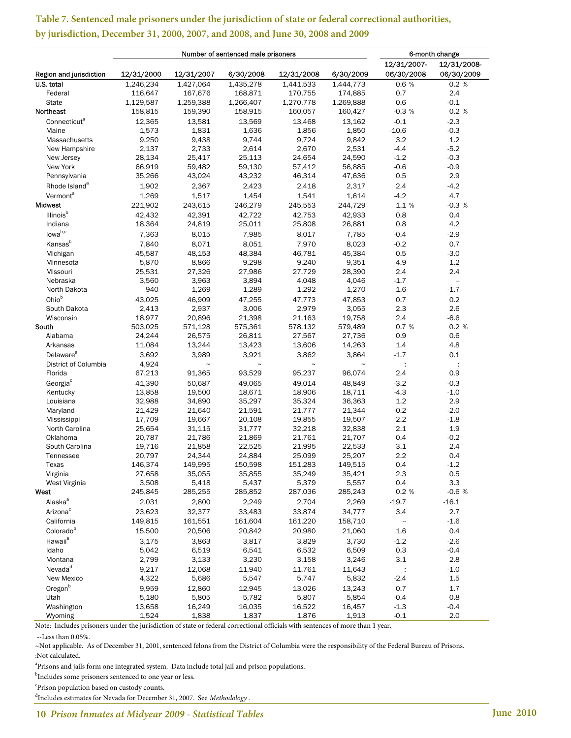|                           | Number of sentenced male prisoners |                       |            |                       |            | 6-month change           |                          |  |
|---------------------------|------------------------------------|-----------------------|------------|-----------------------|------------|--------------------------|--------------------------|--|
|                           |                                    |                       |            |                       |            | 12/31/2007-              | 12/31/2008-              |  |
| Region and jurisdiction   | 12/31/2000                         | 12/31/2007            | 6/30/2008  | 12/31/2008            | 6/30/2009  | 06/30/2008               | 06/30/2009               |  |
| U.S. total                | 1,246,234                          | 1,427,064             | 1,435,278  | 1,441,533             | 1,444,773  | 0.6 %                    | 0.2 %                    |  |
| Federal                   | 116,647                            | 167,676               | 168,871    | 170,755               | 174,885    | 0.7                      | 2.4                      |  |
| State                     | 1,129,587                          | 1,259,388             | 1,266,407  | 1,270,778             | 1,269,888  | 0.6                      | $-0.1$                   |  |
| Northeast                 | 158,815                            | 159,390               | 158,915    | 160,057               | 160,427    | $-0.3%$                  | 0.2 %                    |  |
| Connecticut <sup>a</sup>  | 12,365                             | 13,581                | 13,569     | 13,468                | 13,162     | $-0.1$                   | $-2.3$                   |  |
| Maine                     | 1,573                              | 1,831                 | 1,636      | 1,856                 | 1,850      | $-10.6$                  | $-0.3$                   |  |
| Massachusetts             | 9,250                              | 9,438                 | 9,744      | 9,724                 | 9,842      | 3.2                      | 1.2                      |  |
| New Hampshire             | 2,137                              | 2,733                 | 2,614      | 2,670                 | 2,531      | $-4.4$                   | $-5.2$                   |  |
| New Jersey                | 28,134                             | 25,417                | 25,113     | 24,654                | 24,590     | $-1.2$                   | $-0.3$                   |  |
| New York                  | 66,919                             | 59,482                | 59,130     | 57,412                | 56,885     | $-0.6$                   | $-0.9$                   |  |
| Pennsylvania              | 35,266                             | 43,024                | 43,232     | 46,314                | 47,636     | 0.5                      | 2.9                      |  |
| Rhode Island <sup>a</sup> |                                    |                       | 2,423      |                       |            | 2.4                      | $-4.2$                   |  |
|                           | 1,902                              | 2,367                 |            | 2,418                 | 2,317      |                          |                          |  |
| Vermont <sup>a</sup>      | 1,269                              | 1,517                 | 1,454      | 1,541                 | 1,614      | $-4.2$                   | 4.7                      |  |
| <b>Midwest</b>            | 221,902                            | 243,615               | 246,279    | 245,553               | 244,729    | 1.1 %                    | $-0.3%$                  |  |
| Illinois <sup>b</sup>     | 42,432                             | 42,391                | 42,722     | 42,753                | 42,933     | 0.8                      | 0.4                      |  |
| Indiana                   | 18,364                             | 24,819                | 25,011     | 25,808                | 26,881     | 0.8                      | 4.2                      |  |
| lowab,c                   | 7,363                              | 8,015                 | 7,985      | 8,017                 | 7,785      | $-0.4$                   | $-2.9$                   |  |
| Kansas <sup>b</sup>       | 7,840                              | 8,071                 | 8,051      | 7,970                 | 8,023      | $-0.2$                   | 0.7                      |  |
| Michigan                  | 45,587                             | 48,153                | 48,384     | 46,781                | 45,384     | 0.5                      | $-3.0$                   |  |
| Minnesota                 | 5,870                              | 8,866                 | 9,298      | 9,240                 | 9,351      | 4.9                      | 1.2                      |  |
| Missouri                  | 25,531                             | 27,326                | 27,986     | 27,729                | 28,390     | 2.4                      | 2.4                      |  |
| Nebraska                  | 3,560                              | 3,963                 | 3,894      | 4,048                 | 4,046      | $-1.7$                   | $\overline{\phantom{a}}$ |  |
| North Dakota              | 940                                | 1,269                 | 1,289      | 1,292                 | 1,270      | 1.6                      | $-1.7$                   |  |
| Ohiob                     | 43,025                             | 46,909                | 47,255     | 47,773                | 47,853     | 0.7                      | 0.2                      |  |
| South Dakota              | 2,413                              | 2,937                 | 3,006      | 2,979                 | 3,055      | 2.3                      | 2.6                      |  |
| Wisconsin                 | 18,977                             | 20,896                | 21,398     | 21,163                | 19,758     | 2.4                      | $-6.6$                   |  |
| South                     | 503,025                            | 571,128               | 575,361    | 578,132               | 579,489    | 0.7%                     | 0.2 %                    |  |
| Alabama                   | 24,244                             | 26,575                | 26,811     | 27,567                | 27,736     | 0.9                      | 0.6                      |  |
| Arkansas                  | 11,084                             | 13,244                | 13,423     | 13,606                | 14,263     | 1.4                      | 4.8                      |  |
| Delaware <sup>a</sup>     | 3,692                              | 3,989                 | 3,921      | 3,862                 | 3,864      | $-1.7$                   | 0.1                      |  |
| District of Columbia      | 4,924                              | $\tilde{\phantom{a}}$ | $\tilde{}$ | $\tilde{\phantom{a}}$ | $\tilde{}$ | ÷                        | ÷                        |  |
| Florida                   | 67,213                             | 91,365                | 93,529     | 95,237                | 96,074     | 2.4                      | 0.9                      |  |
| Georgia <sup>c</sup>      | 41,390                             | 50,687                | 49,065     | 49,014                | 48,849     | $-3.2$                   | $-0.3$                   |  |
| Kentucky                  | 13,858                             | 19,500                | 18,671     | 18,906                | 18,711     | $-4.3$                   | $-1.0$                   |  |
| Louisiana                 | 32,988                             | 34,890                | 35,297     | 35,324                | 36,363     | $1.2\,$                  | 2.9                      |  |
| Maryland                  | 21,429                             | 21,640                | 21,591     | 21,777                | 21,344     | $-0.2$                   | $-2.0$                   |  |
| Mississippi               | 17,709                             | 19,667                | 20,108     | 19,855                | 19,507     | 2.2                      | $-1.8$                   |  |
| North Carolina            | 25,654                             | 31,115                | 31,777     | 32,218                | 32,838     | 2.1                      | 1.9                      |  |
| Oklahoma                  | 20,787                             | 21,786                | 21,869     | 21,761                | 21,707     | 0.4                      | $-0.2$                   |  |
| South Carolina            | 19,716                             | 21,858                | 22,525     | 21,995                | 22,533     | 3.1                      | 2.4                      |  |
| Tennessee                 | 20,797                             | 24,344                | 24,884     | 25,099                | 25,207     | 2.2                      | 0.4                      |  |
| Texas                     | 146,374                            | 149,995               | 150,598    | 151,283               | 149,515    | 0.4                      | $-1.2$                   |  |
| Virginia                  | 27,658                             | 35,055                | 35,855     | 35,249                | 35,421     | 2.3                      | 0.5                      |  |
| West Virginia             | 3,508                              | 5,418                 | 5,437      | 5,379                 | 5,557      | 0.4                      | 3.3                      |  |
| West                      | 245,845                            | 285,255               | 285,852    | 287,036               | 285,243    | 0.2 %                    | $-0.6%$                  |  |
| Alaska <sup>a</sup>       | 2,031                              | 2,800                 | 2,249      | 2,704                 | 2,269      | $-19.7$                  | $-16.1$                  |  |
| Arizona <sup>c</sup>      | 23,623                             | 32,377                | 33,483     | 33,874                | 34,777     | 3.4                      | 2.7                      |  |
| California                | 149,815                            | 161,551               | 161,604    | 161,220               | 158,710    | $\overline{\phantom{a}}$ | $-1.6$                   |  |
|                           |                                    |                       |            |                       |            |                          |                          |  |
| Colorado <sup>b</sup>     | 15,500                             | 20,506                | 20,842     | 20,980                | 21,060     | 1.6                      | 0.4                      |  |
| Hawaii <sup>a</sup>       | 3,175                              | 3,863                 | 3,817      | 3,829                 | 3,730      | $-1.2$                   | $-2.6$                   |  |
| Idaho                     | 5,042                              | 6,519                 | 6,541      | 6,532                 | 6,509      | 0.3                      | $-0.4$                   |  |
| Montana                   | 2,799                              | 3,133                 | 3,230      | 3,158                 | 3,246      | 3.1                      | 2.8                      |  |
| Nevada <sup>d</sup>       | 9,217                              | 12,068                | 11,940     | 11,761                | 11,643     |                          | $-1.0$                   |  |
| New Mexico                | 4,322                              | 5,686                 | 5,547      | 5,747                 | 5,832      | $-2.4$                   | $1.5\,$                  |  |
| Oregon <sup>b</sup>       | 9,959                              | 12,860                | 12,945     | 13,026                | 13,243     | 0.7                      | 1.7                      |  |
| Utah                      | 5,180                              | 5,805                 | 5,782      | 5,807                 | 5,854      | $-0.4$                   | 0.8                      |  |
| Washington                | 13,658                             | 16,249                | 16,035     | 16,522                | 16,457     | $-1.3$                   | $-0.4$                   |  |
| Wyoming                   | 1,524                              | 1,838                 | 1,837      | 1,876                 | 1,913      | $-0.1$                   | 2.0                      |  |

## **Table 7. Sentenced male prisoners under the jurisdiction of state or federal correctional authorities, by jurisdiction, December 31, 2000, 2007, and 2008, and June 30, 2008 and 2009**

Note: Includes prisoners under the jurisdiction of state or federal correctional officials with sentences of more than 1 year.

--Less than 0.05%.

~Not applicable. As of December 31, 2001, sentenced felons from the District of Columbia were the responsibility of the Federal Bureau of Prisons. :Not calculated.

<sup>a</sup>Prisons and jails form one integrated system. Data include total jail and prison populations.

<sup>b</sup>Includes some prisoners sentenced to one year or less.

c Prison population based on custody counts.

d Includes estimates for Nevada for December 31, 2007. See *Methodology* .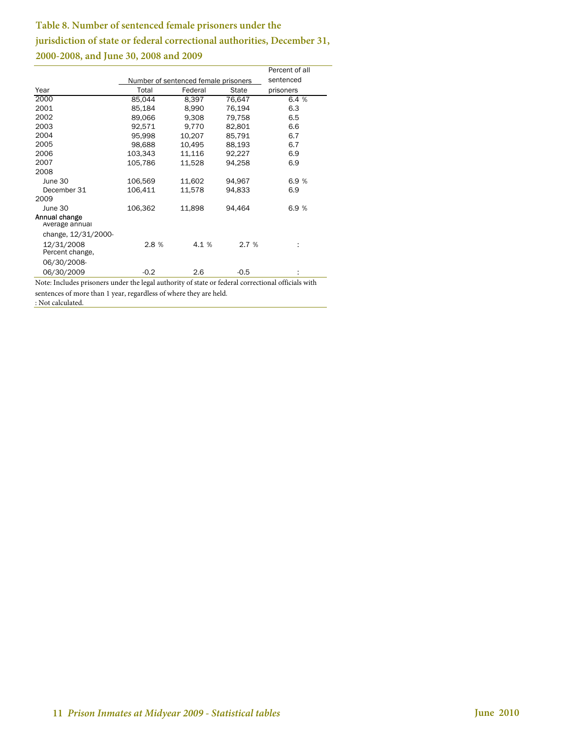## **Table 8. Number of sentenced female prisoners under the jurisdiction of state or federal correctional authorities, December 31, 2000-2008, and June 30, 2008 and 2009**

 $\overline{\phantom{a}}$ 

|                                 |         |                                      |        | Percent of all |
|---------------------------------|---------|--------------------------------------|--------|----------------|
|                                 |         | Number of sentenced female prisoners |        | sentenced      |
| Year                            | Total   | Federal                              | State  | prisoners      |
| 2000                            | 85,044  | 8,397                                | 76,647 | 6.4 %          |
| 2001                            | 85,184  | 8,990                                | 76,194 | 6.3            |
| 2002                            | 89,066  | 9,308                                | 79,758 | 6.5            |
| 2003                            | 92,571  | 9,770                                | 82,801 | 6.6            |
| 2004                            | 95.998  | 10,207                               | 85,791 | 6.7            |
| 2005                            | 98,688  | 10,495                               | 88,193 | 6.7            |
| 2006                            | 103,343 | 11,116                               | 92,227 | 6.9            |
| 2007                            | 105,786 | 11,528                               | 94,258 | 6.9            |
| 2008                            |         |                                      |        |                |
| June 30                         | 106,569 | 11,602                               | 94,967 | 6.9 %          |
| December 31                     | 106,411 | 11,578                               | 94,833 | 6.9            |
| 2009                            |         |                                      |        |                |
| June 30                         | 106,362 | 11,898                               | 94,464 | 6.9%           |
| Annual change<br>Average annual |         |                                      |        |                |
| change, 12/31/2000-             |         |                                      |        |                |
| 12/31/2008<br>Percent change,   | 2.8 %   | 4.1 %                                | 2.7%   | ÷              |
| 06/30/2008-                     |         |                                      |        |                |
| 06/30/2009                      | $-0.2$  | $2.6\,$                              | $-0.5$ |                |

Note: Includes prisoners under the legal authority of state or federal correctional officials with sentences of more than 1 year, regardless of where they are held.

: Not calculated.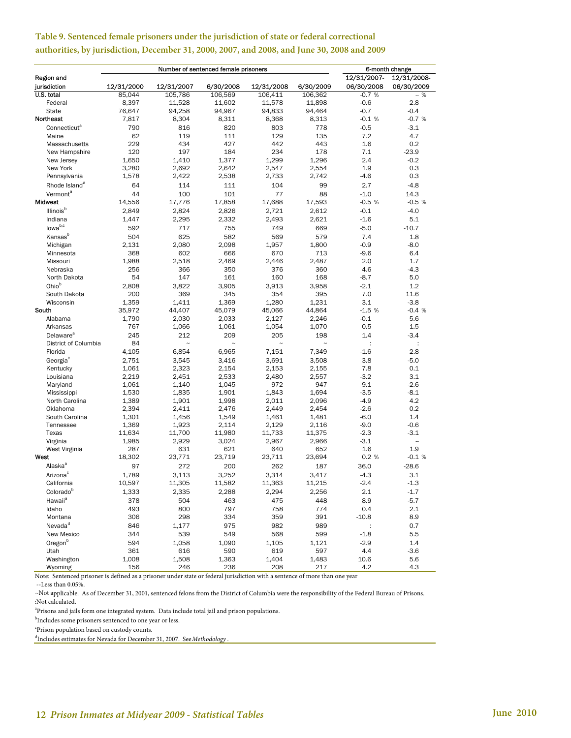|                           |            | Number of sentenced female prisoners |            |            | 6-month change |             |               |
|---------------------------|------------|--------------------------------------|------------|------------|----------------|-------------|---------------|
| <b>Region and</b>         |            |                                      |            |            |                | 12/31/2007- | 12/31/2008-   |
| jurisdiction              | 12/31/2000 | 12/31/2007                           | 6/30/2008  | 12/31/2008 | 6/30/2009      | 06/30/2008  | 06/30/2009    |
| U.S. total                | 85,044     | 105,786                              | 106,569    | 106,411    | 106,362        | $-0.7%$     | $-$ %         |
| Federal                   | 8,397      | 11,528                               | 11,602     | 11,578     | 11,898         | $-0.6$      | 2.8           |
| <b>State</b>              | 76,647     | 94,258                               | 94,967     | 94,833     | 94,464         | $-0.7$      | $-0.4$        |
| Northeast                 | 7,817      | 8,304                                | 8,311      | 8,368      | 8,313          | $-0.1%$     | $-0.7%$       |
| Connecticut <sup>a</sup>  | 790        | 816                                  | 820        | 803        | 778            | $-0.5$      | $-3.1$        |
| Maine                     | 62         | 119                                  | 111        | 129        | 135            | 7.2         | 4.7           |
| Massachusetts             | 229        | 434                                  | 427        | 442        | 443            | 1.6         | 0.2           |
| New Hampshire             | 120        | 197                                  | 184        | 234        | 178            | 7.1         | $-23.9$       |
| New Jersey                | 1,650      | 1.410                                | 1,377      | 1,299      | 1,296          | 2.4         | $-0.2$        |
| New York                  | 3,280      | 2,692                                | 2,642      | 2,547      | 2,554          | 1.9         | 0.3           |
| Pennsylvania              | 1,578      | 2,422                                | 2,538      | 2,733      | 2,742          | $-4.6$      | 0.3           |
| Rhode Island <sup>a</sup> | 64         | 114                                  | 111        | 104        | 99             | 2.7         | $-4.8$        |
| Vermont <sup>a</sup>      | 44         | 100                                  | 101        | 77         | 88             | $-1.0$      | 14.3          |
| Midwest                   | 14,556     | 17,776                               | 17,858     | 17,688     | 17,593         | $-0.5%$     | $-0.5%$       |
|                           |            |                                      |            |            |                |             |               |
| Illinois <sup>b</sup>     | 2,849      | 2,824                                | 2,826      | 2,721      | 2,612          | $-0.1$      | $-4.0$        |
| Indiana                   | 1,447      | 2,295                                | 2,332      | 2,493      | 2,621          | $-1.6$      | 5.1           |
| lowab,c                   | 592        | 717                                  | 755        | 749        | 669            | $-5.0$      | $-10.7$       |
| Kansas <sup>b</sup>       | 504        | 625                                  | 582        | 569        | 579            | 7.4         | 1.8           |
| Michigan                  | 2,131      | 2,080                                | 2,098      | 1,957      | 1,800          | $-0.9$      | $-8.0$        |
| Minnesota                 | 368        | 602                                  | 666        | 670        | 713            | $-9.6$      | 6.4           |
| Missouri                  | 1,988      | 2,518                                | 2,469      | 2,446      | 2,487          | 2.0         | 1.7           |
| Nebraska                  | 256        | 366                                  | 350        | 376        | 360            | 4.6         | -4.3          |
| North Dakota              | 54         | 147                                  | 161        | 160        | 168            | $-8.7$      | 5.0           |
| Ohio <sup>b</sup>         | 2,808      | 3,822                                | 3,905      | 3,913      | 3,958          | $-2.1$      | 1.2           |
| South Dakota              | 200        | 369                                  | 345        | 354        | 395            | 7.0         | 11.6          |
| Wisconsin                 | 1,359      | 1,411                                | 1,369      | 1,280      | 1,231          | 3.1         | $-3.8$        |
| South                     | 35,972     | 44,407                               | 45,079     | 45,066     | 44,864         | $-1.5%$     | $-0.4%$       |
| Alabama                   | 1,790      | 2,030                                | 2,033      | 2.127      | 2,246          | $-0.1$      | 5.6           |
| Arkansas                  | 767        | 1,066                                | 1,061      | 1,054      | 1,070          | 0.5         | 1.5           |
| Delaware <sup>a</sup>     | 245        | 212                                  | 209        | 205        | 198            | 1.4         | $-3.4$        |
| District of Columbia      | 84         | $\tilde{ }$                          | $\tilde{}$ | $\tilde{}$ | $\tilde{ }$    | ÷           | ÷             |
| Florida                   | 4,105      | 6,854                                | 6,965      | 7,151      | 7,349          | $-1.6$      | 2.8           |
| Georgia <sup>c</sup>      | 2,751      | 3,545                                | 3,416      | 3,691      | 3,508          | 3.8         | $-5.0$        |
| Kentucky                  | 1,061      | 2,323                                | 2,154      | 2,153      | 2,155          | 7.8         | 0.1           |
| Louisiana                 | 2,219      | 2,451                                | 2,533      | 2,480      | 2,557          | $-3.2$      | 3.1           |
| Maryland                  | 1,061      | 1,140                                | 1,045      | 972        | 947            | 9.1         | $-2.6$        |
| Mississippi               | 1,530      | 1,835                                | 1,901      | 1,843      | 1,694          | $-3.5$      | $-8.1$        |
| North Carolina            | 1,389      | 1,901                                | 1,998      | 2,011      | 2,096          | $-4.9$      | 4.2           |
| Oklahoma                  | 2,394      | 2,411                                | 2,476      | 2,449      | 2,454          | $-2.6$      | 0.2           |
| South Carolina            | 1,301      | 1,456                                | 1,549      | 1,461      | 1,481          | $-6.0$      | 1.4           |
| Tennessee                 | 1,369      | 1,923                                | 2,114      | 2,129      | 2,116          | $-9.0$      | $-0.6$        |
| Texas                     | 11,634     | 11,700                               | 11,980     | 11,733     | 11,375         | $-2.3$      | $-3.1$        |
| Virginia                  | 1,985      | 2,929                                | 3,024      | 2,967      | 2,966          | $-3.1$      | $\frac{1}{2}$ |
| West Virginia             | 287        | 631                                  | 621        | 640        | 652            | 1.6         | 1.9           |
| West                      | 18,302     | 23,771                               | 23,719     | 23,711     | 23,694         | 0.2%        | $-0.1%$       |
| Alaska <sup>a</sup>       | 97         | 272                                  | 200        | 262        | 187            | 36.0        | $-28.6$       |
| Arizona <sup>c</sup>      | 1,789      | 3,113                                | 3,252      | 3,314      | 3,417          | $-4.3$      | 3.1           |
| California                | 10,597     | 11,305                               | 11,582     | 11,363     | 11,215         | $-2.4$      | $-1.3$        |
| Colorado <sup>b</sup>     | 1,333      | 2,335                                | 2,288      | 2,294      | 2,256          | 2.1         | $-1.7$        |
| Hawaii <sup>a</sup>       | 378        | 504                                  | 463        | 475        | 448            | 8.9         | $-5.7$        |
| Idaho                     | 493        | 800                                  | 797        | 758        | 774            | 0.4         | 2.1           |
| Montana                   | 306        | 298                                  | 334        | 359        | 391            | $-10.8$     | 8.9           |
| Nevada <sup>d</sup>       | 846        | 1,177                                | 975        | 982        | 989            |             | 0.7           |
| New Mexico                | 344        | 539                                  | 549        | 568        | 599            | $-1.8$      | 5.5           |
| Oregon <sup>b</sup>       | 594        | 1,058                                | 1,090      | 1,105      | 1,121          | $-2.9$      | 1.4           |
| Utah                      | 361        | 616                                  | 590        | 619        | 597            | 4.4         | $-3.6$        |
| Washington                | 1,008      | 1,508                                | 1,363      | 1,404      | 1,483          | 10.6        | 5.6           |
| Wyoming                   | 156        | 246                                  | 236        | 208        | 217            | 4.2         | 4.3           |

## **Table 9. Sentenced female prisoners under the jurisdiction of state or federal correctional authorities, by jurisdiction, December 31, 2000, 2007, and 2008, and June 30, 2008 and 2009**

Note: Sentenced prisoner is defined as a prisoner under state or federal jurisdiction with a sentence of more than one year --Less than 0.05%.

~Not applicable. As of December 31, 2001, sentenced felons from the District of Columbia were the responsibility of the Federal Bureau of Prisons. :Not calculated.

<sup>a</sup>Prisons and jails form one integrated system. Data include total jail and prison populations.<br><sup>b</sup>Includes some prisoners septenced to one year or less

 $<sup>b</sup>$ Includes some prisoners sentenced to one year or less.</sup>

 ${}^{\rm c}$ Prison population based on custody counts.<br> ${}^{\rm d}$ In aludas astimates for Navada for Desember

Includes estimates for Nevada for December 31, 2007. See *Methodology* .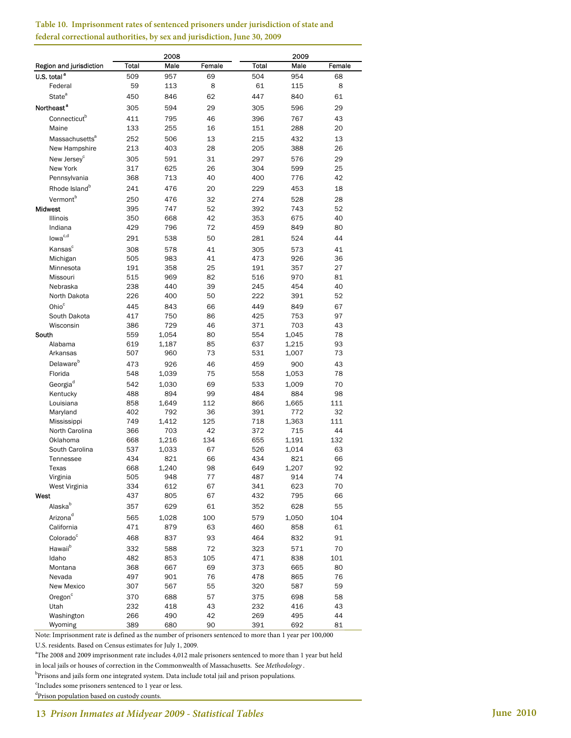|                            |       | 2008  |          | 2009  |       |        |  |
|----------------------------|-------|-------|----------|-------|-------|--------|--|
| Region and jurisdiction    | Total | Male  | Female   | Total | Male  | Female |  |
| U.S. total <sup>a</sup>    | 509   | 957   | 69       | 504   | 954   | 68     |  |
| Federal                    | 59    | 113   | 8        | 61    | 115   | 8      |  |
| State <sup>a</sup>         | 450   | 846   | 62       | 447   | 840   | 61     |  |
| Northeast <sup>a</sup>     | 305   | 594   | 29       | 305   | 596   | 29     |  |
| Connecticut <sup>b</sup>   | 411   | 795   |          | 396   | 767   | 43     |  |
| Maine                      | 133   | 255   | 46<br>16 | 151   | 288   | 20     |  |
|                            |       |       |          |       |       |        |  |
| Massachusetts <sup>a</sup> | 252   | 506   | 13       | 215   | 432   | 13     |  |
| New Hampshire              | 213   | 403   | 28       | 205   | 388   | 26     |  |
| New Jersev <sup>c</sup>    | 305   | 591   | 31       | 297   | 576   | 29     |  |
| New York                   | 317   | 625   | 26       | 304   | 599   | 25     |  |
| Pennsylvania               | 368   | 713   | 40       | 400   | 776   | 42     |  |
| Rhode Island <sup>b</sup>  | 241   | 476   | 20       | 229   | 453   | 18     |  |
| Vermont <sup>b</sup>       | 250   | 476   | 32       | 274   | 528   | 28     |  |
| Midwest                    | 395   | 747   | 52       | 392   | 743   | 52     |  |
| Illinois                   | 350   | 668   | 42       | 353   | 675   | 40     |  |
| Indiana                    | 429   | 796   | 72       | 459   | 849   | 80     |  |
| lowa <sup>c,d</sup>        | 291   | 538   | 50       | 281   | 524   | 44     |  |
| Kansas <sup>c</sup>        | 308   | 578   | 41       | 305   | 573   | 41     |  |
| Michigan                   | 505   | 983   | 41       | 473   | 926   | 36     |  |
| Minnesota                  | 191   | 358   | 25       | 191   | 357   | 27     |  |
| Missouri                   | 515   | 969   | 82       | 516   | 970   | 81     |  |
| Nebraska                   | 238   | 440   | 39       | 245   | 454   | 40     |  |
| North Dakota               | 226   | 400   | 50       | 222   | 391   | 52     |  |
| Ohio <sup>c</sup>          | 445   | 843   | 66       | 449   | 849   | 67     |  |
| South Dakota               | 417   | 750   | 86       | 425   | 753   | 97     |  |
| Wisconsin                  | 386   | 729   | 46       | 371   | 703   | 43     |  |
| South                      | 559   | 1,054 | 80       | 554   | 1,045 | 78     |  |
| Alabama                    | 619   | 1,187 | 85       | 637   | 1,215 | 93     |  |
| Arkansas                   | 507   | 960   | 73       | 531   | 1,007 | 73     |  |
| Delaware <sup>b</sup>      |       |       |          |       |       |        |  |
|                            | 473   | 926   | 46       | 459   | 900   | 43     |  |
| Florida                    | 548   | 1,039 | 75       | 558   | 1,053 | 78     |  |
| Georgia <sup>d</sup>       | 542   | 1,030 | 69       | 533   | 1,009 | 70     |  |
| Kentucky                   | 488   | 894   | 99       | 484   | 884   | 98     |  |
| Louisiana                  | 858   | 1,649 | 112      | 866   | 1,665 | 111    |  |
| Maryland                   | 402   | 792   | 36       | 391   | 772   | 32     |  |
| Mississippi                | 749   | 1,412 | 125      | 718   | 1,363 | 111    |  |
| North Carolina             | 366   | 703   | 42       | 372   | 715   | 44     |  |
| Oklahoma                   | 668   | 1,216 | 134      | 655   | 1,191 | 132    |  |
| South Carolina             | 537   | 1,033 | 67       | 526   | 1,014 | 63     |  |
| Tennessee                  | 434   | 821   | 66       | 434   | 821   | 66     |  |
| Texas                      | 668   | 1,240 | 98       | 649   | 1,207 | 92     |  |
| Virginia                   | 505   | 948   | 77       | 487   | 914   | 74     |  |
| West Virginia              | 334   | 612   | 67       | 341   | 623   | 70     |  |
| West                       | 437   | 805   | 67       | 432   | 795   | 66     |  |
| Alaska <sup>b</sup>        | 357   | 629   | 61       | 352   | 628   | 55     |  |
| Arizona <sup>d</sup>       | 565   | 1,028 | 100      | 579   | 1,050 | 104    |  |
| California                 | 471   | 879   | 63       | 460   | 858   | 61     |  |
| Colorado <sup>c</sup>      | 468   | 837   | 93       | 464   | 832   | 91     |  |
| Hawaii <sup>b</sup>        | 332   | 588   | 72       | 323   | 571   | 70     |  |
| Idaho                      | 482   | 853   | 105      | 471   | 838   | 101    |  |
| Montana                    | 368   | 667   | 69       | 373   | 665   | 80     |  |
| Nevada                     | 497   | 901   | 76       | 478   | 865   | 76     |  |
| New Mexico                 | 307   | 567   | 55       | 320   | 587   | 59     |  |
| Oregon <sup>c</sup>        | 370   | 688   | 57       | 375   | 698   | 58     |  |
| Utah                       | 232   | 418   | 43       | 232   | 416   | 43     |  |
| Washington                 | 266   | 490   | 42       | 269   | 495   | 44     |  |
| Wyoming                    | 389   | 680   | 90       | 391   | 692   | 81     |  |

#### **Table 10. Imprisonment rates of sentenced prisoners under jurisdiction of state and federal correctional authorities, by sex and jurisdiction, June 30, 2009**

Note: Imprisonment rate is defined as the number of prisoners sentenced to more than 1 year per 100,000

U.S. residents. Based on Census estimates for July 1, 2009.

<sup>a</sup>The 2008 and 2009 imprisonment rate includes 4,012 male prisoners sentenced to more than 1 year but held

in local jails or houses of correction in the Commonwealth of Massachusetts. See *Methodology* .

<sup>b</sup>Prisons and jails form one integrated system. Data include total jail and prison populations.

<sup>c</sup>Includes some prisoners sentenced to 1 year or less.

<sup>d</sup>Prison population based on custody counts.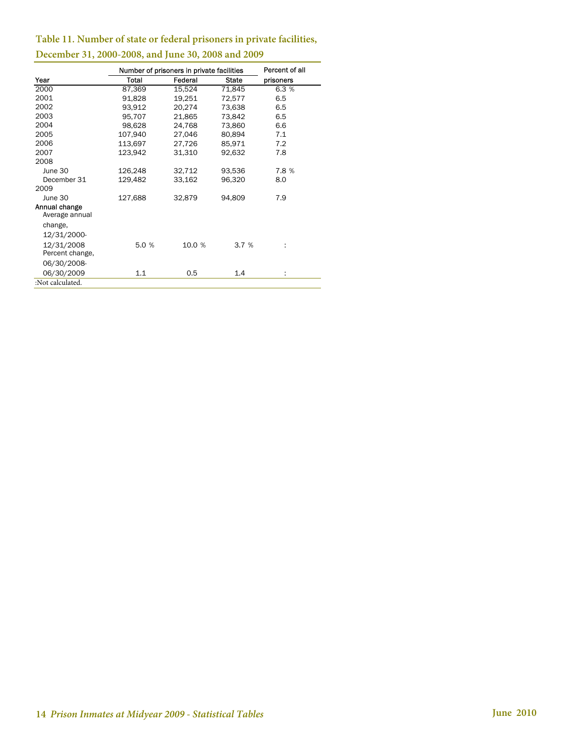## **Table 11. Number of state or federal prisoners in private facilities,**

|                                 | Number of prisoners in private facilities |         | Percent of all |           |
|---------------------------------|-------------------------------------------|---------|----------------|-----------|
| Year                            | Total                                     | Federal | <b>State</b>   | prisoners |
| 2000                            | 87,369                                    | 15,524  | 71,845         | 6.3 %     |
| 2001                            | 91,828                                    | 19,251  | 72,577         | 6.5       |
| 2002                            | 93,912                                    | 20,274  | 73,638         | 6.5       |
| 2003                            | 95,707                                    | 21,865  | 73,842         | 6.5       |
| 2004                            | 98,628                                    | 24,768  | 73,860         | 6.6       |
| 2005                            | 107,940                                   | 27,046  | 80,894         | 7.1       |
| 2006                            | 113,697                                   | 27,726  | 85,971         | 7.2       |
| 2007                            | 123,942                                   | 31,310  | 92,632         | 7.8       |
| 2008                            |                                           |         |                |           |
| June 30                         | 126,248                                   | 32,712  | 93,536         | 7.8 %     |
| December 31                     | 129,482                                   | 33,162  | 96,320         | 8.0       |
| 2009                            |                                           |         |                |           |
| June 30                         | 127,688                                   | 32,879  | 94,809         | 7.9       |
| Annual change<br>Average annual |                                           |         |                |           |
| change,                         |                                           |         |                |           |
| 12/31/2000-                     |                                           |         |                |           |
| 12/31/2008<br>Percent change,   | 5.0 %                                     | 10.0 %  | 3.7%           |           |
| 06/30/2008-                     |                                           |         |                |           |
| 06/30/2009                      | 1.1                                       | 0.5     | 1.4            |           |
| :Not calculated.                |                                           |         |                |           |

## **December 31, 2000-2008, and June 30, 2008 and 2009**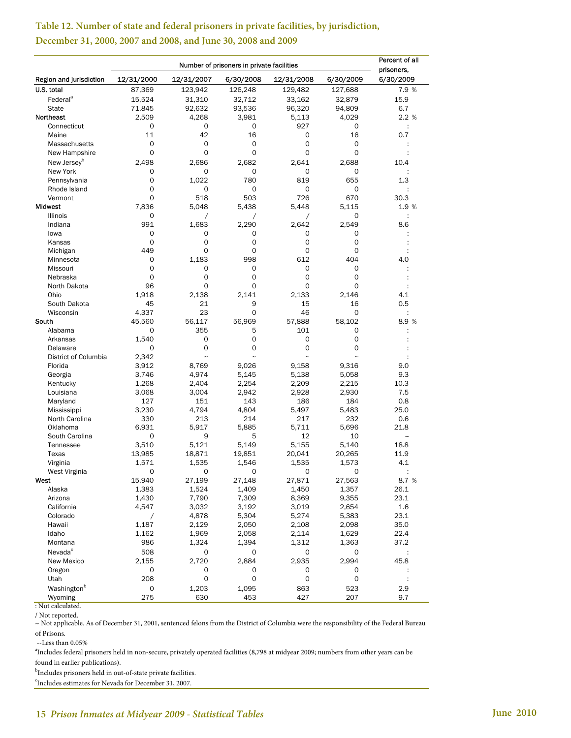|                           |             | Percent of all<br>prisoners. |                       |                       |                       |                      |
|---------------------------|-------------|------------------------------|-----------------------|-----------------------|-----------------------|----------------------|
| Region and jurisdiction   | 12/31/2000  | 12/31/2007                   | 6/30/2008             | 12/31/2008            | 6/30/2009             | 6/30/2009            |
| U.S. total                | 87,369      | 123,942                      | 126,248               | 129,482               | 127,688               | 7.9 %                |
| Federal <sup>a</sup>      | 15,524      | 31,310                       | 32,712                | 33,162                | 32,879                | 15.9                 |
| <b>State</b>              | 71,845      | 92,632                       | 93,536                | 96,320                | 94,809                | 6.7                  |
| Northeast                 | 2,509       | 4,268                        | 3,981                 | 5,113                 | 4,029                 | 2.2 %                |
| Connecticut               | 0           | 0                            | 0                     | 927                   | 0                     | $\ddot{\phantom{a}}$ |
| Maine                     | 11          | 42                           | 16                    | 0                     | 16                    | 0.7                  |
| Massachusetts             | 0           | 0                            | 0                     | 0                     | 0                     |                      |
| New Hampshire             | 0           | 0                            | 0                     | 0                     | 0                     |                      |
| New Jersey <sup>b</sup>   | 2,498       | 2,686                        | 2,682                 | 2,641                 | 2.688                 | 10.4                 |
| New York                  | 0           | 0                            | 0                     | 0                     | 0                     |                      |
| Pennsylvania              | 0           | 1,022                        | 780                   | 819                   | 655                   | 1.3                  |
| Rhode Island              | 0           | 0                            | 0                     | 0                     | 0                     |                      |
| Vermont                   | $\mathbf 0$ | 518                          | 503                   | 726                   | 670                   | 30.3                 |
| Midwest                   | 7,836       | 5,048                        | 5,438                 | 5,448                 | 5,115                 | 1.9 %                |
| <b>Illinois</b>           | 0           | $\overline{1}$               | $\overline{1}$        | Τ                     | 0                     | $\ddot{\phantom{a}}$ |
| Indiana                   | 991         | 1,683                        | 2,290                 | 2,642                 | 2,549                 | 8.6                  |
| lowa                      | 0           | 0                            | 0                     | 0                     | 0                     |                      |
| Kansas                    | 0           | 0                            | 0                     | 0                     | 0                     |                      |
| Michigan                  | 449         | 0                            | 0                     | 0                     | 0                     |                      |
| Minnesota                 | 0<br>0      | 1,183                        | 998<br>0              | 612<br>0              | 404<br>0              | 4.0                  |
| Missouri<br>Nebraska      | $\mathbf 0$ | 0<br>0                       | 0                     | 0                     | 0                     |                      |
| North Dakota              | 96          | 0                            | 0                     | 0                     | 0                     |                      |
| Ohio                      | 1,918       | 2,138                        | 2.141                 | 2,133                 | 2,146                 | 4.1                  |
| South Dakota              | 45          | 21                           | 9                     | 15                    | 16                    | 0.5                  |
| Wisconsin                 | 4,337       | 23                           | 0                     | 46                    | 0                     |                      |
| South                     | 45.560      | 56,117                       | 56,969                | 57,888                | 58,102                | 8.9 %                |
| Alabama                   | 0           | 355                          | 5                     | 101                   | 0                     |                      |
| Arkansas                  | 1,540       | 0                            | 0                     | 0                     | 0                     |                      |
| Delaware                  | 0           | 0                            | 0                     | 0                     | 0                     |                      |
| District of Columbia      | 2,342       | $\tilde{}$                   | $\tilde{\phantom{a}}$ | $\tilde{\phantom{a}}$ | $\tilde{\phantom{a}}$ |                      |
| Florida                   | 3,912       | 8,769                        | 9,026                 | 9,158                 | 9,316                 | 9.0                  |
| Georgia                   | 3,746       | 4,974                        | 5,145                 | 5,138                 | 5,058                 | 9.3                  |
| Kentucky                  | 1,268       | 2,404                        | 2,254                 | 2,209                 | 2,215                 | 10.3                 |
| Louisiana                 | 3,068       | 3,004                        | 2,942                 | 2,928                 | 2,930                 | 7.5                  |
| Maryland                  | 127         | 151                          | 143                   | 186                   | 184                   | 0.8                  |
| Mississippi               | 3,230       | 4,794                        | 4,804                 | 5,497                 | 5,483                 | 25.0                 |
| North Carolina            | 330         | 213                          | 214                   | 217                   | 232                   | 0.6                  |
| Oklahoma                  | 6,931       | 5,917                        | 5,885                 | 5,711                 | 5,696                 | 21.8                 |
| South Carolina            | 0           | 9                            | 5                     | 12                    | 10                    | --                   |
| Tennessee                 | 3,510       | 5,121                        | 5,149                 | 5,155                 | 5,140                 | 18.8                 |
| Texas                     | 13,985      | 18,871                       | 19,851                | 20,041                | 20,265                | 11.9                 |
| Virginia<br>West Virginia | 1,571<br>0  | 1,535<br>0                   | 1,546<br>0            | 1,535<br>O            | 1,573<br>0            | 4.1                  |
| West                      | 15,940      | 27,199                       | 27,148                | 27,871                | 27,563                | 8.7 %                |
| Alaska                    | 1,383       | 1,524                        | 1,409                 | 1,450                 | 1,357                 | 26.1                 |
| Arizona                   | 1,430       | 7,790                        | 7,309                 | 8,369                 | 9,355                 | 23.1                 |
| California                | 4,547       | 3,032                        | 3,192                 | 3,019                 | 2,654                 | 1.6                  |
| Colorado                  | Τ           | 4,878                        | 5,304                 | 5,274                 | 5,383                 | 23.1                 |
| Hawaii                    | 1,187       | 2,129                        | 2,050                 | 2,108                 | 2,098                 | 35.0                 |
| Idaho                     | 1,162       | 1,969                        | 2,058                 | 2,114                 | 1,629                 | 22.4                 |
| Montana                   | 986         | 1,324                        | 1,394                 | 1,312                 | 1,363                 | 37.2                 |
| Nevada <sup>c</sup>       | 508         | 0                            | 0                     | 0                     | 0                     |                      |
| New Mexico                | 2,155       | 2,720                        | 2,884                 | 2,935                 | 2,994                 | 45.8                 |
| Oregon                    | 0           | 0                            | 0                     | 0                     | 0                     |                      |
| Utah                      | 208         | $\mathsf{O}\xspace$          | $\mathsf{O}\xspace$   | $\mathsf{O}\xspace$   | 0                     |                      |
| Washington <sup>b</sup>   | 0           | 1,203                        | 1,095                 | 863                   | 523                   | 2.9                  |

## **Table 12. Number of state and federal prisoners in private facilities, by jurisdiction, December 31, 2000, 2007 and 2008, and June 30, 2008 and 2009**

: Not calculated.

/ Not reported.

~ Not applicable. As of December 31, 2001, sentenced felons from the District of Columbia were the responsibility of the Federal Bureau of Prisons.

Wyoming 275 630 453 427 207 9.7

--Less than 0.05%

a Includes federal prisoners held in non-secure, privately operated facilities (8,798 at midyear 2009; numbers from other years can be

<sup>b</sup>Includes prisoners held in out-of-state private facilities. found in earlier publications).

c Includes estimates for Nevada for December 31, 2007.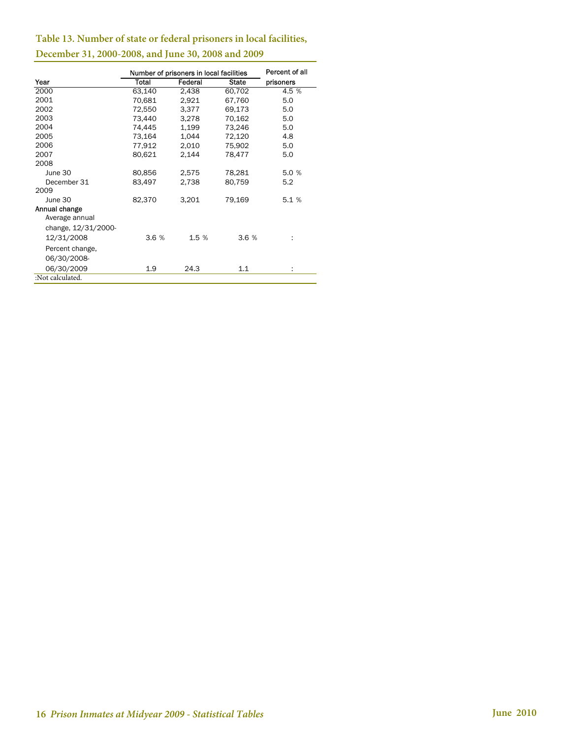## **Table 13. Number of state or federal prisoners in local facilities,**

|                     |        | Number of prisoners in local facilities |              | Percent of all |
|---------------------|--------|-----------------------------------------|--------------|----------------|
| Year                | Total  | Federal                                 | <b>State</b> | prisoners      |
| 2000                | 63,140 | 2,438                                   | 60,702       | 4.5 %          |
| 2001                | 70,681 | 2,921                                   | 67,760       | 5.0            |
| 2002                | 72,550 | 3,377                                   | 69,173       | 5.0            |
| 2003                | 73.440 | 3,278                                   | 70,162       | 5.0            |
| 2004                | 74,445 | 1,199                                   | 73,246       | 5.0            |
| 2005                | 73,164 | 1,044                                   | 72,120       | 4.8            |
| 2006                | 77,912 | 2,010                                   | 75,902       | 5.0            |
| 2007                | 80,621 | 2,144                                   | 78,477       | 5.0            |
| 2008                |        |                                         |              |                |
| June 30             | 80,856 | 2,575                                   | 78,281       | 5.0 %          |
| December 31         | 83,497 | 2,738                                   | 80,759       | 5.2            |
| 2009                |        |                                         |              |                |
| June 30             | 82,370 | 3,201                                   | 79,169       | 5.1%           |
| Annual change       |        |                                         |              |                |
| Average annual      |        |                                         |              |                |
| change, 12/31/2000- |        |                                         |              |                |
| 12/31/2008          | 3.6%   | 1.5 %                                   | 3.6%         |                |
| Percent change,     |        |                                         |              |                |
| 06/30/2008-         |        |                                         |              |                |
| 06/30/2009          | 1.9    | 24.3                                    | 1.1          | ÷              |
| :Not calculated.    |        |                                         |              |                |

## **December 31, 2000-2008, and June 30, 2008 and 2009**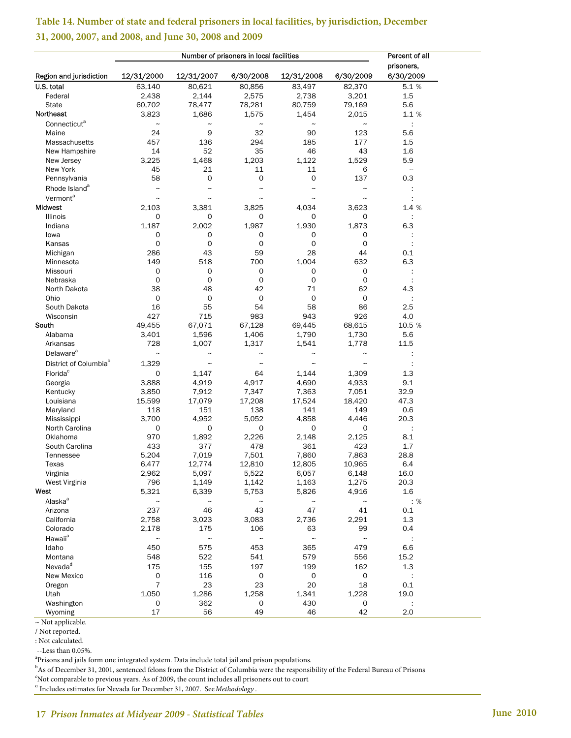| prisoners,<br>12/31/2000<br>12/31/2007<br>6/30/2008<br>12/31/2008<br>6/30/2009<br>6/30/2009<br>63,140<br>80,621<br>80,856<br>83,497<br>82,370<br>5.1 %<br>2,438<br>2,144<br>2,575<br>2,738<br>3,201<br>1.5<br>Federal<br>60,702<br>78,281<br>80,759<br>79,169<br>5.6<br><b>State</b><br>78,477<br>1,575<br>1,454<br>2,015<br>1.1 %<br>3,823<br>1,686<br>Connecticut <sup>"</sup><br>$\tilde{}$<br>$\tilde{}$<br>$\tilde{}$<br>÷<br>$\tilde{}$<br>$\tilde{\phantom{a}}$<br>9<br>32<br>123<br>24<br>90<br>5.6<br>Maine<br>177<br>457<br>136<br>294<br>185<br>1.5<br>Massachusetts<br>43<br>14<br>52<br>35<br>46<br>1.6<br>New Hampshire<br>1,529<br>5.9<br>3,225<br>1,468<br>1,203<br>1,122<br>New Jersey<br>New York<br>45<br>21<br>11<br>11<br>6<br>0<br>$\mathbf 0$<br>137<br>58<br>0<br>0.3<br>Pennsylvania<br>Rhode Island <sup>a</sup><br>$\tilde{}$<br>$\tilde{\phantom{a}}$<br>$\tilde{}$<br>$\tilde{}$<br>÷<br>$\tilde{\phantom{a}}$<br>Vermont <sup>a</sup><br>$\tilde{\phantom{a}}$<br>$\tilde{\phantom{a}}$<br>$\tilde{\phantom{a}}$<br>$\tilde{\phantom{a}}$<br>$\tilde{}$<br><b>Midwest</b><br>2,103<br>3,381<br>3,825<br>4,034<br>3,623<br>1.4 %<br>Illinois<br>0<br>0<br>0<br>0<br>0<br>1,187<br>1,987<br>1,873<br>6.3<br>Indiana<br>2,002<br>1,930<br>0<br>0<br>lowa<br>0<br>0<br>0<br>0<br>0<br>0<br>0<br>0<br>Kansas<br>286<br>43<br>59<br>28<br>44<br>0.1<br>Michigan<br>149<br>518<br>700<br>1,004<br>632<br>6.3<br>Minnesota<br>0<br>0<br>0<br>0<br>0<br>Missouri<br>0<br>0<br>0<br>0<br>0<br>Nebraska<br>62<br>38<br>48<br>42<br>71<br>4.3<br>North Dakota<br>$\mathbf 0$<br>0<br>$\mathsf{O}\xspace$<br>0<br>0<br>Ohio<br>÷<br>16<br>55<br>54<br>58<br>86<br>2.5<br>South Dakota<br>4.0<br>427<br>715<br>983<br>943<br>926<br>Wisconsin<br>South<br>49,455<br>67,071<br>67,128<br>69,445<br>68,615<br>10.5 %<br>1,596<br>1,406<br>1,790<br>1,730<br>Alabama<br>3,401<br>5.6<br>1,778<br>11.5<br>Arkansas<br>728<br>1,007<br>1,317<br>1,541<br>Delaware <sup>a</sup><br>$\tilde{}$<br>ċ<br>$\tilde{\phantom{a}}$<br>$\tilde{ }$<br>$\tilde{\phantom{a}}$<br>$\tilde{ }$<br>District of Columbia <sup>b</sup><br>1,329<br>ċ<br>$\tilde{\phantom{a}}$<br>$\tilde{\phantom{a}}$<br>$\tilde{\phantom{a}}$<br>$\tilde{}$<br>Florida <sup>c</sup><br>0<br>64<br>1,144<br>1,309<br>1.3<br>1,147<br>3,888<br>4,919<br>4,917<br>4,690<br>4,933<br>9.1<br>Georgia<br>7,912<br>7,347<br>7,363<br>7,051<br>32.9<br>Kentucky<br>3,850<br>17,079<br>17,208<br>17,524<br>47.3<br>Louisiana<br>15,599<br>18,420<br>118<br>151<br>138<br>141<br>149<br>0.6<br>Maryland<br>3,700<br>4,952<br>5,052<br>4,858<br>4,446<br>20.3<br>Mississippi<br>0<br>0<br>0<br>North Carolina<br>0<br>0<br>970<br>1,892<br>2,226<br>2,148<br>2,125<br>Oklahoma<br>8.1<br>433<br>377<br>478<br>361<br>423<br>1.7<br>South Carolina<br>7,019<br>7,501<br>7,860<br>7,863<br>28.8<br>Tennessee<br>5,204<br>6,477<br>12,810<br>12,805<br>10,965<br>6.4<br>12,774<br>Texas<br>Virginia<br>2,962<br>5,097<br>5,522<br>6,057<br>6,148<br>16.0<br>West Virginia<br>796<br>1,149<br>1,142<br>1,163<br>1,275<br>20.3<br>West<br>6,339<br>5,826<br>4,916<br>1.6<br>5,321<br>5,753<br>Alaska <sup>a</sup><br>: %<br>$\tilde{}$<br>$\thicksim$<br>$\tilde{}$<br>$\thicksim$<br>$\tilde{}$<br>237<br>46<br>43<br>47<br>41<br>Arizona<br>0.1<br>1.3<br>California<br>2,758<br>3,023<br>3,083<br>2,736<br>2,291<br>Colorado<br>2,178<br>175<br>106<br>63<br>99<br>0.4<br>Hawaii <sup>a</sup><br>$\tilde{}$<br>$\thicksim$<br>$\thicksim$<br>$\thicksim$<br>÷<br>$\tilde{\phantom{a}}$<br>Idaho<br>453<br>450<br>575<br>365<br>479<br>6.6<br>Montana<br>548<br>522<br>541<br>579<br>556<br>15.2<br>Nevada <sup>d</sup><br>175<br>197<br>162<br>1.3<br>155<br>199<br>$\mathsf{O}\xspace$<br>116<br>0<br>0<br>New Mexico<br>0<br>÷<br>$\overline{7}$<br>23<br>23<br>20<br>18<br>0.1<br>Oregon<br>Utah<br>1,050<br>1,286<br>1,258<br>1,341<br>1,228<br>19.0<br>362<br>430<br>Washington<br>0<br>0<br>0 |                         |    |    | Number of prisoners in local facilities |    |    | Percent of all |  |
|---------------------------------------------------------------------------------------------------------------------------------------------------------------------------------------------------------------------------------------------------------------------------------------------------------------------------------------------------------------------------------------------------------------------------------------------------------------------------------------------------------------------------------------------------------------------------------------------------------------------------------------------------------------------------------------------------------------------------------------------------------------------------------------------------------------------------------------------------------------------------------------------------------------------------------------------------------------------------------------------------------------------------------------------------------------------------------------------------------------------------------------------------------------------------------------------------------------------------------------------------------------------------------------------------------------------------------------------------------------------------------------------------------------------------------------------------------------------------------------------------------------------------------------------------------------------------------------------------------------------------------------------------------------------------------------------------------------------------------------------------------------------------------------------------------------------------------------------------------------------------------------------------------------------------------------------------------------------------------------------------------------------------------------------------------------------------------------------------------------------------------------------------------------------------------------------------------------------------------------------------------------------------------------------------------------------------------------------------------------------------------------------------------------------------------------------------------------------------------------------------------------------------------------------------------------------------------------------------------------------------------------------------------------------------------------------------------------------------------------------------------------------------------------------------------------------------------------------------------------------------------------------------------------------------------------------------------------------------------------------------------------------------------------------------------------------------------------------------------------------------------------------------------------------------------------------------------------------------------------------------------------------------------------------------------------------------------------------------------------------------------------------------------------------------------------------------------------------------------------------------------------------------------------------------------------------------------------------------------------------------------------------------------------------------------------------------------------------------------------------------------------------------------------------------------------------------------------------------------------------------------------------------------------------------------------------------------------------|-------------------------|----|----|-----------------------------------------|----|----|----------------|--|
|                                                                                                                                                                                                                                                                                                                                                                                                                                                                                                                                                                                                                                                                                                                                                                                                                                                                                                                                                                                                                                                                                                                                                                                                                                                                                                                                                                                                                                                                                                                                                                                                                                                                                                                                                                                                                                                                                                                                                                                                                                                                                                                                                                                                                                                                                                                                                                                                                                                                                                                                                                                                                                                                                                                                                                                                                                                                                                                                                                                                                                                                                                                                                                                                                                                                                                                                                                                                                                                                                                                                                                                                                                                                                                                                                                                                                                                                                                                                                                     | Region and jurisdiction |    |    |                                         |    |    |                |  |
|                                                                                                                                                                                                                                                                                                                                                                                                                                                                                                                                                                                                                                                                                                                                                                                                                                                                                                                                                                                                                                                                                                                                                                                                                                                                                                                                                                                                                                                                                                                                                                                                                                                                                                                                                                                                                                                                                                                                                                                                                                                                                                                                                                                                                                                                                                                                                                                                                                                                                                                                                                                                                                                                                                                                                                                                                                                                                                                                                                                                                                                                                                                                                                                                                                                                                                                                                                                                                                                                                                                                                                                                                                                                                                                                                                                                                                                                                                                                                                     | U.S. total              |    |    |                                         |    |    |                |  |
|                                                                                                                                                                                                                                                                                                                                                                                                                                                                                                                                                                                                                                                                                                                                                                                                                                                                                                                                                                                                                                                                                                                                                                                                                                                                                                                                                                                                                                                                                                                                                                                                                                                                                                                                                                                                                                                                                                                                                                                                                                                                                                                                                                                                                                                                                                                                                                                                                                                                                                                                                                                                                                                                                                                                                                                                                                                                                                                                                                                                                                                                                                                                                                                                                                                                                                                                                                                                                                                                                                                                                                                                                                                                                                                                                                                                                                                                                                                                                                     |                         |    |    |                                         |    |    |                |  |
|                                                                                                                                                                                                                                                                                                                                                                                                                                                                                                                                                                                                                                                                                                                                                                                                                                                                                                                                                                                                                                                                                                                                                                                                                                                                                                                                                                                                                                                                                                                                                                                                                                                                                                                                                                                                                                                                                                                                                                                                                                                                                                                                                                                                                                                                                                                                                                                                                                                                                                                                                                                                                                                                                                                                                                                                                                                                                                                                                                                                                                                                                                                                                                                                                                                                                                                                                                                                                                                                                                                                                                                                                                                                                                                                                                                                                                                                                                                                                                     |                         |    |    |                                         |    |    |                |  |
|                                                                                                                                                                                                                                                                                                                                                                                                                                                                                                                                                                                                                                                                                                                                                                                                                                                                                                                                                                                                                                                                                                                                                                                                                                                                                                                                                                                                                                                                                                                                                                                                                                                                                                                                                                                                                                                                                                                                                                                                                                                                                                                                                                                                                                                                                                                                                                                                                                                                                                                                                                                                                                                                                                                                                                                                                                                                                                                                                                                                                                                                                                                                                                                                                                                                                                                                                                                                                                                                                                                                                                                                                                                                                                                                                                                                                                                                                                                                                                     | Northeast               |    |    |                                         |    |    |                |  |
|                                                                                                                                                                                                                                                                                                                                                                                                                                                                                                                                                                                                                                                                                                                                                                                                                                                                                                                                                                                                                                                                                                                                                                                                                                                                                                                                                                                                                                                                                                                                                                                                                                                                                                                                                                                                                                                                                                                                                                                                                                                                                                                                                                                                                                                                                                                                                                                                                                                                                                                                                                                                                                                                                                                                                                                                                                                                                                                                                                                                                                                                                                                                                                                                                                                                                                                                                                                                                                                                                                                                                                                                                                                                                                                                                                                                                                                                                                                                                                     |                         |    |    |                                         |    |    |                |  |
|                                                                                                                                                                                                                                                                                                                                                                                                                                                                                                                                                                                                                                                                                                                                                                                                                                                                                                                                                                                                                                                                                                                                                                                                                                                                                                                                                                                                                                                                                                                                                                                                                                                                                                                                                                                                                                                                                                                                                                                                                                                                                                                                                                                                                                                                                                                                                                                                                                                                                                                                                                                                                                                                                                                                                                                                                                                                                                                                                                                                                                                                                                                                                                                                                                                                                                                                                                                                                                                                                                                                                                                                                                                                                                                                                                                                                                                                                                                                                                     |                         |    |    |                                         |    |    |                |  |
|                                                                                                                                                                                                                                                                                                                                                                                                                                                                                                                                                                                                                                                                                                                                                                                                                                                                                                                                                                                                                                                                                                                                                                                                                                                                                                                                                                                                                                                                                                                                                                                                                                                                                                                                                                                                                                                                                                                                                                                                                                                                                                                                                                                                                                                                                                                                                                                                                                                                                                                                                                                                                                                                                                                                                                                                                                                                                                                                                                                                                                                                                                                                                                                                                                                                                                                                                                                                                                                                                                                                                                                                                                                                                                                                                                                                                                                                                                                                                                     |                         |    |    |                                         |    |    |                |  |
|                                                                                                                                                                                                                                                                                                                                                                                                                                                                                                                                                                                                                                                                                                                                                                                                                                                                                                                                                                                                                                                                                                                                                                                                                                                                                                                                                                                                                                                                                                                                                                                                                                                                                                                                                                                                                                                                                                                                                                                                                                                                                                                                                                                                                                                                                                                                                                                                                                                                                                                                                                                                                                                                                                                                                                                                                                                                                                                                                                                                                                                                                                                                                                                                                                                                                                                                                                                                                                                                                                                                                                                                                                                                                                                                                                                                                                                                                                                                                                     |                         |    |    |                                         |    |    |                |  |
|                                                                                                                                                                                                                                                                                                                                                                                                                                                                                                                                                                                                                                                                                                                                                                                                                                                                                                                                                                                                                                                                                                                                                                                                                                                                                                                                                                                                                                                                                                                                                                                                                                                                                                                                                                                                                                                                                                                                                                                                                                                                                                                                                                                                                                                                                                                                                                                                                                                                                                                                                                                                                                                                                                                                                                                                                                                                                                                                                                                                                                                                                                                                                                                                                                                                                                                                                                                                                                                                                                                                                                                                                                                                                                                                                                                                                                                                                                                                                                     |                         |    |    |                                         |    |    |                |  |
|                                                                                                                                                                                                                                                                                                                                                                                                                                                                                                                                                                                                                                                                                                                                                                                                                                                                                                                                                                                                                                                                                                                                                                                                                                                                                                                                                                                                                                                                                                                                                                                                                                                                                                                                                                                                                                                                                                                                                                                                                                                                                                                                                                                                                                                                                                                                                                                                                                                                                                                                                                                                                                                                                                                                                                                                                                                                                                                                                                                                                                                                                                                                                                                                                                                                                                                                                                                                                                                                                                                                                                                                                                                                                                                                                                                                                                                                                                                                                                     |                         |    |    |                                         |    |    |                |  |
|                                                                                                                                                                                                                                                                                                                                                                                                                                                                                                                                                                                                                                                                                                                                                                                                                                                                                                                                                                                                                                                                                                                                                                                                                                                                                                                                                                                                                                                                                                                                                                                                                                                                                                                                                                                                                                                                                                                                                                                                                                                                                                                                                                                                                                                                                                                                                                                                                                                                                                                                                                                                                                                                                                                                                                                                                                                                                                                                                                                                                                                                                                                                                                                                                                                                                                                                                                                                                                                                                                                                                                                                                                                                                                                                                                                                                                                                                                                                                                     |                         |    |    |                                         |    |    |                |  |
|                                                                                                                                                                                                                                                                                                                                                                                                                                                                                                                                                                                                                                                                                                                                                                                                                                                                                                                                                                                                                                                                                                                                                                                                                                                                                                                                                                                                                                                                                                                                                                                                                                                                                                                                                                                                                                                                                                                                                                                                                                                                                                                                                                                                                                                                                                                                                                                                                                                                                                                                                                                                                                                                                                                                                                                                                                                                                                                                                                                                                                                                                                                                                                                                                                                                                                                                                                                                                                                                                                                                                                                                                                                                                                                                                                                                                                                                                                                                                                     |                         |    |    |                                         |    |    |                |  |
|                                                                                                                                                                                                                                                                                                                                                                                                                                                                                                                                                                                                                                                                                                                                                                                                                                                                                                                                                                                                                                                                                                                                                                                                                                                                                                                                                                                                                                                                                                                                                                                                                                                                                                                                                                                                                                                                                                                                                                                                                                                                                                                                                                                                                                                                                                                                                                                                                                                                                                                                                                                                                                                                                                                                                                                                                                                                                                                                                                                                                                                                                                                                                                                                                                                                                                                                                                                                                                                                                                                                                                                                                                                                                                                                                                                                                                                                                                                                                                     |                         |    |    |                                         |    |    |                |  |
|                                                                                                                                                                                                                                                                                                                                                                                                                                                                                                                                                                                                                                                                                                                                                                                                                                                                                                                                                                                                                                                                                                                                                                                                                                                                                                                                                                                                                                                                                                                                                                                                                                                                                                                                                                                                                                                                                                                                                                                                                                                                                                                                                                                                                                                                                                                                                                                                                                                                                                                                                                                                                                                                                                                                                                                                                                                                                                                                                                                                                                                                                                                                                                                                                                                                                                                                                                                                                                                                                                                                                                                                                                                                                                                                                                                                                                                                                                                                                                     |                         |    |    |                                         |    |    |                |  |
|                                                                                                                                                                                                                                                                                                                                                                                                                                                                                                                                                                                                                                                                                                                                                                                                                                                                                                                                                                                                                                                                                                                                                                                                                                                                                                                                                                                                                                                                                                                                                                                                                                                                                                                                                                                                                                                                                                                                                                                                                                                                                                                                                                                                                                                                                                                                                                                                                                                                                                                                                                                                                                                                                                                                                                                                                                                                                                                                                                                                                                                                                                                                                                                                                                                                                                                                                                                                                                                                                                                                                                                                                                                                                                                                                                                                                                                                                                                                                                     |                         |    |    |                                         |    |    |                |  |
|                                                                                                                                                                                                                                                                                                                                                                                                                                                                                                                                                                                                                                                                                                                                                                                                                                                                                                                                                                                                                                                                                                                                                                                                                                                                                                                                                                                                                                                                                                                                                                                                                                                                                                                                                                                                                                                                                                                                                                                                                                                                                                                                                                                                                                                                                                                                                                                                                                                                                                                                                                                                                                                                                                                                                                                                                                                                                                                                                                                                                                                                                                                                                                                                                                                                                                                                                                                                                                                                                                                                                                                                                                                                                                                                                                                                                                                                                                                                                                     |                         |    |    |                                         |    |    |                |  |
|                                                                                                                                                                                                                                                                                                                                                                                                                                                                                                                                                                                                                                                                                                                                                                                                                                                                                                                                                                                                                                                                                                                                                                                                                                                                                                                                                                                                                                                                                                                                                                                                                                                                                                                                                                                                                                                                                                                                                                                                                                                                                                                                                                                                                                                                                                                                                                                                                                                                                                                                                                                                                                                                                                                                                                                                                                                                                                                                                                                                                                                                                                                                                                                                                                                                                                                                                                                                                                                                                                                                                                                                                                                                                                                                                                                                                                                                                                                                                                     |                         |    |    |                                         |    |    |                |  |
|                                                                                                                                                                                                                                                                                                                                                                                                                                                                                                                                                                                                                                                                                                                                                                                                                                                                                                                                                                                                                                                                                                                                                                                                                                                                                                                                                                                                                                                                                                                                                                                                                                                                                                                                                                                                                                                                                                                                                                                                                                                                                                                                                                                                                                                                                                                                                                                                                                                                                                                                                                                                                                                                                                                                                                                                                                                                                                                                                                                                                                                                                                                                                                                                                                                                                                                                                                                                                                                                                                                                                                                                                                                                                                                                                                                                                                                                                                                                                                     |                         |    |    |                                         |    |    |                |  |
|                                                                                                                                                                                                                                                                                                                                                                                                                                                                                                                                                                                                                                                                                                                                                                                                                                                                                                                                                                                                                                                                                                                                                                                                                                                                                                                                                                                                                                                                                                                                                                                                                                                                                                                                                                                                                                                                                                                                                                                                                                                                                                                                                                                                                                                                                                                                                                                                                                                                                                                                                                                                                                                                                                                                                                                                                                                                                                                                                                                                                                                                                                                                                                                                                                                                                                                                                                                                                                                                                                                                                                                                                                                                                                                                                                                                                                                                                                                                                                     |                         |    |    |                                         |    |    |                |  |
|                                                                                                                                                                                                                                                                                                                                                                                                                                                                                                                                                                                                                                                                                                                                                                                                                                                                                                                                                                                                                                                                                                                                                                                                                                                                                                                                                                                                                                                                                                                                                                                                                                                                                                                                                                                                                                                                                                                                                                                                                                                                                                                                                                                                                                                                                                                                                                                                                                                                                                                                                                                                                                                                                                                                                                                                                                                                                                                                                                                                                                                                                                                                                                                                                                                                                                                                                                                                                                                                                                                                                                                                                                                                                                                                                                                                                                                                                                                                                                     |                         |    |    |                                         |    |    |                |  |
|                                                                                                                                                                                                                                                                                                                                                                                                                                                                                                                                                                                                                                                                                                                                                                                                                                                                                                                                                                                                                                                                                                                                                                                                                                                                                                                                                                                                                                                                                                                                                                                                                                                                                                                                                                                                                                                                                                                                                                                                                                                                                                                                                                                                                                                                                                                                                                                                                                                                                                                                                                                                                                                                                                                                                                                                                                                                                                                                                                                                                                                                                                                                                                                                                                                                                                                                                                                                                                                                                                                                                                                                                                                                                                                                                                                                                                                                                                                                                                     |                         |    |    |                                         |    |    |                |  |
|                                                                                                                                                                                                                                                                                                                                                                                                                                                                                                                                                                                                                                                                                                                                                                                                                                                                                                                                                                                                                                                                                                                                                                                                                                                                                                                                                                                                                                                                                                                                                                                                                                                                                                                                                                                                                                                                                                                                                                                                                                                                                                                                                                                                                                                                                                                                                                                                                                                                                                                                                                                                                                                                                                                                                                                                                                                                                                                                                                                                                                                                                                                                                                                                                                                                                                                                                                                                                                                                                                                                                                                                                                                                                                                                                                                                                                                                                                                                                                     |                         |    |    |                                         |    |    |                |  |
|                                                                                                                                                                                                                                                                                                                                                                                                                                                                                                                                                                                                                                                                                                                                                                                                                                                                                                                                                                                                                                                                                                                                                                                                                                                                                                                                                                                                                                                                                                                                                                                                                                                                                                                                                                                                                                                                                                                                                                                                                                                                                                                                                                                                                                                                                                                                                                                                                                                                                                                                                                                                                                                                                                                                                                                                                                                                                                                                                                                                                                                                                                                                                                                                                                                                                                                                                                                                                                                                                                                                                                                                                                                                                                                                                                                                                                                                                                                                                                     |                         |    |    |                                         |    |    |                |  |
|                                                                                                                                                                                                                                                                                                                                                                                                                                                                                                                                                                                                                                                                                                                                                                                                                                                                                                                                                                                                                                                                                                                                                                                                                                                                                                                                                                                                                                                                                                                                                                                                                                                                                                                                                                                                                                                                                                                                                                                                                                                                                                                                                                                                                                                                                                                                                                                                                                                                                                                                                                                                                                                                                                                                                                                                                                                                                                                                                                                                                                                                                                                                                                                                                                                                                                                                                                                                                                                                                                                                                                                                                                                                                                                                                                                                                                                                                                                                                                     |                         |    |    |                                         |    |    |                |  |
|                                                                                                                                                                                                                                                                                                                                                                                                                                                                                                                                                                                                                                                                                                                                                                                                                                                                                                                                                                                                                                                                                                                                                                                                                                                                                                                                                                                                                                                                                                                                                                                                                                                                                                                                                                                                                                                                                                                                                                                                                                                                                                                                                                                                                                                                                                                                                                                                                                                                                                                                                                                                                                                                                                                                                                                                                                                                                                                                                                                                                                                                                                                                                                                                                                                                                                                                                                                                                                                                                                                                                                                                                                                                                                                                                                                                                                                                                                                                                                     |                         |    |    |                                         |    |    |                |  |
|                                                                                                                                                                                                                                                                                                                                                                                                                                                                                                                                                                                                                                                                                                                                                                                                                                                                                                                                                                                                                                                                                                                                                                                                                                                                                                                                                                                                                                                                                                                                                                                                                                                                                                                                                                                                                                                                                                                                                                                                                                                                                                                                                                                                                                                                                                                                                                                                                                                                                                                                                                                                                                                                                                                                                                                                                                                                                                                                                                                                                                                                                                                                                                                                                                                                                                                                                                                                                                                                                                                                                                                                                                                                                                                                                                                                                                                                                                                                                                     |                         |    |    |                                         |    |    |                |  |
|                                                                                                                                                                                                                                                                                                                                                                                                                                                                                                                                                                                                                                                                                                                                                                                                                                                                                                                                                                                                                                                                                                                                                                                                                                                                                                                                                                                                                                                                                                                                                                                                                                                                                                                                                                                                                                                                                                                                                                                                                                                                                                                                                                                                                                                                                                                                                                                                                                                                                                                                                                                                                                                                                                                                                                                                                                                                                                                                                                                                                                                                                                                                                                                                                                                                                                                                                                                                                                                                                                                                                                                                                                                                                                                                                                                                                                                                                                                                                                     |                         |    |    |                                         |    |    |                |  |
|                                                                                                                                                                                                                                                                                                                                                                                                                                                                                                                                                                                                                                                                                                                                                                                                                                                                                                                                                                                                                                                                                                                                                                                                                                                                                                                                                                                                                                                                                                                                                                                                                                                                                                                                                                                                                                                                                                                                                                                                                                                                                                                                                                                                                                                                                                                                                                                                                                                                                                                                                                                                                                                                                                                                                                                                                                                                                                                                                                                                                                                                                                                                                                                                                                                                                                                                                                                                                                                                                                                                                                                                                                                                                                                                                                                                                                                                                                                                                                     |                         |    |    |                                         |    |    |                |  |
|                                                                                                                                                                                                                                                                                                                                                                                                                                                                                                                                                                                                                                                                                                                                                                                                                                                                                                                                                                                                                                                                                                                                                                                                                                                                                                                                                                                                                                                                                                                                                                                                                                                                                                                                                                                                                                                                                                                                                                                                                                                                                                                                                                                                                                                                                                                                                                                                                                                                                                                                                                                                                                                                                                                                                                                                                                                                                                                                                                                                                                                                                                                                                                                                                                                                                                                                                                                                                                                                                                                                                                                                                                                                                                                                                                                                                                                                                                                                                                     |                         |    |    |                                         |    |    |                |  |
|                                                                                                                                                                                                                                                                                                                                                                                                                                                                                                                                                                                                                                                                                                                                                                                                                                                                                                                                                                                                                                                                                                                                                                                                                                                                                                                                                                                                                                                                                                                                                                                                                                                                                                                                                                                                                                                                                                                                                                                                                                                                                                                                                                                                                                                                                                                                                                                                                                                                                                                                                                                                                                                                                                                                                                                                                                                                                                                                                                                                                                                                                                                                                                                                                                                                                                                                                                                                                                                                                                                                                                                                                                                                                                                                                                                                                                                                                                                                                                     |                         |    |    |                                         |    |    |                |  |
|                                                                                                                                                                                                                                                                                                                                                                                                                                                                                                                                                                                                                                                                                                                                                                                                                                                                                                                                                                                                                                                                                                                                                                                                                                                                                                                                                                                                                                                                                                                                                                                                                                                                                                                                                                                                                                                                                                                                                                                                                                                                                                                                                                                                                                                                                                                                                                                                                                                                                                                                                                                                                                                                                                                                                                                                                                                                                                                                                                                                                                                                                                                                                                                                                                                                                                                                                                                                                                                                                                                                                                                                                                                                                                                                                                                                                                                                                                                                                                     |                         |    |    |                                         |    |    |                |  |
|                                                                                                                                                                                                                                                                                                                                                                                                                                                                                                                                                                                                                                                                                                                                                                                                                                                                                                                                                                                                                                                                                                                                                                                                                                                                                                                                                                                                                                                                                                                                                                                                                                                                                                                                                                                                                                                                                                                                                                                                                                                                                                                                                                                                                                                                                                                                                                                                                                                                                                                                                                                                                                                                                                                                                                                                                                                                                                                                                                                                                                                                                                                                                                                                                                                                                                                                                                                                                                                                                                                                                                                                                                                                                                                                                                                                                                                                                                                                                                     |                         |    |    |                                         |    |    |                |  |
|                                                                                                                                                                                                                                                                                                                                                                                                                                                                                                                                                                                                                                                                                                                                                                                                                                                                                                                                                                                                                                                                                                                                                                                                                                                                                                                                                                                                                                                                                                                                                                                                                                                                                                                                                                                                                                                                                                                                                                                                                                                                                                                                                                                                                                                                                                                                                                                                                                                                                                                                                                                                                                                                                                                                                                                                                                                                                                                                                                                                                                                                                                                                                                                                                                                                                                                                                                                                                                                                                                                                                                                                                                                                                                                                                                                                                                                                                                                                                                     |                         |    |    |                                         |    |    |                |  |
|                                                                                                                                                                                                                                                                                                                                                                                                                                                                                                                                                                                                                                                                                                                                                                                                                                                                                                                                                                                                                                                                                                                                                                                                                                                                                                                                                                                                                                                                                                                                                                                                                                                                                                                                                                                                                                                                                                                                                                                                                                                                                                                                                                                                                                                                                                                                                                                                                                                                                                                                                                                                                                                                                                                                                                                                                                                                                                                                                                                                                                                                                                                                                                                                                                                                                                                                                                                                                                                                                                                                                                                                                                                                                                                                                                                                                                                                                                                                                                     |                         |    |    |                                         |    |    |                |  |
|                                                                                                                                                                                                                                                                                                                                                                                                                                                                                                                                                                                                                                                                                                                                                                                                                                                                                                                                                                                                                                                                                                                                                                                                                                                                                                                                                                                                                                                                                                                                                                                                                                                                                                                                                                                                                                                                                                                                                                                                                                                                                                                                                                                                                                                                                                                                                                                                                                                                                                                                                                                                                                                                                                                                                                                                                                                                                                                                                                                                                                                                                                                                                                                                                                                                                                                                                                                                                                                                                                                                                                                                                                                                                                                                                                                                                                                                                                                                                                     |                         |    |    |                                         |    |    |                |  |
|                                                                                                                                                                                                                                                                                                                                                                                                                                                                                                                                                                                                                                                                                                                                                                                                                                                                                                                                                                                                                                                                                                                                                                                                                                                                                                                                                                                                                                                                                                                                                                                                                                                                                                                                                                                                                                                                                                                                                                                                                                                                                                                                                                                                                                                                                                                                                                                                                                                                                                                                                                                                                                                                                                                                                                                                                                                                                                                                                                                                                                                                                                                                                                                                                                                                                                                                                                                                                                                                                                                                                                                                                                                                                                                                                                                                                                                                                                                                                                     |                         |    |    |                                         |    |    |                |  |
|                                                                                                                                                                                                                                                                                                                                                                                                                                                                                                                                                                                                                                                                                                                                                                                                                                                                                                                                                                                                                                                                                                                                                                                                                                                                                                                                                                                                                                                                                                                                                                                                                                                                                                                                                                                                                                                                                                                                                                                                                                                                                                                                                                                                                                                                                                                                                                                                                                                                                                                                                                                                                                                                                                                                                                                                                                                                                                                                                                                                                                                                                                                                                                                                                                                                                                                                                                                                                                                                                                                                                                                                                                                                                                                                                                                                                                                                                                                                                                     |                         |    |    |                                         |    |    |                |  |
|                                                                                                                                                                                                                                                                                                                                                                                                                                                                                                                                                                                                                                                                                                                                                                                                                                                                                                                                                                                                                                                                                                                                                                                                                                                                                                                                                                                                                                                                                                                                                                                                                                                                                                                                                                                                                                                                                                                                                                                                                                                                                                                                                                                                                                                                                                                                                                                                                                                                                                                                                                                                                                                                                                                                                                                                                                                                                                                                                                                                                                                                                                                                                                                                                                                                                                                                                                                                                                                                                                                                                                                                                                                                                                                                                                                                                                                                                                                                                                     |                         |    |    |                                         |    |    |                |  |
|                                                                                                                                                                                                                                                                                                                                                                                                                                                                                                                                                                                                                                                                                                                                                                                                                                                                                                                                                                                                                                                                                                                                                                                                                                                                                                                                                                                                                                                                                                                                                                                                                                                                                                                                                                                                                                                                                                                                                                                                                                                                                                                                                                                                                                                                                                                                                                                                                                                                                                                                                                                                                                                                                                                                                                                                                                                                                                                                                                                                                                                                                                                                                                                                                                                                                                                                                                                                                                                                                                                                                                                                                                                                                                                                                                                                                                                                                                                                                                     |                         |    |    |                                         |    |    |                |  |
|                                                                                                                                                                                                                                                                                                                                                                                                                                                                                                                                                                                                                                                                                                                                                                                                                                                                                                                                                                                                                                                                                                                                                                                                                                                                                                                                                                                                                                                                                                                                                                                                                                                                                                                                                                                                                                                                                                                                                                                                                                                                                                                                                                                                                                                                                                                                                                                                                                                                                                                                                                                                                                                                                                                                                                                                                                                                                                                                                                                                                                                                                                                                                                                                                                                                                                                                                                                                                                                                                                                                                                                                                                                                                                                                                                                                                                                                                                                                                                     |                         |    |    |                                         |    |    |                |  |
|                                                                                                                                                                                                                                                                                                                                                                                                                                                                                                                                                                                                                                                                                                                                                                                                                                                                                                                                                                                                                                                                                                                                                                                                                                                                                                                                                                                                                                                                                                                                                                                                                                                                                                                                                                                                                                                                                                                                                                                                                                                                                                                                                                                                                                                                                                                                                                                                                                                                                                                                                                                                                                                                                                                                                                                                                                                                                                                                                                                                                                                                                                                                                                                                                                                                                                                                                                                                                                                                                                                                                                                                                                                                                                                                                                                                                                                                                                                                                                     |                         |    |    |                                         |    |    |                |  |
|                                                                                                                                                                                                                                                                                                                                                                                                                                                                                                                                                                                                                                                                                                                                                                                                                                                                                                                                                                                                                                                                                                                                                                                                                                                                                                                                                                                                                                                                                                                                                                                                                                                                                                                                                                                                                                                                                                                                                                                                                                                                                                                                                                                                                                                                                                                                                                                                                                                                                                                                                                                                                                                                                                                                                                                                                                                                                                                                                                                                                                                                                                                                                                                                                                                                                                                                                                                                                                                                                                                                                                                                                                                                                                                                                                                                                                                                                                                                                                     |                         |    |    |                                         |    |    |                |  |
|                                                                                                                                                                                                                                                                                                                                                                                                                                                                                                                                                                                                                                                                                                                                                                                                                                                                                                                                                                                                                                                                                                                                                                                                                                                                                                                                                                                                                                                                                                                                                                                                                                                                                                                                                                                                                                                                                                                                                                                                                                                                                                                                                                                                                                                                                                                                                                                                                                                                                                                                                                                                                                                                                                                                                                                                                                                                                                                                                                                                                                                                                                                                                                                                                                                                                                                                                                                                                                                                                                                                                                                                                                                                                                                                                                                                                                                                                                                                                                     |                         |    |    |                                         |    |    |                |  |
|                                                                                                                                                                                                                                                                                                                                                                                                                                                                                                                                                                                                                                                                                                                                                                                                                                                                                                                                                                                                                                                                                                                                                                                                                                                                                                                                                                                                                                                                                                                                                                                                                                                                                                                                                                                                                                                                                                                                                                                                                                                                                                                                                                                                                                                                                                                                                                                                                                                                                                                                                                                                                                                                                                                                                                                                                                                                                                                                                                                                                                                                                                                                                                                                                                                                                                                                                                                                                                                                                                                                                                                                                                                                                                                                                                                                                                                                                                                                                                     |                         |    |    |                                         |    |    |                |  |
|                                                                                                                                                                                                                                                                                                                                                                                                                                                                                                                                                                                                                                                                                                                                                                                                                                                                                                                                                                                                                                                                                                                                                                                                                                                                                                                                                                                                                                                                                                                                                                                                                                                                                                                                                                                                                                                                                                                                                                                                                                                                                                                                                                                                                                                                                                                                                                                                                                                                                                                                                                                                                                                                                                                                                                                                                                                                                                                                                                                                                                                                                                                                                                                                                                                                                                                                                                                                                                                                                                                                                                                                                                                                                                                                                                                                                                                                                                                                                                     |                         |    |    |                                         |    |    |                |  |
|                                                                                                                                                                                                                                                                                                                                                                                                                                                                                                                                                                                                                                                                                                                                                                                                                                                                                                                                                                                                                                                                                                                                                                                                                                                                                                                                                                                                                                                                                                                                                                                                                                                                                                                                                                                                                                                                                                                                                                                                                                                                                                                                                                                                                                                                                                                                                                                                                                                                                                                                                                                                                                                                                                                                                                                                                                                                                                                                                                                                                                                                                                                                                                                                                                                                                                                                                                                                                                                                                                                                                                                                                                                                                                                                                                                                                                                                                                                                                                     |                         |    |    |                                         |    |    |                |  |
|                                                                                                                                                                                                                                                                                                                                                                                                                                                                                                                                                                                                                                                                                                                                                                                                                                                                                                                                                                                                                                                                                                                                                                                                                                                                                                                                                                                                                                                                                                                                                                                                                                                                                                                                                                                                                                                                                                                                                                                                                                                                                                                                                                                                                                                                                                                                                                                                                                                                                                                                                                                                                                                                                                                                                                                                                                                                                                                                                                                                                                                                                                                                                                                                                                                                                                                                                                                                                                                                                                                                                                                                                                                                                                                                                                                                                                                                                                                                                                     |                         |    |    |                                         |    |    |                |  |
|                                                                                                                                                                                                                                                                                                                                                                                                                                                                                                                                                                                                                                                                                                                                                                                                                                                                                                                                                                                                                                                                                                                                                                                                                                                                                                                                                                                                                                                                                                                                                                                                                                                                                                                                                                                                                                                                                                                                                                                                                                                                                                                                                                                                                                                                                                                                                                                                                                                                                                                                                                                                                                                                                                                                                                                                                                                                                                                                                                                                                                                                                                                                                                                                                                                                                                                                                                                                                                                                                                                                                                                                                                                                                                                                                                                                                                                                                                                                                                     |                         |    |    |                                         |    |    |                |  |
|                                                                                                                                                                                                                                                                                                                                                                                                                                                                                                                                                                                                                                                                                                                                                                                                                                                                                                                                                                                                                                                                                                                                                                                                                                                                                                                                                                                                                                                                                                                                                                                                                                                                                                                                                                                                                                                                                                                                                                                                                                                                                                                                                                                                                                                                                                                                                                                                                                                                                                                                                                                                                                                                                                                                                                                                                                                                                                                                                                                                                                                                                                                                                                                                                                                                                                                                                                                                                                                                                                                                                                                                                                                                                                                                                                                                                                                                                                                                                                     |                         |    |    |                                         |    |    |                |  |
|                                                                                                                                                                                                                                                                                                                                                                                                                                                                                                                                                                                                                                                                                                                                                                                                                                                                                                                                                                                                                                                                                                                                                                                                                                                                                                                                                                                                                                                                                                                                                                                                                                                                                                                                                                                                                                                                                                                                                                                                                                                                                                                                                                                                                                                                                                                                                                                                                                                                                                                                                                                                                                                                                                                                                                                                                                                                                                                                                                                                                                                                                                                                                                                                                                                                                                                                                                                                                                                                                                                                                                                                                                                                                                                                                                                                                                                                                                                                                                     |                         |    |    |                                         |    |    |                |  |
|                                                                                                                                                                                                                                                                                                                                                                                                                                                                                                                                                                                                                                                                                                                                                                                                                                                                                                                                                                                                                                                                                                                                                                                                                                                                                                                                                                                                                                                                                                                                                                                                                                                                                                                                                                                                                                                                                                                                                                                                                                                                                                                                                                                                                                                                                                                                                                                                                                                                                                                                                                                                                                                                                                                                                                                                                                                                                                                                                                                                                                                                                                                                                                                                                                                                                                                                                                                                                                                                                                                                                                                                                                                                                                                                                                                                                                                                                                                                                                     |                         |    |    |                                         |    |    |                |  |
|                                                                                                                                                                                                                                                                                                                                                                                                                                                                                                                                                                                                                                                                                                                                                                                                                                                                                                                                                                                                                                                                                                                                                                                                                                                                                                                                                                                                                                                                                                                                                                                                                                                                                                                                                                                                                                                                                                                                                                                                                                                                                                                                                                                                                                                                                                                                                                                                                                                                                                                                                                                                                                                                                                                                                                                                                                                                                                                                                                                                                                                                                                                                                                                                                                                                                                                                                                                                                                                                                                                                                                                                                                                                                                                                                                                                                                                                                                                                                                     |                         |    |    |                                         |    |    |                |  |
|                                                                                                                                                                                                                                                                                                                                                                                                                                                                                                                                                                                                                                                                                                                                                                                                                                                                                                                                                                                                                                                                                                                                                                                                                                                                                                                                                                                                                                                                                                                                                                                                                                                                                                                                                                                                                                                                                                                                                                                                                                                                                                                                                                                                                                                                                                                                                                                                                                                                                                                                                                                                                                                                                                                                                                                                                                                                                                                                                                                                                                                                                                                                                                                                                                                                                                                                                                                                                                                                                                                                                                                                                                                                                                                                                                                                                                                                                                                                                                     |                         |    |    |                                         |    |    |                |  |
|                                                                                                                                                                                                                                                                                                                                                                                                                                                                                                                                                                                                                                                                                                                                                                                                                                                                                                                                                                                                                                                                                                                                                                                                                                                                                                                                                                                                                                                                                                                                                                                                                                                                                                                                                                                                                                                                                                                                                                                                                                                                                                                                                                                                                                                                                                                                                                                                                                                                                                                                                                                                                                                                                                                                                                                                                                                                                                                                                                                                                                                                                                                                                                                                                                                                                                                                                                                                                                                                                                                                                                                                                                                                                                                                                                                                                                                                                                                                                                     |                         |    |    |                                         |    |    |                |  |
|                                                                                                                                                                                                                                                                                                                                                                                                                                                                                                                                                                                                                                                                                                                                                                                                                                                                                                                                                                                                                                                                                                                                                                                                                                                                                                                                                                                                                                                                                                                                                                                                                                                                                                                                                                                                                                                                                                                                                                                                                                                                                                                                                                                                                                                                                                                                                                                                                                                                                                                                                                                                                                                                                                                                                                                                                                                                                                                                                                                                                                                                                                                                                                                                                                                                                                                                                                                                                                                                                                                                                                                                                                                                                                                                                                                                                                                                                                                                                                     |                         |    |    |                                         |    |    |                |  |
|                                                                                                                                                                                                                                                                                                                                                                                                                                                                                                                                                                                                                                                                                                                                                                                                                                                                                                                                                                                                                                                                                                                                                                                                                                                                                                                                                                                                                                                                                                                                                                                                                                                                                                                                                                                                                                                                                                                                                                                                                                                                                                                                                                                                                                                                                                                                                                                                                                                                                                                                                                                                                                                                                                                                                                                                                                                                                                                                                                                                                                                                                                                                                                                                                                                                                                                                                                                                                                                                                                                                                                                                                                                                                                                                                                                                                                                                                                                                                                     |                         |    |    |                                         |    |    |                |  |
|                                                                                                                                                                                                                                                                                                                                                                                                                                                                                                                                                                                                                                                                                                                                                                                                                                                                                                                                                                                                                                                                                                                                                                                                                                                                                                                                                                                                                                                                                                                                                                                                                                                                                                                                                                                                                                                                                                                                                                                                                                                                                                                                                                                                                                                                                                                                                                                                                                                                                                                                                                                                                                                                                                                                                                                                                                                                                                                                                                                                                                                                                                                                                                                                                                                                                                                                                                                                                                                                                                                                                                                                                                                                                                                                                                                                                                                                                                                                                                     |                         |    |    |                                         |    |    |                |  |
|                                                                                                                                                                                                                                                                                                                                                                                                                                                                                                                                                                                                                                                                                                                                                                                                                                                                                                                                                                                                                                                                                                                                                                                                                                                                                                                                                                                                                                                                                                                                                                                                                                                                                                                                                                                                                                                                                                                                                                                                                                                                                                                                                                                                                                                                                                                                                                                                                                                                                                                                                                                                                                                                                                                                                                                                                                                                                                                                                                                                                                                                                                                                                                                                                                                                                                                                                                                                                                                                                                                                                                                                                                                                                                                                                                                                                                                                                                                                                                     |                         |    |    |                                         |    |    |                |  |
|                                                                                                                                                                                                                                                                                                                                                                                                                                                                                                                                                                                                                                                                                                                                                                                                                                                                                                                                                                                                                                                                                                                                                                                                                                                                                                                                                                                                                                                                                                                                                                                                                                                                                                                                                                                                                                                                                                                                                                                                                                                                                                                                                                                                                                                                                                                                                                                                                                                                                                                                                                                                                                                                                                                                                                                                                                                                                                                                                                                                                                                                                                                                                                                                                                                                                                                                                                                                                                                                                                                                                                                                                                                                                                                                                                                                                                                                                                                                                                     |                         |    |    |                                         |    |    |                |  |
|                                                                                                                                                                                                                                                                                                                                                                                                                                                                                                                                                                                                                                                                                                                                                                                                                                                                                                                                                                                                                                                                                                                                                                                                                                                                                                                                                                                                                                                                                                                                                                                                                                                                                                                                                                                                                                                                                                                                                                                                                                                                                                                                                                                                                                                                                                                                                                                                                                                                                                                                                                                                                                                                                                                                                                                                                                                                                                                                                                                                                                                                                                                                                                                                                                                                                                                                                                                                                                                                                                                                                                                                                                                                                                                                                                                                                                                                                                                                                                     |                         |    |    |                                         |    |    |                |  |
|                                                                                                                                                                                                                                                                                                                                                                                                                                                                                                                                                                                                                                                                                                                                                                                                                                                                                                                                                                                                                                                                                                                                                                                                                                                                                                                                                                                                                                                                                                                                                                                                                                                                                                                                                                                                                                                                                                                                                                                                                                                                                                                                                                                                                                                                                                                                                                                                                                                                                                                                                                                                                                                                                                                                                                                                                                                                                                                                                                                                                                                                                                                                                                                                                                                                                                                                                                                                                                                                                                                                                                                                                                                                                                                                                                                                                                                                                                                                                                     | Wyoming                 | 17 | 56 | 49                                      | 46 | 42 | 2.0            |  |

## **Table 14. Number of state and federal prisoners in local facilities, by jurisdiction, December 31, 2000, 2007, and 2008, and June 30, 2008 and 2009**

~ Not applicable.

/ Not reported.

: Not calculated.

--Less than 0.05%.

<sup>a</sup>Prisons and jails form one integrated system. Data include total jail and prison populations.

 $^{\rm b}$ As of December 31, 2001, sentenced felons from the District of Columbia were the responsibility of the Federal Bureau of Prisons

<sup>a</sup> Includes estimates for Nevada for December 31, 2007. See *Methodology* .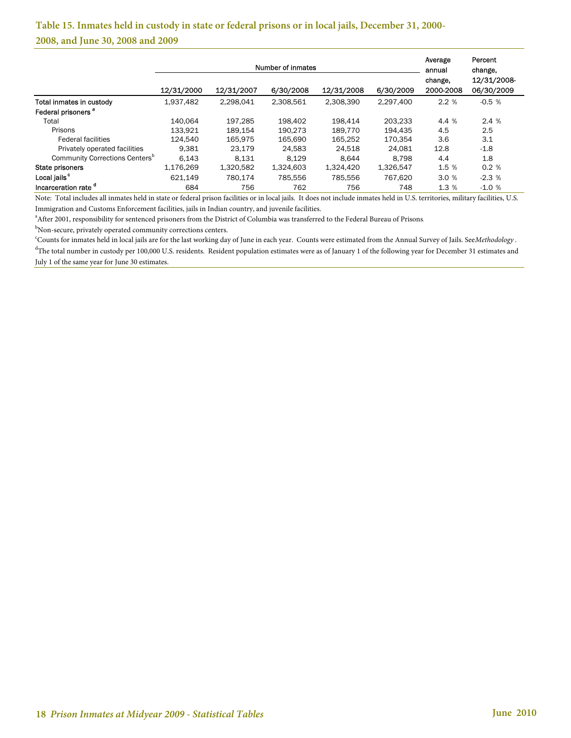## **Table 15. Inmates held in custody in state or federal prisons or in local jails, December 31, 2000- 2008, and June 30, 2008 and 2009**

|                                            |            | Number of inmates |           | Average<br>annual | Percent<br>change. |                      |                           |
|--------------------------------------------|------------|-------------------|-----------|-------------------|--------------------|----------------------|---------------------------|
|                                            | 12/31/2000 | 12/31/2007        | 6/30/2008 | 12/31/2008        | 6/30/2009          | change.<br>2000-2008 | 12/31/2008-<br>06/30/2009 |
| Total inmates in custody                   | 1,937,482  | 2,298,041         | 2,308,561 | 2,308,390         | 2.297.400          | 2.2%                 | $-0.5%$                   |
| Federal prisoners <sup>a</sup>             |            |                   |           |                   |                    |                      |                           |
| Total                                      | 140.064    | 197.285           | 198,402   | 198.414           | 203.233            | 4.4 %                | 2.4%                      |
| Prisons                                    | 133.921    | 189.154           | 190.273   | 189.770           | 194,435            | 4.5                  | 2.5                       |
| <b>Federal facilities</b>                  | 124.540    | 165.975           | 165.690   | 165.252           | 170.354            | 3.6                  | 3.1                       |
| Privately operated facilities              | 9.381      | 23.179            | 24,583    | 24,518            | 24.081             | 12.8                 | $-1.8$                    |
| Community Corrections Centers <sup>b</sup> | 6.143      | 8.131             | 8.129     | 8.644             | 8.798              | 4.4                  | 1.8                       |
| State prisoners                            | 1,176,269  | 1,320,582         | 1,324,603 | 1,324,420         | 1,326,547          | 1.5 %                | 0.2%                      |
| Local jails <sup>c</sup>                   | 621.149    | 780.174           | 785.556   | 785.556           | 767.620            | 3.0%                 | $-2.3%$                   |
| Incarceration rate <sup>d</sup>            | 684        | 756               | 762       | 756               | 748                | 1.3%                 | $-1.0%$                   |

Note: Total includes all inmates held in state or federal prison facilities or in local jails. It does not include inmates held in U.S. territories, military facilities, U.S. Immigration and Customs Enforcement facilities, jails in Indian country, and juvenile facilities.

<sup>a</sup> After 2001, responsibility for sentenced prisoners from the District of Columbia was transferred to the Federal Bureau of Prisons.

b<br>
SCounts for inmates held in local isla are for the lest working day<br>
SCounts for inmates held in local isla are for the lest working day

<sup>c</sup>Counts for inmates held in local jails are for the last working day of June in each year. Counts were estimated from the Annual Survey of Jails. See *Methodology* .

<sup>d</sup>The total number in custody per 100,000 U.S. residents. Resident population estimates were as of January 1 of the following year for December 31 estimates and July 1 of the same year for June 30 estimates.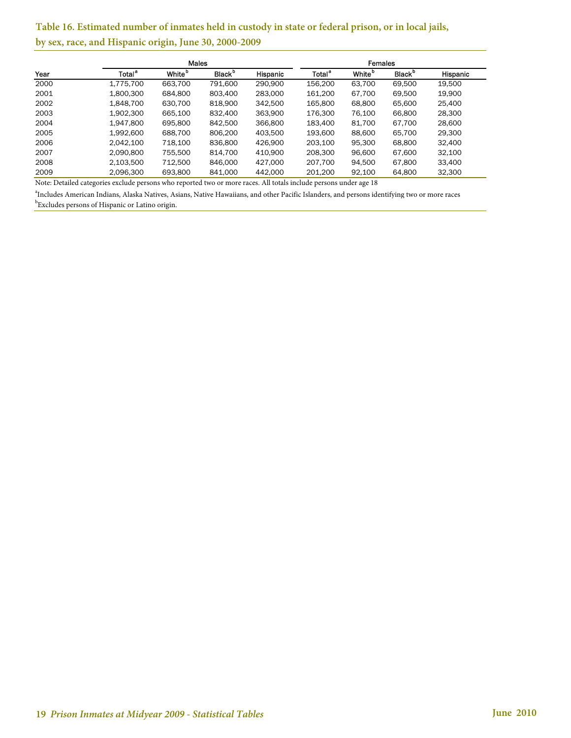## **Table 16. Estimated number of inmates held in custody in state or federal prison, or in local jails, by sex, race, and Hispanic origin, June 30, 2000-2009**

|      |                    | <b>Males</b>       |                           |                 |                    |                           |                           |          |
|------|--------------------|--------------------|---------------------------|-----------------|--------------------|---------------------------|---------------------------|----------|
| Year | Total <sup>a</sup> | White <sup>b</sup> | <b>Black</b> <sup>b</sup> | <b>Hispanic</b> | Total <sup>a</sup> | <b>White</b> <sup>p</sup> | <b>Black</b> <sup>b</sup> | Hispanic |
| 2000 | 1,775,700          | 663,700            | 791,600                   | 290.900         | 156,200            | 63,700                    | 69,500                    | 19,500   |
| 2001 | 1.800.300          | 684.800            | 803,400                   | 283,000         | 161.200            | 67,700                    | 69.500                    | 19,900   |
| 2002 | 1.848.700          | 630.700            | 818.900                   | 342,500         | 165,800            | 68,800                    | 65,600                    | 25,400   |
| 2003 | 1.902.300          | 665.100            | 832,400                   | 363.900         | 176.300            | 76,100                    | 66,800                    | 28,300   |
| 2004 | 1.947.800          | 695,800            | 842,500                   | 366,800         | 183.400            | 81,700                    | 67.700                    | 28,600   |
| 2005 | 1.992.600          | 688.700            | 806,200                   | 403.500         | 193,600            | 88,600                    | 65.700                    | 29,300   |
| 2006 | 2.042.100          | 718.100            | 836,800                   | 426.900         | 203.100            | 95,300                    | 68,800                    | 32.400   |
| 2007 | 2.090.800          | 755,500            | 814,700                   | 410,900         | 208,300            | 96,600                    | 67,600                    | 32,100   |
| 2008 | 2,103,500          | 712.500            | 846,000                   | 427.000         | 207,700            | 94,500                    | 67,800                    | 33,400   |
| 2009 | 2,096,300          | 693,800            | 841,000                   | 442,000         | 201.200            | 92,100                    | 64,800                    | 32,300   |

Note: Detailed categories exclude persons who reported two or more races. All totals include persons under age 18

 $^{\rm b}$ Excludes persons of Hispanic or Latino origin. a Includes American Indians, Alaska Natives, Asians, Native Hawaiians, and other Pacific Islanders, and persons identifying two or more races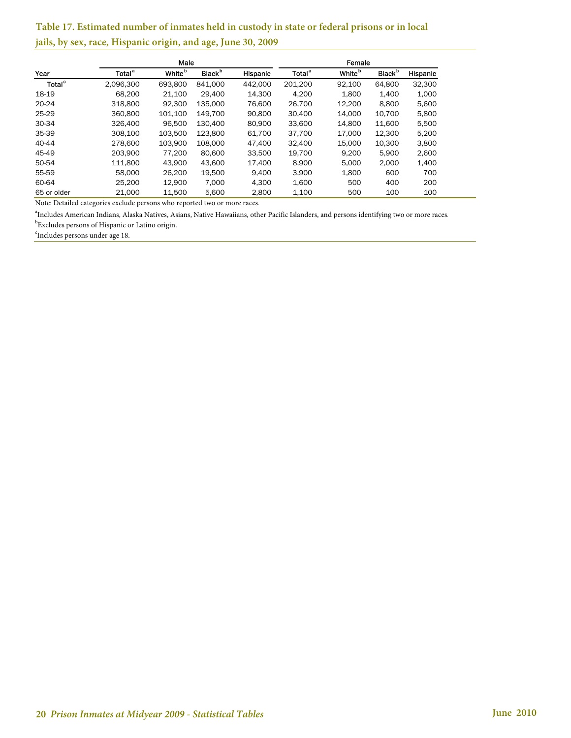## **Table 17. Estimated number of inmates held in custody in state or federal prisons or in local jails, by sex, race, Hispanic origin, and age, June 30, 2009**

|                    |                    | Female             |                           |          |                    |                    |                           |          |
|--------------------|--------------------|--------------------|---------------------------|----------|--------------------|--------------------|---------------------------|----------|
| Year               | Total <sup>a</sup> | White <sup>b</sup> | <b>Black</b> <sup>b</sup> | Hispanic | Total <sup>a</sup> | White <sup>b</sup> | <b>Black</b> <sup>b</sup> | Hispanic |
| Total <sup>c</sup> | 2.096.300          | 693.800            | 841.000                   | 442.000  | 201.200            | 92.100             | 64,800                    | 32.300   |
| 18-19              | 68.200             | 21.100             | 29.400                    | 14.300   | 4.200              | 1.800              | 1,400                     | 1,000    |
| 20-24              | 318,800            | 92.300             | 135.000                   | 76.600   | 26,700             | 12.200             | 8,800                     | 5,600    |
| 25-29              | 360,800            | 101.100            | 149.700                   | 90,800   | 30,400             | 14.000             | 10.700                    | 5.800    |
| 30-34              | 326,400            | 96.500             | 130.400                   | 80,900   | 33,600             | 14.800             | 11,600                    | 5,500    |
| 35-39              | 308.100            | 103,500            | 123,800                   | 61,700   | 37,700             | 17,000             | 12,300                    | 5,200    |
| 40-44              | 278,600            | 103.900            | 108.000                   | 47.400   | 32,400             | 15.000             | 10.300                    | 3.800    |
| 45-49              | 203.900            | 77.200             | 80,600                    | 33.500   | 19.700             | 9.200              | 5.900                     | 2,600    |
| 50-54              | 111.800            | 43.900             | 43.600                    | 17.400   | 8.900              | 5.000              | 2.000                     | 1.400    |
| 55-59              | 58,000             | 26,200             | 19.500                    | 9.400    | 3.900              | 1,800              | 600                       | 700      |
| 60-64              | 25.200             | 12.900             | 7.000                     | 4.300    | 1,600              | 500                | 400                       | 200      |
| 65 or older        | 21.000             | 11.500             | 5.600                     | 2.800    | 1.100              | 500                | 100                       | 100      |

Note: Detailed categories exclude persons who reported two or more races.

 $^{\rm b}$ Excludes persons of Hispanic or Latino origin. a Includes American Indians, Alaska Natives, Asians, Native Hawaiians, other Pacific Islanders, and persons identifying two or more races.

c Includes persons under age 18.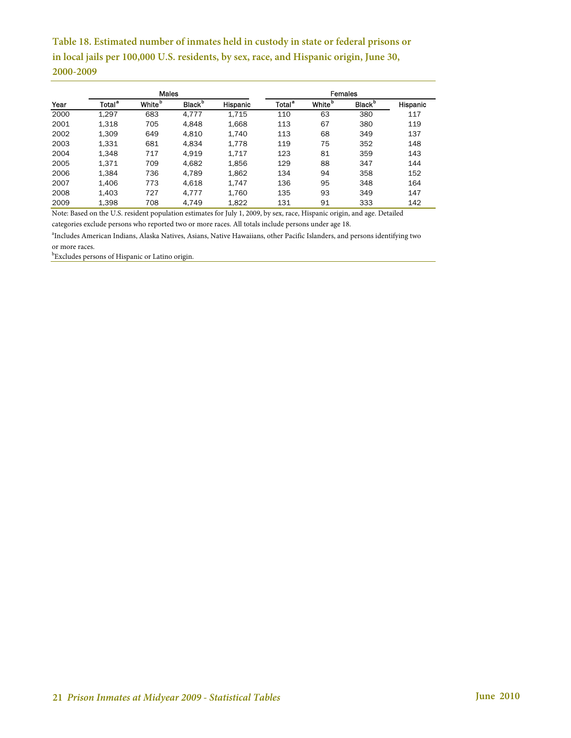**Table 18. Estimated number of inmates held in custody in state or federal prisons or in local jails per 100,000 U.S. residents, by sex, race, and Hispanic origin, June 30, 2000-2009**

|      |                    | <b>Males</b>              |                           |          |                    | <b>Females</b>     |                           |          |
|------|--------------------|---------------------------|---------------------------|----------|--------------------|--------------------|---------------------------|----------|
| Year | Total <sup>a</sup> | <b>White</b> <sup>D</sup> | <b>Black</b> <sup>b</sup> | Hispanic | Total <sup>a</sup> | White <sup>b</sup> | <b>Black</b> <sup>b</sup> | Hispanic |
| 2000 | 1,297              | 683                       | 4,777                     | 1,715    | 110                | 63                 | 380                       | 117      |
| 2001 | 1,318              | 705                       | 4.848                     | 1,668    | 113                | 67                 | 380                       | 119      |
| 2002 | 1,309              | 649                       | 4.810                     | 1.740    | 113                | 68                 | 349                       | 137      |
| 2003 | 1,331              | 681                       | 4.834                     | 1.778    | 119                | 75                 | 352                       | 148      |
| 2004 | 1,348              | 717                       | 4.919                     | 1.717    | 123                | 81                 | 359                       | 143      |
| 2005 | 1.371              | 709                       | 4.682                     | 1,856    | 129                | 88                 | 347                       | 144      |
| 2006 | 1,384              | 736                       | 4.789                     | 1,862    | 134                | 94                 | 358                       | 152      |
| 2007 | 1.406              | 773                       | 4,618                     | 1.747    | 136                | 95                 | 348                       | 164      |
| 2008 | 1,403              | 727                       | 4.777                     | 1.760    | 135                | 93                 | 349                       | 147      |
| 2009 | 1,398              | 708                       | 4,749                     | 1,822    | 131                | 91                 | 333                       | 142      |

Note: Based on the U.S. resident population estimates for July 1, 2009, by sex, race, Hispanic origin, and age. Detailed

categories exclude persons who reported two or more races. All totals include persons under age 18.

a Includes American Indians, Alaska Natives, Asians, Native Hawaiians, other Pacific Islanders, and persons identifying two or more races.

b Excludes persons of Hispanic or Latino origin.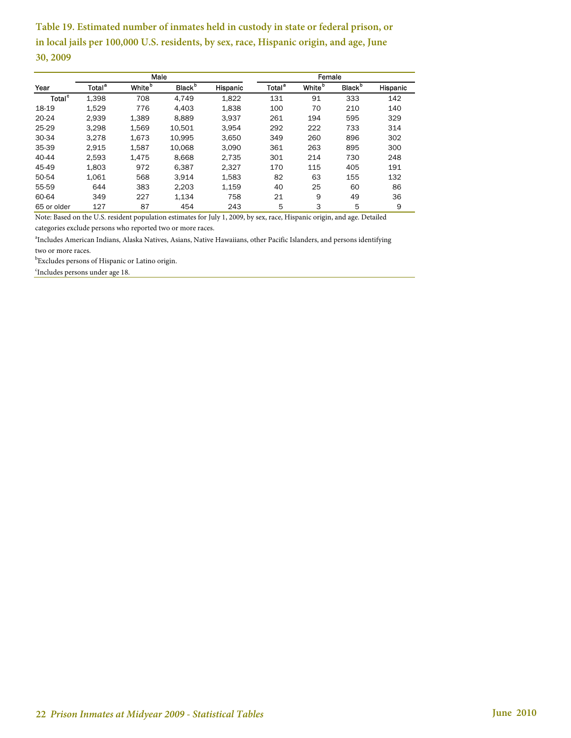**Table 19. Estimated number of inmates held in custody in state or federal prison, or in local jails per 100,000 U.S. residents, by sex, race, Hispanic origin, and age, June 30, 2009**

|                           |                    | Male               |                           |          |                    | Female             |                           |          |
|---------------------------|--------------------|--------------------|---------------------------|----------|--------------------|--------------------|---------------------------|----------|
| Year                      | Total <sup>a</sup> | White <sup>b</sup> | <b>Black</b> <sup>b</sup> | Hispanic | Total <sup>a</sup> | White <sup>b</sup> | <b>Black</b> <sup>b</sup> | Hispanic |
| <b>Total</b> <sup>c</sup> | 1,398              | 708                | 4.749                     | 1,822    | 131                | 91                 | 333                       | 142      |
| 18-19                     | 1,529              | 776                | 4.403                     | 1.838    | 100                | 70                 | 210                       | 140      |
| 20-24                     | 2.939              | 1.389              | 8.889                     | 3.937    | 261                | 194                | 595                       | 329      |
| 25-29                     | 3.298              | 1.569              | 10.501                    | 3.954    | 292                | 222                | 733                       | 314      |
| 30-34                     | 3.278              | 1.673              | 10.995                    | 3,650    | 349                | 260                | 896                       | 302      |
| 35-39                     | 2.915              | 1.587              | 10.068                    | 3.090    | 361                | 263                | 895                       | 300      |
| 40-44                     | 2.593              | 1.475              | 8.668                     | 2.735    | 301                | 214                | 730                       | 248      |
| 45-49                     | 1.803              | 972                | 6.387                     | 2.327    | 170                | 115                | 405                       | 191      |
| 50-54                     | 1.061              | 568                | 3,914                     | 1,583    | 82                 | 63                 | 155                       | 132      |
| 55-59                     | 644                | 383                | 2.203                     | 1.159    | 40                 | 25                 | 60                        | 86       |
| 60-64                     | 349                | 227                | 1.134                     | 758      | 21                 | 9                  | 49                        | 36       |
| 65 or older               | 127                | 87                 | 454                       | 243      | 5                  | 3                  | 5                         | 9        |

Note: Based on the U.S. resident population estimates for July 1, 2009, by sex, race, Hispanic origin, and age. Detailed categories exclude persons who reported two or more races.

a Includes American Indians, Alaska Natives, Asians, Native Hawaiians, other Pacific Islanders, and persons identifying two or more races.

 $^{\rm b}$ Excludes persons of Hispanic or Latino origin.

<sup>c</sup>Includes persons under age 18.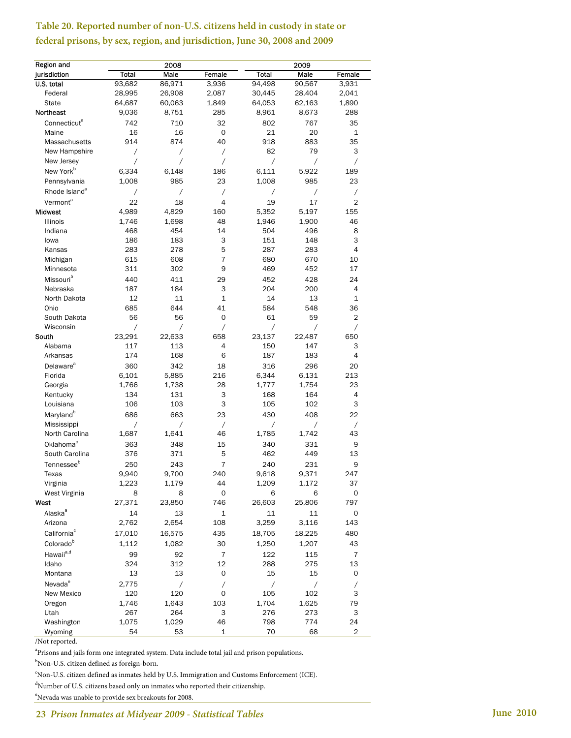## **Table 20. Reported number of non-U.S. citizens held in custody in state or federal prisons, by sex, region, and jurisdiction, June 30, 2008 and 2009**

| Region and                |                | 2008     |                |            | 2009           |                          |
|---------------------------|----------------|----------|----------------|------------|----------------|--------------------------|
| jurisdiction              | Total          | Male     | Female         | Total      | Male           | Female                   |
| U.S. total                | 93,682         | 86,971   | 3,936          | 94,498     | 90,567         | 3,931                    |
| Federal                   | 28,995         | 26,908   | 2,087          | 30,445     | 28,404         | 2,041                    |
| <b>State</b>              | 64,687         | 60,063   | 1,849          | 64,053     | 62,163         | 1,890                    |
| <b>Northeast</b>          | 9,036          | 8,751    | 285            | 8,961      | 8,673          | 288                      |
| Connecticut <sup>a</sup>  | 742            | 710      | 32             | 802        | 767            | 35                       |
| Maine                     | 16             | 16       | $\mathbf 0$    | 21         | 20             | 1                        |
| Massachusetts             | 914            | 874      | 40             | 918        | 883            | 35                       |
| New Hampshire             | $\overline{1}$ | Τ        | $\overline{1}$ | 82         | 79             | 3                        |
| New Jersey                | Τ              | Τ        | Τ              | $\sqrt{2}$ | $\prime$       | $\sqrt{2}$               |
| New York <sup>b</sup>     | 6,334          | 6.148    | 186            | 6.111      | 5,922          | 189                      |
| Pennsylvania              | 1,008          | 985      | 23             | 1,008      | 985            | 23                       |
| Rhode Island <sup>a</sup> | Τ              | $\prime$ | Τ              | $\sqrt{2}$ | Τ              | $\sqrt{2}$               |
| Vermont <sup>a</sup>      | 22             | 18       | 4              | 19         | 17             | $\overline{2}$           |
|                           | 4,989          | 4,829    | 160            |            | 5,197          |                          |
| <b>Midwest</b>            |                |          |                | 5,352      |                | 155                      |
| Illinois                  | 1,746          | 1,698    | 48             | 1,946      | 1,900          | 46                       |
| Indiana                   | 468            | 454      | 14             | 504        | 496            | 8                        |
| lowa                      | 186            | 183      | 3              | 151        | 148            | 3                        |
| Kansas                    | 283            | 278      | 5              | 287        | 283            | 4                        |
| Michigan                  | 615            | 608      | $\overline{7}$ | 680        | 670            | 10                       |
| Minnesota                 | 311            | 302      | 9              | 469        | 452            | 17                       |
| Missouri <sup>b</sup>     | 440            | 411      | 29             | 452        | 428            | 24                       |
| Nebraska                  | 187            | 184      | 3              | 204        | 200            | 4                        |
| North Dakota              | 12             | 11       | 1              | 14         | 13             | 1                        |
| Ohio                      | 685            | 644      | 41             | 584        | 548            | 36                       |
| South Dakota              | 56             | 56       | 0              | 61         | 59             | 2                        |
| Wisconsin                 | Τ              | Γ        | Γ              | Τ          | Τ              | Τ                        |
| South                     | 23,291         | 22,633   | 658            | 23,137     | 22,487         | 650                      |
| Alabama                   | 117            | 113      | 4              | 150        | 147            | 3                        |
| Arkansas                  | 174            | 168      | 6              | 187        | 183            | 4                        |
| Delaware <sup>a</sup>     | 360            | 342      | 18             | 316        | 296            | 20                       |
| Florida                   | 6,101          | 5,885    | 216            | 6,344      | 6,131          | 213                      |
| Georgia                   | 1,766          | 1,738    | 28             | 1,777      | 1,754          | 23                       |
| Kentucky                  | 134            | 131      | 3              | 168        | 164            | 4                        |
| Louisiana                 | 106            | 103      | 3              | 105        | 102            | 3                        |
| Maryland <sup>b</sup>     | 686            | 663      | 23             | 430        | 408            | 22                       |
| Mississippi               | $\sqrt{2}$     | Τ        | $\overline{ }$ | Τ          | $\overline{1}$ | $\sqrt{2}$               |
| North Carolina            | 1,687          | 1,641    | 46             | 1,785      | 1,742          | 43                       |
| Oklahoma <sup>c</sup>     | 363            | 348      | 15             | 340        | 331            | 9                        |
| South Carolina            | 376            | 371      | 5              | 462        | 449            | 13                       |
| Tennessee <sup>b</sup>    | 250            | 243      | $\overline{7}$ | 240        | 231            | 9                        |
| Texas                     | 9,940          | 9,700    | 240            | 9,618      | 9,371          | 247                      |
| Virginia                  | 1,223          | 1,179    | 44             | 1,209      | 1,172          | 37                       |
| West Virginia             | 8              | 8        | 0              | 6          | 6              | 0                        |
| West                      | 27,371         | 23,850   | 746            | 26,603     | 25,806         | 797                      |
| Alaska <sup>a</sup>       | 14             | 13       | 1              | 11         | 11             | 0                        |
| Arizona                   | 2,762          | 2,654    | 108            | 3,259      | 3,116          | 143                      |
| California <sup>c</sup>   | 17,010         | 16,575   | 435            | 18,705     | 18,225         | 480                      |
| Colorado <sup>b</sup>     | 1,112          | 1,082    | 30             | 1,250      |                |                          |
|                           |                |          |                |            | 1,207          | 43                       |
| Hawaii <sup>a,d</sup>     | 99             | 92       | $\overline{7}$ | 122        | 115            | 7                        |
| Idaho                     | 324            | 312      | 12             | 288        | 275            | 13                       |
| Montana                   | 13             | 13       | 0              | 15         | 15             | 0                        |
| Nevada <sup>e</sup>       | 2,775          | Γ        | $\overline{1}$ | Γ          | Γ              | $\overline{\phantom{a}}$ |
| New Mexico                | 120            | 120      | 0              | 105        | 102            | 3                        |
| Oregon                    | 1,746          | 1,643    | 103            | 1,704      | 1,625          | 79                       |
| Utah                      | 267            | 264      | 3              | 276        | 273            | 3                        |
| Washington                | 1,075          | 1,029    | 46             | 798        | 774            | 24                       |
| Wyoming                   | 54             | 53       | $\mathbf 1$    | 70         | 68             | $\overline{c}$           |

/Not reported.

<sup>a</sup>Prisons and jails form one integrated system. Data include total jail and prison populations.

b Non-U.S. citizen defined as foreign-born.

c Non-U.S. citizen defined as inmates held by U.S. Immigration and Customs Enforcement (ICE).

d Number of U.S. citizens based only on inmates who reported their citizenship.

e Nevada was unable to provide sex breakouts for 2008.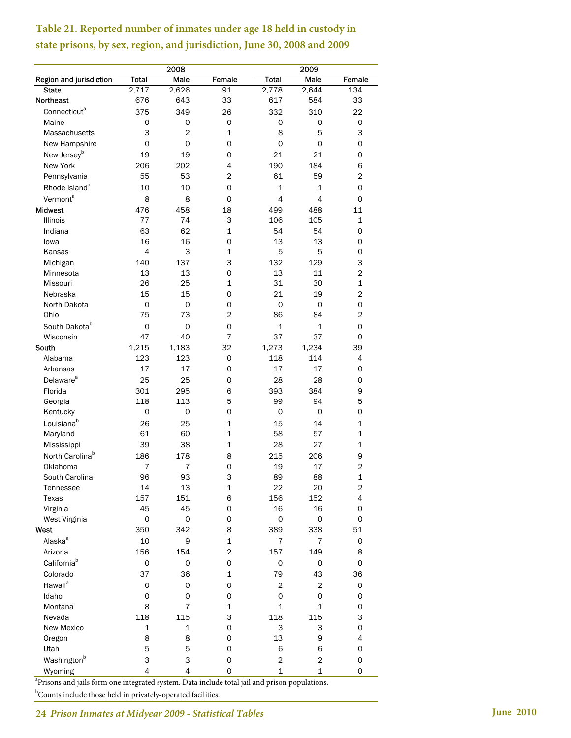**Table 21. Reported number of inmates under age 18 held in custody in state prisons, by sex, region, and jurisdiction, June 30, 2008 and 2009**

|                             |                  | 2008                |                  |                         | 2009              |                |
|-----------------------------|------------------|---------------------|------------------|-------------------------|-------------------|----------------|
| Region and jurisdiction     | <b>Total</b>     | Male                | Female           | <b>Total</b>            | Male              | Female         |
| <b>State</b>                | 2,717            | 2,626               | 91               | 2,778                   | 2,644             | 134            |
| <b>Northeast</b>            | 676              | 643                 | 33               | 617                     | 584               | 33             |
| Connecticut <sup>a</sup>    | 375              | 349                 | 26               | 332                     | 310               | 22             |
| Maine                       | 0                | 0                   | 0                | 0                       | 0                 | 0              |
| Massachusetts               | 3                | $\overline{2}$      | 1                | 8                       | 5                 | 3              |
| New Hampshire               | 0                | 0                   | 0                | 0                       | 0                 | 0              |
| New Jersey <sup>b</sup>     | 19               | 19                  | 0                | 21                      | 21                | 0              |
| New York                    | 206              | 202                 | 4                | 190                     | 184               | 6              |
| Pennsylvania                | 55               | 53                  | 2                | 61                      | 59                | $\overline{c}$ |
| Rhode Island <sup>a</sup>   | 10               | 10                  | 0                | $\mathbf{1}$            | 1                 | 0              |
| Vermont <sup>a</sup>        | 8                | 8                   | 0                | 4                       | 4                 | 0              |
| <b>Midwest</b>              | 476              | 458                 | 18               | 499                     | 488               | 11             |
| <b>Illinois</b>             | 77               | 74                  | 3                | 106                     | 105               | 1              |
| Indiana                     | 63               | 62                  | $\mathbf{1}$     | 54                      | 54                | 0              |
| lowa                        | 16               | 16                  | 0                | 13                      | 13                | 0              |
| Kansas                      | 4                | 3                   | 1                | 5                       | 5                 | 0              |
| Michigan                    | 140              | 137                 | 3                | 132                     | 129               | 3              |
| Minnesota                   | 13               | 13                  | 0                | 13                      | 11                | $\overline{2}$ |
| Missouri                    | 26               | 25                  | 1                | 31                      | 30                | 1              |
| Nebraska                    | 15               | 15                  | 0                | 21                      | 19                | $\overline{2}$ |
| North Dakota                | 0                | 0                   | 0                | 0                       | 0                 | 0              |
| Ohio                        | 75               | 73                  | $\overline{2}$   | 86                      | 84                | $\overline{2}$ |
| South Dakota <sup>b</sup>   | 0                | 0                   | $\mathsf O$      | $\mathbf{1}$            | 1                 | 0              |
| Wisconsin                   | 47               | 40                  | $\overline{7}$   | 37                      | 37                | 0              |
| South                       | 1,215            | 1,183               | 32               | 1,273                   | 1,234             | 39             |
| Alabama                     | 123              | 123                 | 0                | 118                     | 114               | $\overline{4}$ |
| Arkansas                    | 17               | 17                  | 0                | 17                      | 17                | 0              |
| Delaware <sup>a</sup>       | 25               | 25                  | 0                | 28                      | 28                | 0              |
| Florida                     | 301              | 295                 | 6                | 393                     | 384               | 9              |
| Georgia                     | 118              | 113                 | 5                | 99                      | 94                | 5              |
| Kentucky                    | 0                | 0                   | 0                | 0                       | 0                 | 0              |
| Louisiana <sup>b</sup>      | 26               | 25                  | $\mathbf 1$      | 15                      | 14                | 1              |
| Maryland                    | 61               | 60                  | $\mathbf{1}$     | 58                      | 57                | 1              |
| Mississippi                 | 39               | 38                  | $\mathbf 1$      | 28                      | 27                | $\mathbf{1}$   |
| North Carolina <sup>b</sup> | 186              | 178                 | 8                | 215                     | 206               | 9              |
| Oklahoma                    | 7                | $\overline{7}$      | $\mathsf O$      | 19                      | 17                | $\overline{2}$ |
| South Carolina              | 96               | 93                  | 3                | 89                      | 88                | $\mathbf{1}$   |
| Tennessee                   | 14               | 13                  | 1                | 22                      | 20                | $\mathbf 2$    |
| Texas                       | 157              | 151                 | 6                | 156                     | 152               | 4              |
| Virginia                    | 45               | 45                  | 0                | 16                      | 16                | 0              |
| West Virginia               | 0                | 0                   | 0                | 0                       | 0                 | 0              |
| West                        | 350              | 342                 | 8                | 389                     | 338               | 51             |
| Alaska <sup>a</sup>         | 10               | 9                   | 1                | $\overline{7}$          | 7                 | 0              |
| Arizona                     | 156              | 154                 | $\overline{c}$   | 157                     | 149               | 8              |
| California <sup>b</sup>     |                  | 0                   | 0                | 0                       | 0                 | 0              |
| Colorado                    | 0                |                     | 1                |                         |                   |                |
|                             | 37               | 36                  |                  | 79                      | 43                | 36             |
| Hawaii <sup>a</sup>         | 0                | 0                   | 0                | 2                       | 2                 | 0              |
| Idaho                       | 0                | 0<br>$\overline{7}$ | 0                | 0                       | 0<br>$\mathbf{1}$ | 0              |
| Montana                     | 8                |                     | $\mathbf 1$      | $\mathbf 1$             |                   | 0              |
| Nevada                      | 118              | 115                 | 3                | 118                     | 115               | 3              |
| New Mexico                  | $\mathbf 1$<br>8 | 1<br>8              | $\mathsf O$<br>0 | 3<br>13                 | 3                 | 0<br>4         |
| Oregon                      |                  |                     |                  |                         | 9                 |                |
| Utah                        | 5                | 5                   | 0                | 6                       | 6                 | 0              |
| Washington <sup>b</sup>     | 3                | 3                   | 0                | $\overline{\mathbf{c}}$ | $\overline{c}$    | 0              |
| Wyoming                     | 4                | $\overline{4}$      | 0                | $\mathbf 1$             | $\mathbf 1$       | 0              |

<sup>a</sup>Prisons and jails form one integrated system. Data include total jail and prison populations.

<sup>b</sup>Counts include those held in privately-operated facilities.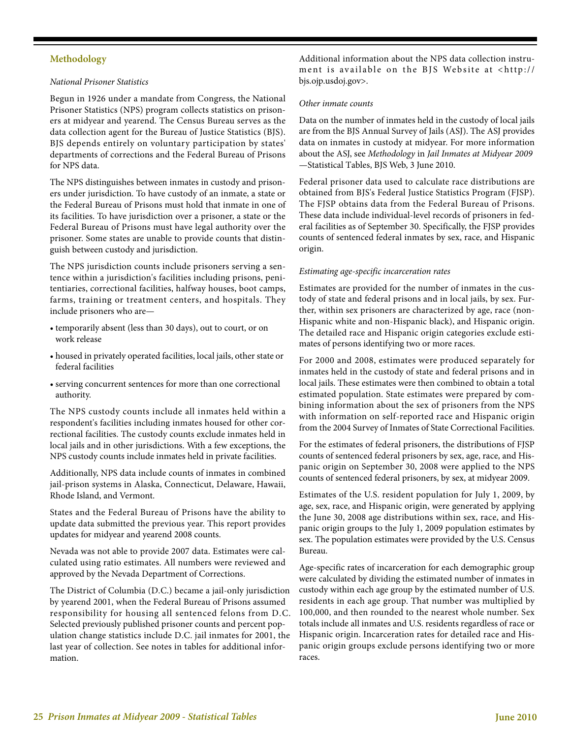#### **Methodology**

#### *National Prisoner Statistics*

Begun in 1926 under a mandate from Congress, the National Prisoner Statistics (NPS) program collects statistics on prisoners at midyear and yearend. The Census Bureau serves as the data collection agent for the Bureau of Justice Statistics (BJS). BJS depends entirely on voluntary participation by states' departments of corrections and the Federal Bureau of Prisons for NPS data.

The NPS distinguishes between inmates in custody and prisoners under jurisdiction. To have custody of an inmate, a state or the Federal Bureau of Prisons must hold that inmate in one of its facilities. To have jurisdiction over a prisoner, a state or the Federal Bureau of Prisons must have legal authority over the prisoner. Some states are unable to provide counts that distinguish between custody and jurisdiction.

The NPS jurisdiction counts include prisoners serving a sentence within a jurisdiction's facilities including prisons, penitentiaries, correctional facilities, halfway houses, boot camps, farms, training or treatment centers, and hospitals. They include prisoners who are—

- temporarily absent (less than 30 days), out to court, or on work release
- housed in privately operated facilities, local jails, other state or federal facilities
- serving concurrent sentences for more than one correctional authority.

The NPS custody counts include all inmates held within a respondent's facilities including inmates housed for other correctional facilities. The custody counts exclude inmates held in local jails and in other jurisdictions. With a few exceptions, the NPS custody counts include inmates held in private facilities.

Additionally, NPS data include counts of inmates in combined jail-prison systems in Alaska, Connecticut, Delaware, Hawaii, Rhode Island, and Vermont.

States and the Federal Bureau of Prisons have the ability to update data submitted the previous year. This report provides updates for midyear and yearend 2008 counts.

Nevada was not able to provide 2007 data. Estimates were calculated using ratio estimates. All numbers were reviewed and approved by the Nevada Department of Corrections.

The District of Columbia (D.C.) became a jail-only jurisdiction by yearend 2001, when the Federal Bureau of Prisons assumed responsibility for housing all sentenced felons from D.C. Selected previously published prisoner counts and percent population change statistics include D.C. jail inmates for 2001, the last year of collection. See notes in tables for additional information.

Additional information about the NPS data collection instrument is available on the BJS Website at <http:// bjs.ojp.usdoj.gov>.

#### *Other inmate counts*

Data on the number of inmates held in the custody of local jails are from the BJS Annual Survey of Jails (ASJ). The ASJ provides data on inmates in custody at midyear. For more information about the ASJ, see *Methodology* in *Jail Inmates at Midyear 2009* —Statistical Tables, BJS Web, 3 June 2010.

Federal prisoner data used to calculate race distributions are obtained from BJS's Federal Justice Statistics Program (FJSP). The FJSP obtains data from the Federal Bureau of Prisons. These data include individual-level records of prisoners in federal facilities as of September 30. Specifically, the FJSP provides counts of sentenced federal inmates by sex, race, and Hispanic origin.

#### *Estimating age-specific incarceration rates*

Estimates are provided for the number of inmates in the custody of state and federal prisons and in local jails, by sex. Further, within sex prisoners are characterized by age, race (non-Hispanic white and non-Hispanic black), and Hispanic origin. The detailed race and Hispanic origin categories exclude estimates of persons identifying two or more races.

For 2000 and 2008, estimates were produced separately for inmates held in the custody of state and federal prisons and in local jails. These estimates were then combined to obtain a total estimated population. State estimates were prepared by combining information about the sex of prisoners from the NPS with information on self-reported race and Hispanic origin from the 2004 Survey of Inmates of State Correctional Facilities.

For the estimates of federal prisoners, the distributions of FJSP counts of sentenced federal prisoners by sex, age, race, and Hispanic origin on September 30, 2008 were applied to the NPS counts of sentenced federal prisoners, by sex, at midyear 2009.

Estimates of the U.S. resident population for July 1, 2009, by age, sex, race, and Hispanic origin, were generated by applying the June 30, 2008 age distributions within sex, race, and Hispanic origin groups to the July 1, 2009 population estimates by sex. The population estimates were provided by the U.S. Census Bureau.

Age-specific rates of incarceration for each demographic group were calculated by dividing the estimated number of inmates in custody within each age group by the estimated number of U.S. residents in each age group. That number was multiplied by 100,000, and then rounded to the nearest whole number. Sex totals include all inmates and U.S. residents regardless of race or Hispanic origin. Incarceration rates for detailed race and Hispanic origin groups exclude persons identifying two or more races.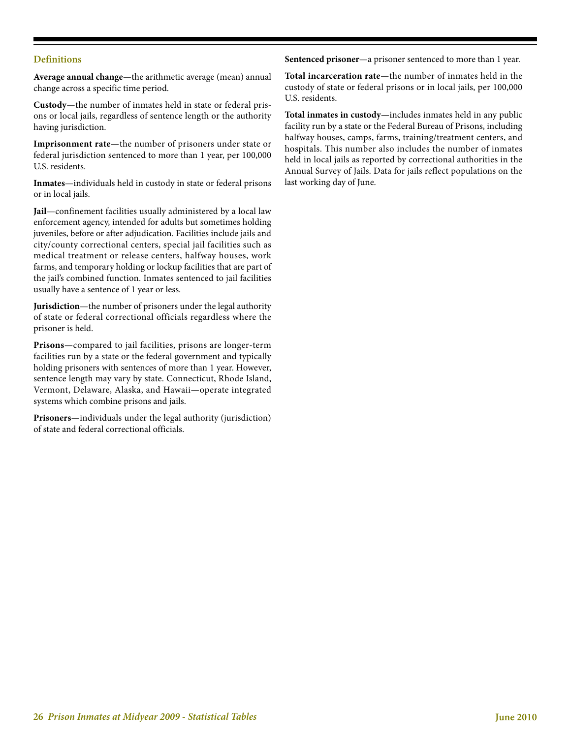#### **Definitions**

**Average annual change**—the arithmetic average (mean) annual change across a specific time period.

**Custody**—the number of inmates held in state or federal prisons or local jails, regardless of sentence length or the authority having jurisdiction.

**Imprisonment rate**—the number of prisoners under state or federal jurisdiction sentenced to more than 1 year, per 100,000 U.S. residents.

**Inmates**—individuals held in custody in state or federal prisons or in local jails.

**Jail**—confinement facilities usually administered by a local law enforcement agency, intended for adults but sometimes holding juveniles, before or after adjudication. Facilities include jails and city/county correctional centers, special jail facilities such as medical treatment or release centers, halfway houses, work farms, and temporary holding or lockup facilities that are part of the jail's combined function. Inmates sentenced to jail facilities usually have a sentence of 1 year or less.

**Jurisdiction**—the number of prisoners under the legal authority of state or federal correctional officials regardless where the prisoner is held.

**Prisons**—compared to jail facilities, prisons are longer-term facilities run by a state or the federal government and typically holding prisoners with sentences of more than 1 year. However, sentence length may vary by state. Connecticut, Rhode Island, Vermont, Delaware, Alaska, and Hawaii—operate integrated systems which combine prisons and jails.

**Prisoners**—individuals under the legal authority (jurisdiction) of state and federal correctional officials.

**Sentenced prisoner**—a prisoner sentenced to more than 1 year.

**Total incarceration rate**—the number of inmates held in the custody of state or federal prisons or in local jails, per 100,000 U.S. residents.

**Total inmates in custody**—includes inmates held in any public facility run by a state or the Federal Bureau of Prisons, including halfway houses, camps, farms, training/treatment centers, and hospitals. This number also includes the number of inmates held in local jails as reported by correctional authorities in the Annual Survey of Jails. Data for jails reflect populations on the last working day of June.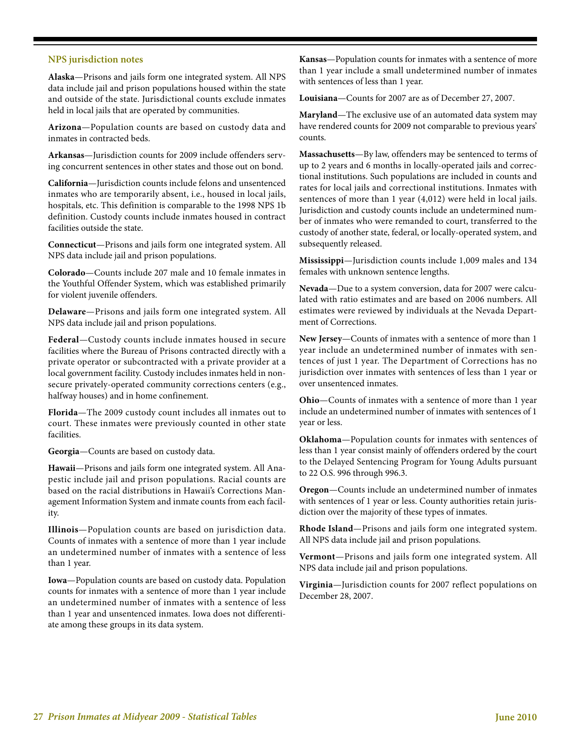#### **NPS jurisdiction notes**

**Alaska**—Prisons and jails form one integrated system. All NPS data include jail and prison populations housed within the state and outside of the state. Jurisdictional counts exclude inmates held in local jails that are operated by communities.

**Arizona**—Population counts are based on custody data and inmates in contracted beds.

**Arkansas**—Jurisdiction counts for 2009 include offenders serving concurrent sentences in other states and those out on bond.

**California**—Jurisdiction counts include felons and unsentenced inmates who are temporarily absent, i.e., housed in local jails, hospitals, etc. This definition is comparable to the 1998 NPS 1b definition. Custody counts include inmates housed in contract facilities outside the state.

**Connecticut**—Prisons and jails form one integrated system. All NPS data include jail and prison populations.

**Colorado**—Counts include 207 male and 10 female inmates in the Youthful Offender System, which was established primarily for violent juvenile offenders.

**Delaware**—Prisons and jails form one integrated system. All NPS data include jail and prison populations.

**Federal**—Custody counts include inmates housed in secure facilities where the Bureau of Prisons contracted directly with a private operator or subcontracted with a private provider at a local government facility. Custody includes inmates held in nonsecure privately-operated community corrections centers (e.g., halfway houses) and in home confinement.

**Florida**—The 2009 custody count includes all inmates out to court. These inmates were previously counted in other state facilities.

**Georgia**—Counts are based on custody data.

**Hawaii**—Prisons and jails form one integrated system. All Anapestic include jail and prison populations. Racial counts are based on the racial distributions in Hawaii's Corrections Management Information System and inmate counts from each facility.

**Illinois**—Population counts are based on jurisdiction data. Counts of inmates with a sentence of more than 1 year include an undetermined number of inmates with a sentence of less than 1 year.

**Iowa**—Population counts are based on custody data. Population counts for inmates with a sentence of more than 1 year include an undetermined number of inmates with a sentence of less than 1 year and unsentenced inmates. Iowa does not differentiate among these groups in its data system.

**Kansas**—Population counts for inmates with a sentence of more than 1 year include a small undetermined number of inmates with sentences of less than 1 year.

**Louisiana**—Counts for 2007 are as of December 27, 2007.

**Maryland**—The exclusive use of an automated data system may have rendered counts for 2009 not comparable to previous years' counts.

**Massachusetts**—By law, offenders may be sentenced to terms of up to 2 years and 6 months in locally-operated jails and correctional institutions. Such populations are included in counts and rates for local jails and correctional institutions. Inmates with sentences of more than 1 year (4,012) were held in local jails. Jurisdiction and custody counts include an undetermined number of inmates who were remanded to court, transferred to the custody of another state, federal, or locally-operated system, and subsequently released.

**Mississippi**—Jurisdiction counts include 1,009 males and 134 females with unknown sentence lengths.

**Nevada**—Due to a system conversion, data for 2007 were calculated with ratio estimates and are based on 2006 numbers. All estimates were reviewed by individuals at the Nevada Department of Corrections.

**New Jersey**—Counts of inmates with a sentence of more than 1 year include an undetermined number of inmates with sentences of just 1 year. The Department of Corrections has no jurisdiction over inmates with sentences of less than 1 year or over unsentenced inmates.

**Ohio**—Counts of inmates with a sentence of more than 1 year include an undetermined number of inmates with sentences of 1 year or less.

**Oklahoma**—Population counts for inmates with sentences of less than 1 year consist mainly of offenders ordered by the court to the Delayed Sentencing Program for Young Adults pursuant to 22 O.S. 996 through 996.3.

**Oregon**—Counts include an undetermined number of inmates with sentences of 1 year or less. County authorities retain jurisdiction over the majority of these types of inmates.

**Rhode Island**—Prisons and jails form one integrated system. All NPS data include jail and prison populations.

**Vermont**—Prisons and jails form one integrated system. All NPS data include jail and prison populations.

**Virginia**—Jurisdiction counts for 2007 reflect populations on December 28, 2007.